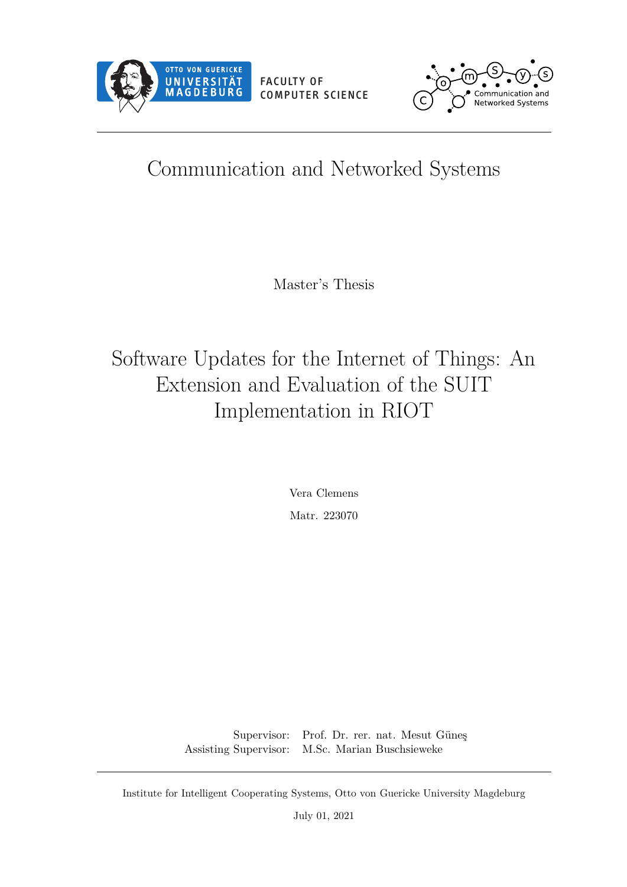<span id="page-0-0"></span>



# Communication and Networked Systems

Master's Thesis

# Software Updates for the Internet of Things: An Extension and Evaluation of the SUIT Implementation in RIOT

Vera Clemens Matr. 223070

Supervisor: Prof. Dr. rer. nat. Mesut Güneş Assisting Supervisor: M.Sc. Marian Buschsieweke

Institute for Intelligent Cooperating Systems, Otto von Guericke University Magdeburg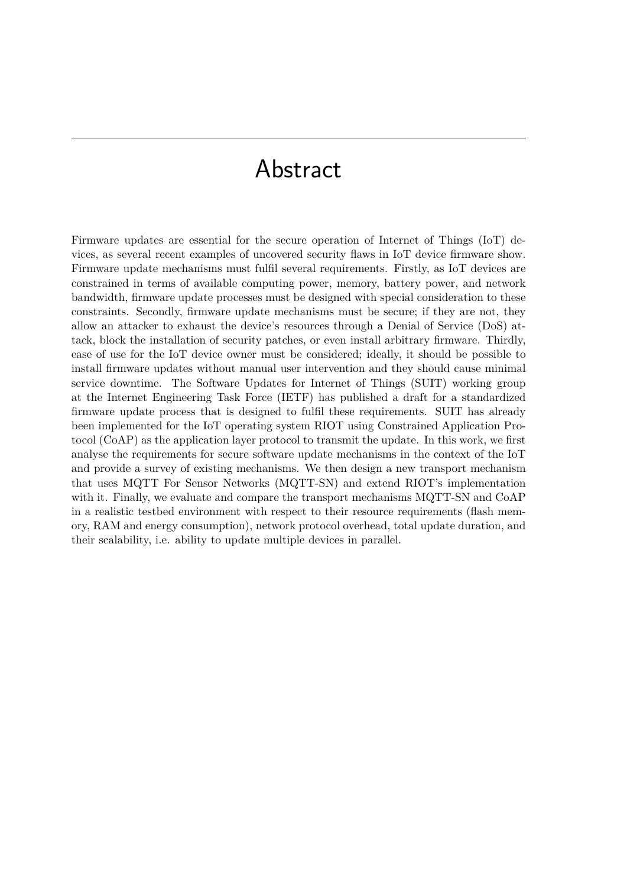# Abstract

Firmware updates are essential for the secure operation of [Internet of Things \(IoT\)](#page-12-0) devices, as several recent examples of uncovered security flaws in [IoT](#page-12-0) device firmware show. Firmware update mechanisms must fulfil several requirements. Firstly, as [IoT](#page-12-0) devices are constrained in terms of available computing power, memory, battery power, and network bandwidth, firmware update processes must be designed with special consideration to these constraints. Secondly, firmware update mechanisms must be secure; if they are not, they allow an attacker to exhaust the device's resources through a [Denial of Service \(DoS\)](#page-12-1) attack, block the installation of security patches, or even install arbitrary firmware. Thirdly, ease of use for the [IoT](#page-12-0) device owner must be considered; ideally, it should be possible to install firmware updates without manual user intervention and they should cause minimal service downtime. The [Software Updates for Internet of Things \(SUIT\)](#page-13-0) working group at the [Internet Engineering Task Force \(IETF\)](#page-12-2) has published a draft for a standardized firmware update process that is designed to fulfil these requirements. [SUIT](#page-13-0) has already been implemented for the [IoT](#page-12-0) operating system RIOT using [Constrained Application Pro](#page-12-3)[tocol \(CoAP\)](#page-12-3) as the application layer protocol to transmit the update. In this work, we first analyse the requirements for secure software update mechanisms in the context of the [IoT](#page-12-0) and provide a survey of existing mechanisms. We then design a new transport mechanism that uses [MQTT For Sensor Networks \(MQTT-SN\)](#page-13-1) and extend RIOT's implementation with it. Finally, we evaluate and compare the transport mechanisms [MQTT-SN](#page-13-1) and [CoAP](#page-12-3) in a realistic testbed environment with respect to their resource requirements (flash memory, RAM and energy consumption), network protocol overhead, total update duration, and their scalability, i.e. ability to update multiple devices in parallel.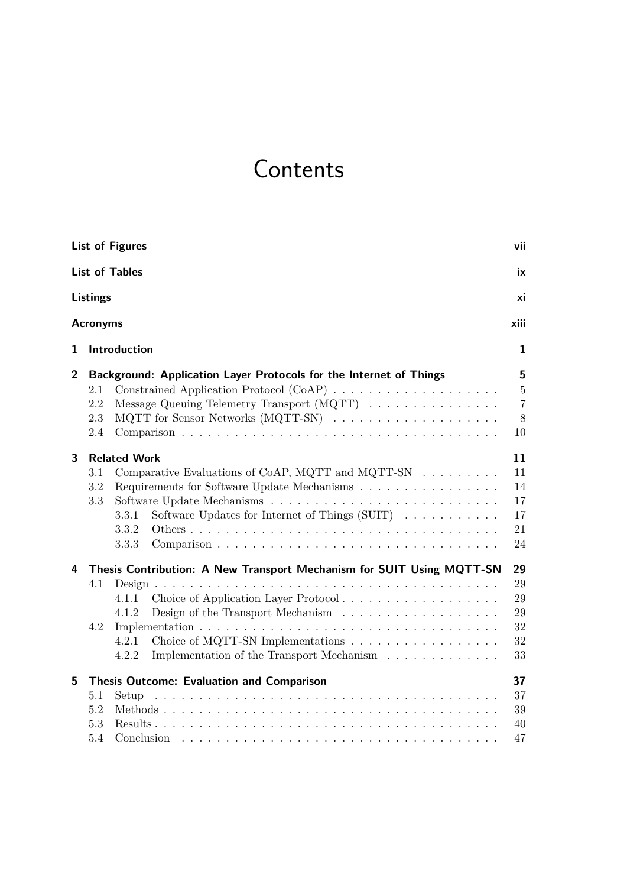# Contents

<span id="page-4-0"></span>

|                |                          | <b>List of Figures</b>                                                                                                                                                                                                              | vii                                                  |
|----------------|--------------------------|-------------------------------------------------------------------------------------------------------------------------------------------------------------------------------------------------------------------------------------|------------------------------------------------------|
|                |                          | <b>List of Tables</b>                                                                                                                                                                                                               | ix                                                   |
|                | <b>Listings</b>          |                                                                                                                                                                                                                                     | xi                                                   |
|                | <b>Acronyms</b>          |                                                                                                                                                                                                                                     | xiii                                                 |
| 1              |                          | Introduction                                                                                                                                                                                                                        | $\mathbf{1}$                                         |
| $\overline{2}$ | 2.1<br>2.2<br>2.3<br>2.4 | Background: Application Layer Protocols for the Internet of Things<br>Constrained Application Protocol (CoAP)<br>Message Queuing Telemetry Transport (MQTT)                                                                         | 5<br>$\overline{5}$<br>$\overline{7}$<br>$8\,$<br>10 |
| 3              | 3.1<br>3.2<br>3.3        | <b>Related Work</b><br>Comparative Evaluations of CoAP, MQTT and MQTT-SN<br>Requirements for Software Update Mechanisms<br>Software Updates for Internet of Things $(SUIT)$<br>3.3.1<br>3.3.2<br>3.3.3                              | 11<br>11<br>14<br>17<br>17<br>21<br>24               |
| 4              | 4.1<br>4.2               | Thesis Contribution: A New Transport Mechanism for SUIT Using MQTT-SN<br>Choice of Application Layer Protocol<br>4.1.1<br>4.1.2<br>Choice of MQTT-SN Implementations<br>4.2.1<br>Implementation of the Transport Mechanism<br>4.2.2 | 29<br>29<br>29<br>29<br>32<br>32<br>33               |
| 5              | 5.1<br>5.2<br>5.3<br>5.4 | Thesis Outcome: Evaluation and Comparison<br>Setup<br>Conclusion                                                                                                                                                                    | 37<br>37<br>39<br>40<br>47                           |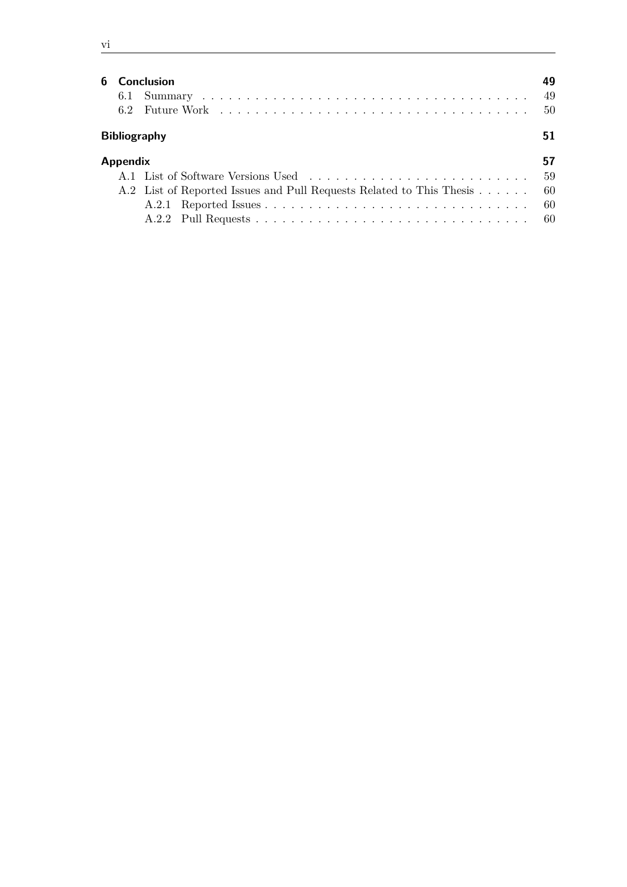| ۰. |  |
|----|--|
| ×  |  |
|    |  |

|                 | <b>6</b> Conclusion                                                     | 49   |
|-----------------|-------------------------------------------------------------------------|------|
|                 |                                                                         | -49  |
|                 |                                                                         | - 50 |
|                 | <b>Bibliography</b>                                                     | 51   |
| <b>Appendix</b> |                                                                         | 57   |
|                 | A.1 List of Software Versions Used                                      | -59  |
|                 | A.2 List of Reported Issues and Pull Requests Related to This Thesis 60 |      |
|                 |                                                                         | -60  |
|                 |                                                                         |      |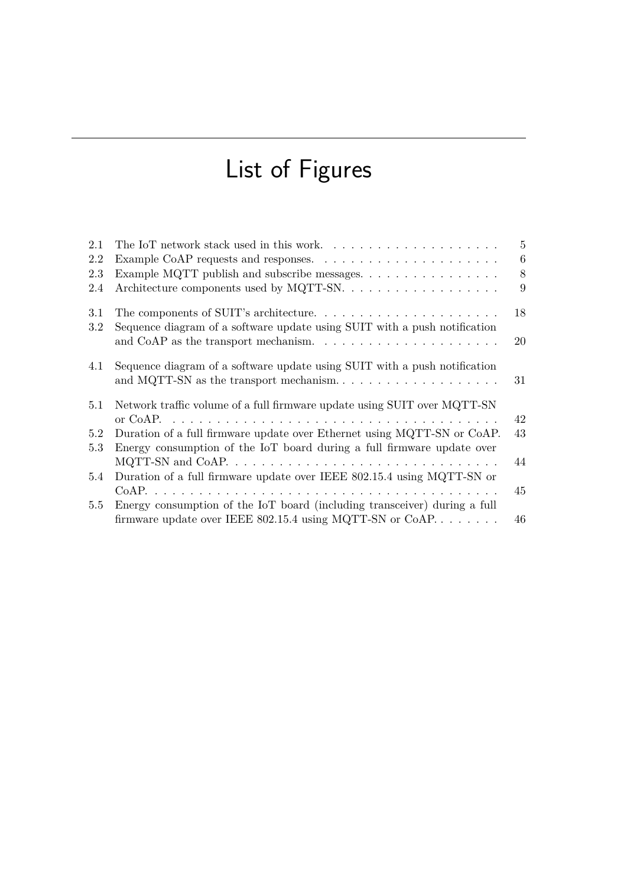# List of Figures

<span id="page-6-0"></span>

| 2.1        | The IoT network stack used in this work                                                                                                                               | 5  |
|------------|-----------------------------------------------------------------------------------------------------------------------------------------------------------------------|----|
| 2.2        | Example CoAP requests and responses. $\dots \dots \dots \dots \dots \dots \dots \dots$                                                                                | 6  |
| 2.3        |                                                                                                                                                                       | 8  |
| 2.4        |                                                                                                                                                                       | 9  |
| 3.1<br>3.2 | The components of SUIT's architecture. $\dots \dots \dots \dots \dots \dots \dots \dots$<br>Sequence diagram of a software update using SUIT with a push notification | 18 |
|            |                                                                                                                                                                       | 20 |
| 4.1        | Sequence diagram of a software update using SUIT with a push notification                                                                                             | 31 |
| 5.1        | Network traffic volume of a full firmware update using SUIT over MQTT-SN                                                                                              | 42 |
| 5.2        | Duration of a full firmware update over Ethernet using MQTT-SN or CoAP.                                                                                               | 43 |
| 5.3        | Energy consumption of the IoT board during a full firmware update over                                                                                                |    |
|            | MQTT-SN and CoAP. $\dots \dots \dots \dots \dots \dots \dots \dots \dots \dots \dots \dots \dots$                                                                     | 44 |
| 5.4        | Duration of a full firmware update over IEEE 802.15.4 using MQTT-SN or                                                                                                |    |
|            |                                                                                                                                                                       | 45 |
| 5.5        | Energy consumption of the IoT board (including transceiver) during a full<br>firmware update over IEEE 802.15.4 using MQTT-SN or CoAP                                 | 46 |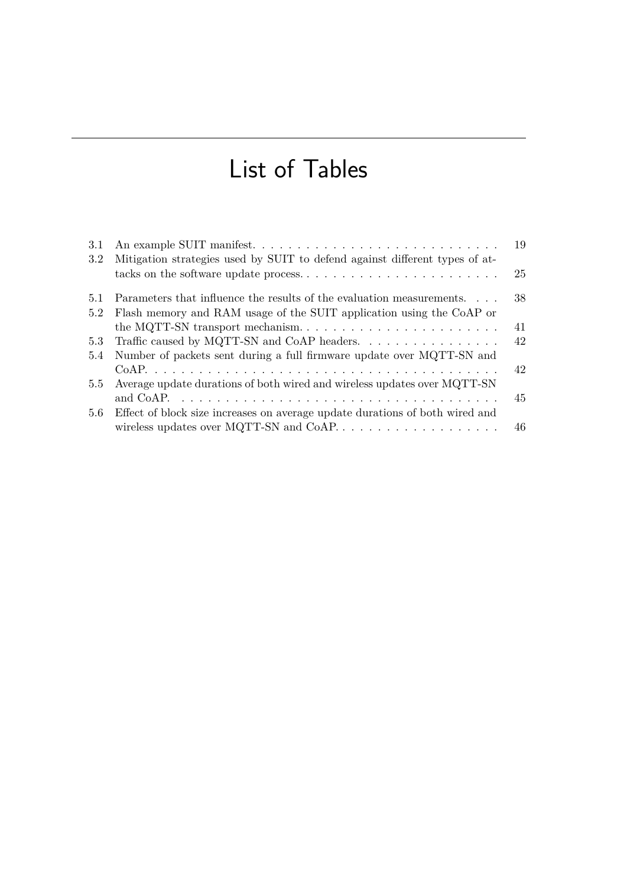# List of Tables

<span id="page-8-0"></span>

| 3.1           | An example SUIT manifest                                                     | 19 |
|---------------|------------------------------------------------------------------------------|----|
| 3.2           | Mitigation strategies used by SUIT to defend against different types of at-  |    |
|               |                                                                              | 25 |
| 5.1           | Parameters that influence the results of the evaluation measurements.        | 38 |
| 5.2           | Flash memory and RAM usage of the SUIT application using the CoAP or         |    |
|               |                                                                              | 41 |
| 5.3           | Traffic caused by MQTT-SN and CoAP headers.                                  | 42 |
|               | 5.4 Number of packets sent during a full firmware update over MQTT-SN and    |    |
|               |                                                                              | 42 |
| $5.5^{\circ}$ | Average update durations of both wired and wireless updates over MQTT-SN     |    |
|               |                                                                              | 45 |
| 5.6           | Effect of block size increases on average update durations of both wired and |    |
|               |                                                                              | 46 |
|               |                                                                              |    |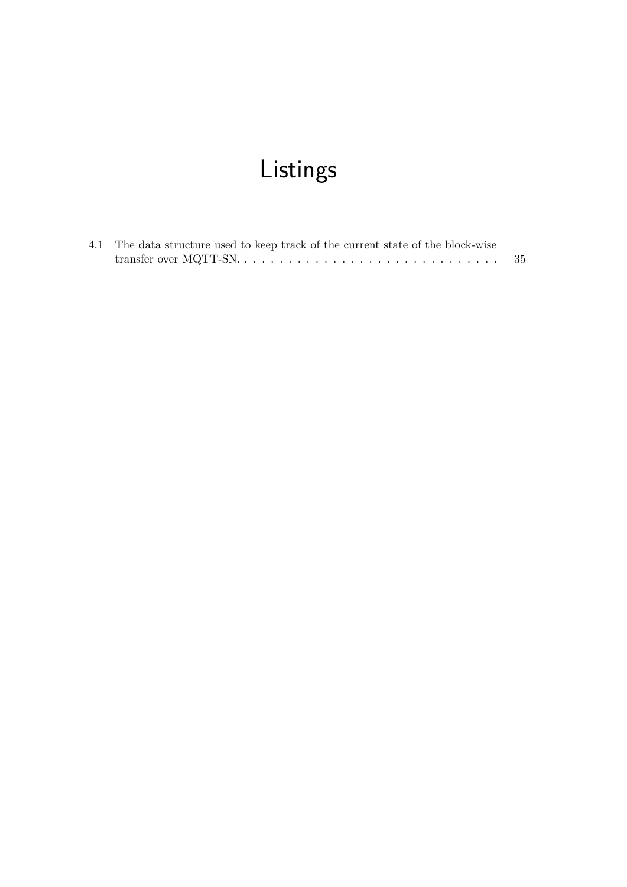# Listings

<span id="page-10-0"></span>

| 4.1 The data structure used to keep track of the current state of the block-wise |     |
|----------------------------------------------------------------------------------|-----|
|                                                                                  | -35 |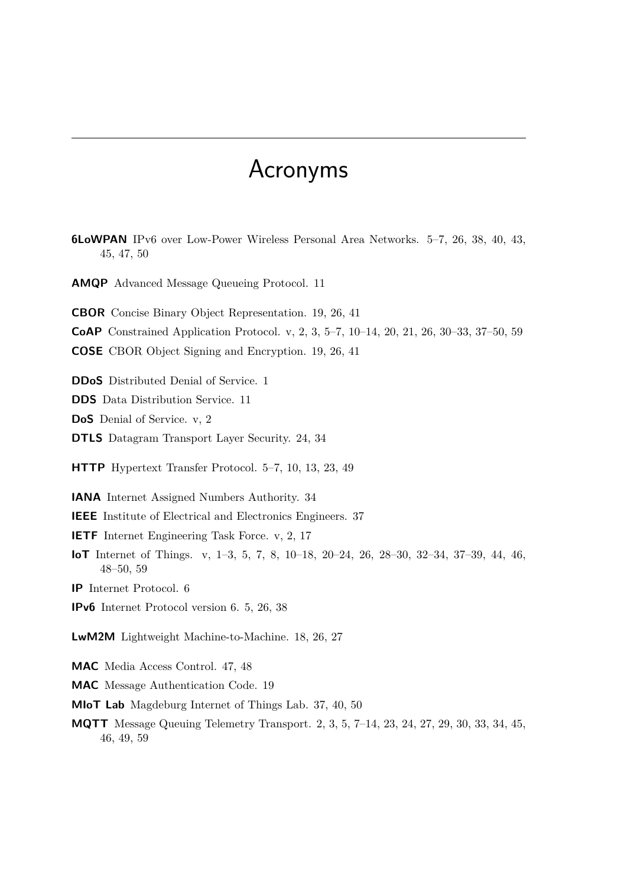# Acronyms

<span id="page-12-16"></span><span id="page-12-15"></span><span id="page-12-14"></span><span id="page-12-13"></span><span id="page-12-12"></span><span id="page-12-11"></span><span id="page-12-10"></span><span id="page-12-9"></span><span id="page-12-8"></span><span id="page-12-7"></span><span id="page-12-6"></span><span id="page-12-5"></span><span id="page-12-4"></span><span id="page-12-3"></span><span id="page-12-2"></span><span id="page-12-1"></span><span id="page-12-0"></span>**6LoWPAN** IPv6 over Low-Power Wireless Personal Area Networks. [5](#page-18-3)[–7,](#page-20-1) [26,](#page-39-0) [38,](#page-51-1) [40,](#page-53-1) [43,](#page-56-1) [45,](#page-58-2) [47,](#page-60-1) [50](#page-63-1) **AMQP** Advanced Message Queueing Protocol. [11](#page-24-2) **CBOR** Concise Binary Object Representation. [19,](#page-32-1) [26,](#page-39-0) [41](#page-54-1) **CoAP** Constrained Application Protocol. [v,](#page-4-0) [2,](#page-15-0) [3,](#page-16-0) [5–](#page-18-3)[7,](#page-20-1) [10–](#page-23-1)[14,](#page-27-1) [20,](#page-33-1) [21,](#page-34-1) [26,](#page-39-0) [30–](#page-43-0)[33,](#page-46-1) [37–](#page-50-2)[50,](#page-63-1) [59](#page-72-1) **COSE** CBOR Object Signing and Encryption. [19,](#page-32-1) [26,](#page-39-0) [41](#page-54-1) **DDoS** Distributed Denial of Service. [1](#page-14-1) **DDS** Data Distribution Service. [11](#page-24-2) **DoS** Denial of Service. [v,](#page-4-0) [2](#page-15-0) **DTLS** Datagram Transport Layer Security. [24,](#page-37-0) [34](#page-47-0) **HTTP** Hypertext Transfer Protocol. [5–](#page-18-3)[7,](#page-20-1) [10,](#page-23-1) [13,](#page-26-0) [23,](#page-36-1) [49](#page-62-2) **IANA** Internet Assigned Numbers Authority. [34](#page-47-0) **IEEE** Institute of Electrical and Electronics Engineers. [37](#page-50-2) **IETF** Internet Engineering Task Force. [v,](#page-4-0) [2,](#page-15-0) [17](#page-30-2) **IoT** Internet of Things. [v,](#page-4-0) [1–](#page-14-1)[3,](#page-16-0) [5,](#page-18-3) [7,](#page-20-1) [8,](#page-21-2) [10](#page-23-1)[–18,](#page-31-1) [20–](#page-33-1)[24,](#page-37-0) [26,](#page-39-0) [28–](#page-41-0)[30,](#page-43-0) [32–](#page-45-1)[34,](#page-47-0) [37–](#page-50-2)[39,](#page-52-1) [44,](#page-57-1) [46,](#page-59-2) [48](#page-61-0)[–50,](#page-63-1) [59](#page-72-1) **IP** Internet Protocol. [6](#page-19-1) **IPv6** Internet Protocol version 6. [5,](#page-18-3) [26,](#page-39-0) [38](#page-51-1) **LwM2M** Lightweight Machine-to-Machine. [18,](#page-31-1) [26,](#page-39-0) [27](#page-40-0) **MAC** Media Access Control. [47,](#page-60-1) [48](#page-61-0) **MAC** Message Authentication Code. [19](#page-32-1) **MIoT Lab** Magdeburg Internet of Things Lab. [37,](#page-50-2) [40,](#page-53-1) [50](#page-63-1) **MQTT** Message Queuing Telemetry Transport. [2,](#page-15-0) [3,](#page-16-0) [5,](#page-18-3) [7–](#page-20-1)[14,](#page-27-1) [23,](#page-36-1) [24,](#page-37-0) [27,](#page-40-0) [29,](#page-42-4) [30,](#page-43-0) [33,](#page-46-1) [34,](#page-47-0) [45,](#page-58-2) [46,](#page-59-2) [49,](#page-62-2) [59](#page-72-1)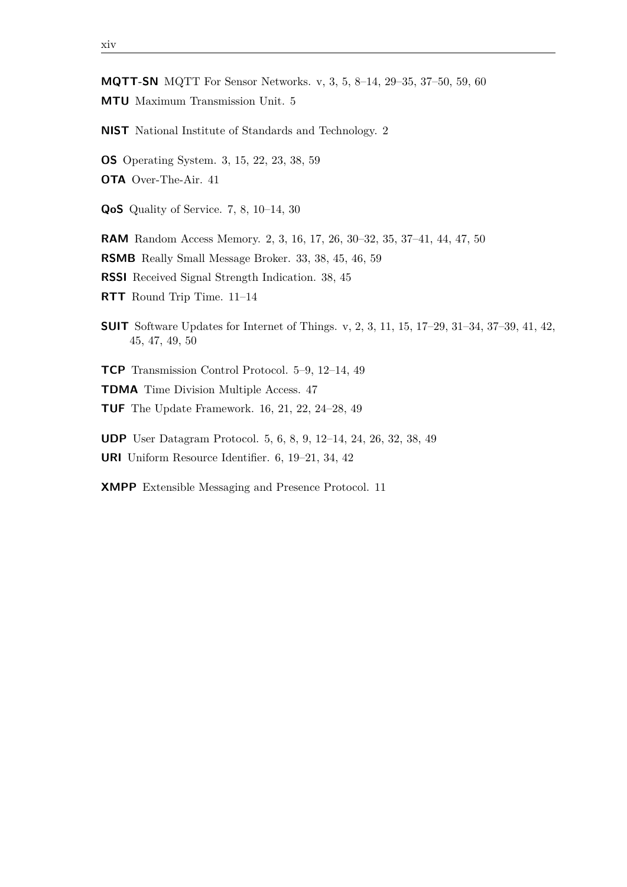<span id="page-13-7"></span><span id="page-13-1"></span>**MQTT-SN** MQTT For Sensor Networks. [v,](#page-4-0) [3,](#page-16-0) [5,](#page-18-3) [8](#page-21-2)[–14,](#page-27-1) [29–](#page-42-4)[35,](#page-48-1) [37–](#page-50-2)[50,](#page-63-1) [59,](#page-72-1) [60](#page-73-3) **MTU** Maximum Transmission Unit. [5](#page-18-3)

<span id="page-13-2"></span>**NIST** National Institute of Standards and Technology. [2](#page-15-0)

<span id="page-13-4"></span>**OS** Operating System. [3,](#page-16-0) [15,](#page-28-0) [22,](#page-35-0) [23,](#page-36-1) [38,](#page-51-1) [59](#page-72-1)

**OTA** Over-The-Air. [41](#page-54-1)

<span id="page-13-9"></span>**QoS** Quality of Service. [7,](#page-20-1) [8,](#page-21-2) [10–](#page-23-1)[14,](#page-27-1) [30](#page-43-0)

<span id="page-13-3"></span>**RAM** Random Access Memory. [2,](#page-15-0) [3,](#page-16-0) [16,](#page-29-0) [17,](#page-30-2) [26,](#page-39-0) [30](#page-43-0)[–32,](#page-45-1) [35,](#page-48-1) [37](#page-50-2)[–41,](#page-54-1) [44,](#page-57-1) [47,](#page-60-1) [50](#page-63-1)

**RSMB** Really Small Message Broker. [33,](#page-46-1) [38,](#page-51-1) [45,](#page-58-2) [46,](#page-59-2) [59](#page-72-1)

**RSSI** Received Signal Strength Indication. [38,](#page-51-1) [45](#page-58-2)

<span id="page-13-11"></span>**RTT** Round Trip Time. [11](#page-24-2)[–14](#page-27-1)

<span id="page-13-0"></span>**SUIT** Software Updates for Internet of Things. [v,](#page-4-0) [2,](#page-15-0) [3,](#page-16-0) [11,](#page-24-2) [15,](#page-28-0) [17–](#page-30-2)[29,](#page-42-4) [31–](#page-44-2)[34,](#page-47-0) [37–](#page-50-2)[39,](#page-52-1) [41,](#page-54-1) [42,](#page-55-2) [45,](#page-58-2) [47,](#page-60-1) [49,](#page-62-2) [50](#page-63-1)

<span id="page-13-6"></span>**TCP** Transmission Control Protocol. [5–](#page-18-3)[9,](#page-22-1) [12–](#page-25-0)[14,](#page-27-1) [49](#page-62-2)

**TDMA** Time Division Multiple Access. [47](#page-60-1)

<span id="page-13-12"></span>**TUF** The Update Framework. [16,](#page-29-0) [21,](#page-34-1) [22,](#page-35-0) [24](#page-37-0)[–28,](#page-41-0) [49](#page-62-2)

<span id="page-13-8"></span><span id="page-13-5"></span>**UDP** User Datagram Protocol. [5,](#page-18-3) [6,](#page-19-1) [8,](#page-21-2) [9,](#page-22-1) [12](#page-25-0)[–14,](#page-27-1) [24,](#page-37-0) [26,](#page-39-0) [32,](#page-45-1) [38,](#page-51-1) [49](#page-62-2) **URI** Uniform Resource Identifier. [6,](#page-19-1) [19–](#page-32-1)[21,](#page-34-1) [34,](#page-47-0) [42](#page-55-2)

<span id="page-13-10"></span>**XMPP** Extensible Messaging and Presence Protocol. [11](#page-24-2)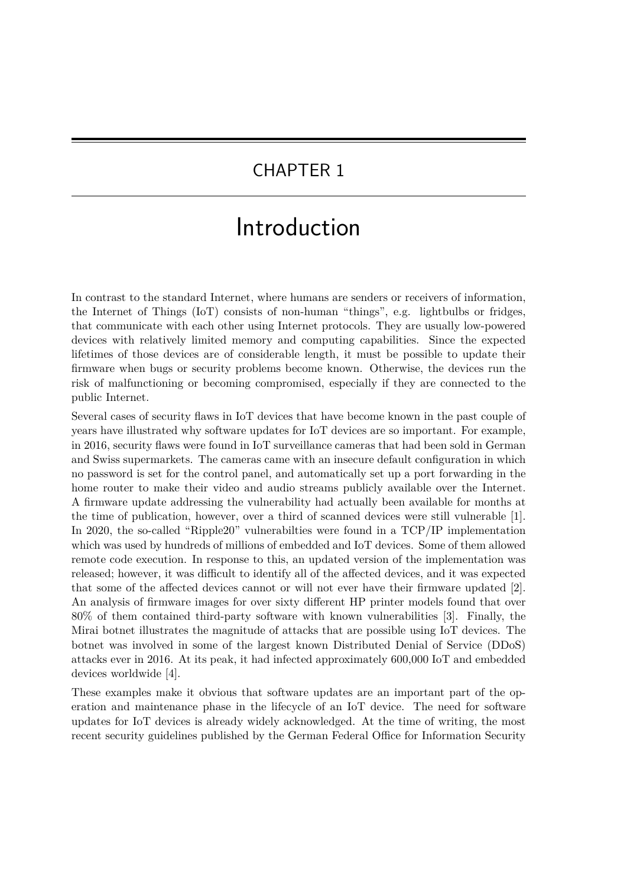## <span id="page-14-1"></span><span id="page-14-0"></span>CHAPTER 1

# Introduction

In contrast to the standard Internet, where humans are senders or receivers of information, the [Internet of Things \(IoT\)](#page-12-0) consists of non-human "things", e.g. lightbulbs or fridges, that communicate with each other using Internet protocols. They are usually low-powered devices with relatively limited memory and computing capabilities. Since the expected lifetimes of those devices are of considerable length, it must be possible to update their firmware when bugs or security problems become known. Otherwise, the devices run the risk of malfunctioning or becoming compromised, especially if they are connected to the public Internet.

Several cases of security flaws in [IoT](#page-12-0) devices that have become known in the past couple of years have illustrated why software updates for [IoT](#page-12-0) devices are so important. For example, in 2016, security flaws were found in [IoT](#page-12-0) surveillance cameras that had been sold in German and Swiss supermarkets. The cameras came with an insecure default configuration in which no password is set for the control panel, and automatically set up a port forwarding in the home router to make their video and audio streams publicly available over the Internet. A firmware update addressing the vulnerability had actually been available for months at the time of publication, however, over a third of scanned devices were still vulnerable [\[1\]](#page-64-1). In 2020, the so-called "Ripple20" vulnerabilties were found in a TCP/IP implementation which was used by hundreds of millions of embedded and [IoT](#page-12-0) devices. Some of them allowed remote code execution. In response to this, an updated version of the implementation was released; however, it was difficult to identify all of the affected devices, and it was expected that some of the affected devices cannot or will not ever have their firmware updated [\[2\]](#page-64-2). An analysis of firmware images for over sixty different HP printer models found that over 80% of them contained third-party software with known vulnerabilities [\[3\]](#page-64-3). Finally, the Mirai botnet illustrates the magnitude of attacks that are possible using [IoT](#page-12-0) devices. The botnet was involved in some of the largest known [Distributed Denial of Service \(DDoS\)](#page-12-5) attacks ever in 2016. At its peak, it had infected approximately 600,000 [IoT](#page-12-0) and embedded devices worldwide [\[4\]](#page-64-4).

These examples make it obvious that software updates are an important part of the operation and maintenance phase in the lifecycle of an [IoT](#page-12-0) device. The need for software updates for [IoT](#page-12-0) devices is already widely acknowledged. At the time of writing, the most recent security guidelines published by the German Federal Office for Information Security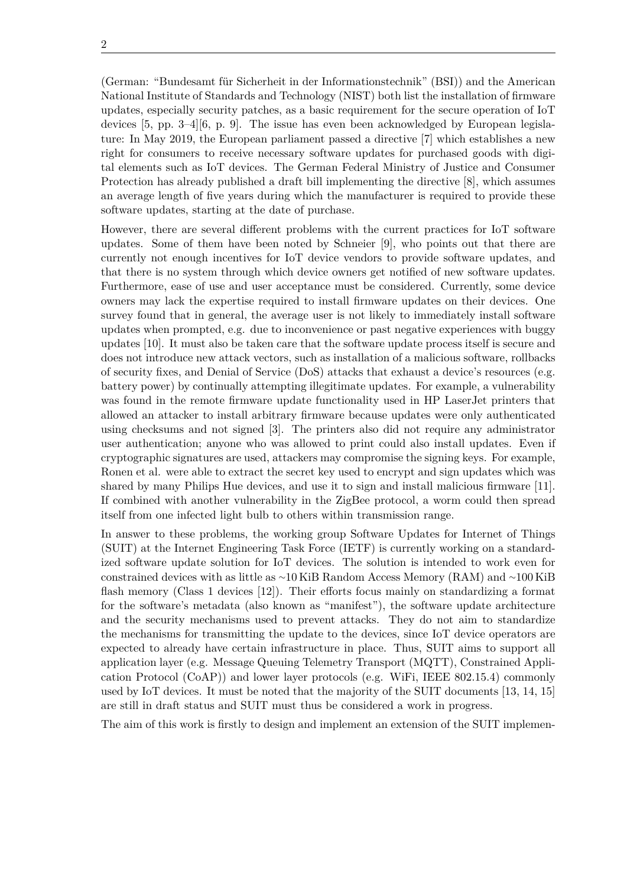<span id="page-15-0"></span>(German: "Bundesamt für Sicherheit in der Informationstechnik" (BSI)) and the American [National Institute of Standards and Technology \(NIST\)](#page-13-2) both list the installation of firmware updates, especially security patches, as a basic requirement for the secure operation of [IoT](#page-12-0) devices [\[5,](#page-64-5) pp. 3–4][\[6,](#page-64-6) p. 9]. The issue has even been acknowledged by European legislature: In May 2019, the European parliament passed a directive [\[7\]](#page-64-7) which establishes a new right for consumers to receive necessary software updates for purchased goods with digital elements such as [IoT](#page-12-0) devices. The German Federal Ministry of Justice and Consumer Protection has already published a draft bill implementing the directive [\[8\]](#page-64-8), which assumes an average length of five years during which the manufacturer is required to provide these software updates, starting at the date of purchase.

However, there are several different problems with the current practices for [IoT](#page-12-0) software updates. Some of them have been noted by Schneier [\[9\]](#page-65-0), who points out that there are currently not enough incentives for [IoT](#page-12-0) device vendors to provide software updates, and that there is no system through which device owners get notified of new software updates. Furthermore, ease of use and user acceptance must be considered. Currently, some device owners may lack the expertise required to install firmware updates on their devices. One survey found that in general, the average user is not likely to immediately install software updates when prompted, e.g. due to inconvenience or past negative experiences with buggy updates [\[10\]](#page-65-1). It must also be taken care that the software update process itself is secure and does not introduce new attack vectors, such as installation of a malicious software, rollbacks of security fixes, and [Denial of Service \(DoS\)](#page-12-1) attacks that exhaust a device's resources (e.g. battery power) by continually attempting illegitimate updates. For example, a vulnerability was found in the remote firmware update functionality used in HP LaserJet printers that allowed an attacker to install arbitrary firmware because updates were only authenticated using checksums and not signed [\[3\]](#page-64-3). The printers also did not require any administrator user authentication; anyone who was allowed to print could also install updates. Even if cryptographic signatures are used, attackers may compromise the signing keys. For example, Ronen et al. were able to extract the secret key used to encrypt and sign updates which was shared by many Philips Hue devices, and use it to sign and install malicious firmware [\[11\]](#page-65-2). If combined with another vulnerability in the ZigBee protocol, a worm could then spread itself from one infected light bulb to others within transmission range.

In answer to these problems, the working group [Software Updates for Internet of Things](#page-13-0) [\(SUIT\)](#page-13-0) at the [Internet Engineering Task Force \(IETF\)](#page-12-2) is currently working on a standardized software update solution for [IoT](#page-12-0) devices. The solution is intended to work even for constrained devices with as little as ∼10 KiB [Random Access Memory \(RAM\)](#page-13-3) and ∼100 KiB flash memory (Class 1 devices [\[12\]](#page-65-3)). Their efforts focus mainly on standardizing a format for the software's metadata (also known as "manifest"), the software update architecture and the security mechanisms used to prevent attacks. They do not aim to standardize the mechanisms for transmitting the update to the devices, since [IoT](#page-12-0) device operators are expected to already have certain infrastructure in place. Thus, [SUIT](#page-13-0) aims to support all application layer (e.g. [Message Queuing Telemetry Transport \(MQTT\),](#page-12-6) [Constrained Appli](#page-12-3)[cation Protocol \(CoAP\)\)](#page-12-3) and lower layer protocols (e.g. WiFi, IEEE 802.15.4) commonly used by [IoT](#page-12-0) devices. It must be noted that the majority of the [SUIT](#page-13-0) documents [\[13,](#page-65-4) [14,](#page-65-5) [15\]](#page-65-6) are still in draft status and [SUIT](#page-13-0) must thus be considered a work in progress.

The aim of this work is firstly to design and implement an extension of the [SUIT](#page-13-0) implemen-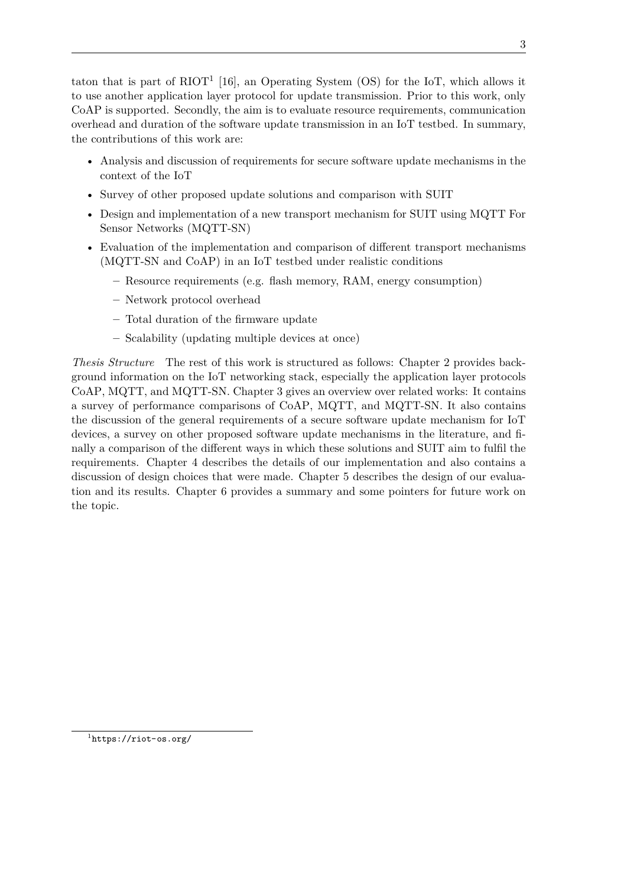<span id="page-16-0"></span>taton that is part of  $RIOT^1$  $RIOT^1$  [\[16\]](#page-65-7), an [Operating System \(OS\)](#page-13-4) for the [IoT,](#page-12-0) which allows it to use another application layer protocol for update transmission. Prior to this work, only [CoAP](#page-12-3) is supported. Secondly, the aim is to evaluate resource requirements, communication overhead and duration of the software update transmission in an [IoT](#page-12-0) testbed. In summary, the contributions of this work are:

- Analysis and discussion of requirements for secure software update mechanisms in the context of the [IoT](#page-12-0)
- Survey of other proposed update solutions and comparison with SUIT
- Design and implementation of a new transport mechanism for [SUIT](#page-13-0) using [MQTT For](#page-13-1) [Sensor Networks \(MQTT-SN\)](#page-13-1)
- Evaluation of the implementation and comparison of different transport mechanisms [\(MQTT-SN](#page-13-1) and [CoAP\)](#page-12-3) in an [IoT](#page-12-0) testbed under realistic conditions
	- **–** Resource requirements (e.g. flash memory, [RAM,](#page-13-3) energy consumption)
	- **–** Network protocol overhead
	- **–** Total duration of the firmware update
	- **–** Scalability (updating multiple devices at once)

*Thesis Structure* The rest of this work is structured as follows: [Chapter 2](#page-18-0) provides background information on the [IoT](#page-12-0) networking stack, especially the application layer protocols [CoAP,](#page-12-3) [MQTT,](#page-12-6) and [MQTT-SN.](#page-13-1) [Chapter 3](#page-24-0) gives an overview over related works: It contains a survey of performance comparisons of [CoAP,](#page-12-3) [MQTT,](#page-12-6) and [MQTT-SN.](#page-13-1) It also contains the discussion of the general requirements of a secure software update mechanism for [IoT](#page-12-0) devices, a survey on other proposed software update mechanisms in the literature, and finally a comparison of the different ways in which these solutions and [SUIT](#page-13-0) aim to fulfil the requirements. [Chapter 4](#page-42-0) describes the details of our implementation and also contains a discussion of design choices that were made. [Chapter 5](#page-50-0) describes the design of our evaluation and its results. [Chapter 6](#page-62-0) provides a summary and some pointers for future work on the topic.

1 <https://riot-os.org/>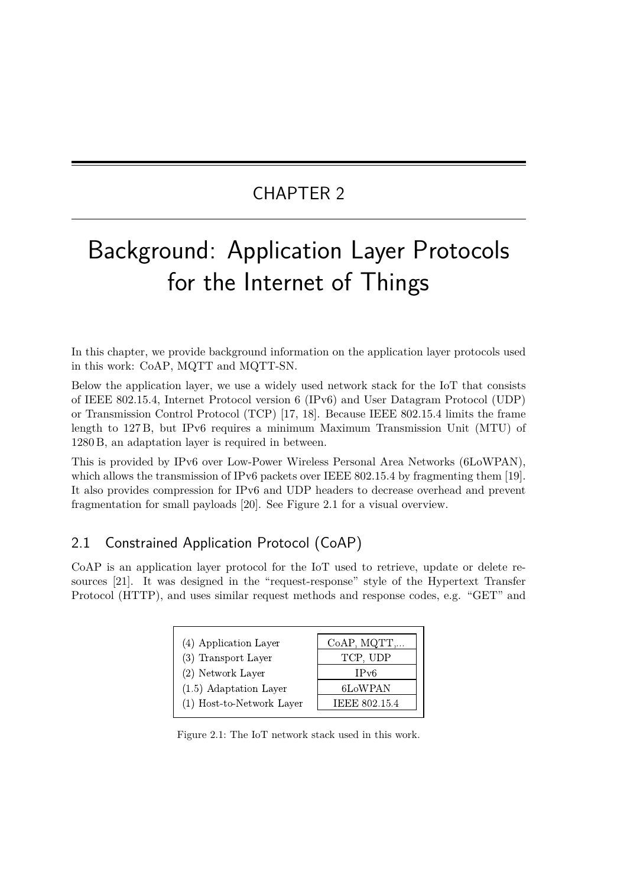# CHAPTER 2

# <span id="page-18-3"></span><span id="page-18-0"></span>Background: Application Layer Protocols for the Internet of Things

In this chapter, we provide background information on the application layer protocols used in this work: [CoAP,](#page-12-3) [MQTT](#page-12-6) and [MQTT-SN.](#page-13-1)

Below the application layer, we use a widely used network stack for the [IoT](#page-12-0) that consists of IEEE 802.15.4, [Internet Protocol version 6 \(IPv6\)](#page-12-7) and [User Datagram Protocol \(UDP\)](#page-13-5) or [Transmission Control Protocol \(TCP\)](#page-13-6) [\[17,](#page-65-8) [18\]](#page-65-9). Because IEEE 802.15.4 limits the frame length to 127 B, but [IPv6](#page-12-7) requires a minimum [Maximum Transmission Unit \(MTU\)](#page-13-7) of 1280 B, an adaptation layer is required in between.

This is provided by [IPv6 over Low-Power Wireless Personal Area Networks \(6LoWPAN\),](#page-12-8) which allows the transmission of [IPv6](#page-12-7) packets over IEEE 802.15.4 by fragmenting them [\[19\]](#page-65-10). It also provides compression for [IPv6](#page-12-7) and [UDP](#page-13-5) headers to decrease overhead and prevent fragmentation for small payloads [\[20\]](#page-65-11). See [Figure 2.1](#page-18-2) for a visual overview.

## <span id="page-18-1"></span>2.1 Constrained Application Protocol (CoAP)

<span id="page-18-2"></span>[CoAP](#page-12-3) is an application layer protocol for the [IoT](#page-12-0) used to retrieve, update or delete resources [\[21\]](#page-65-12). It was designed in the "request-response" style of the [Hypertext Transfer](#page-12-9) [Protocol \(HTTP\),](#page-12-9) and uses similar request methods and response codes, e.g. "GET" and

| (4) Application Layer     | CoAP, MQTT,          |
|---------------------------|----------------------|
| (3) Transport Layer       | TCP, UDP             |
| (2) Network Layer         | IPv6                 |
| $(1.5)$ Adaptation Layer  | 6LoWPAN              |
| (1) Host-to-Network Layer | <b>IEEE 802.15.4</b> |

Figure 2.1: The [IoT](#page-12-0) network stack used in this work.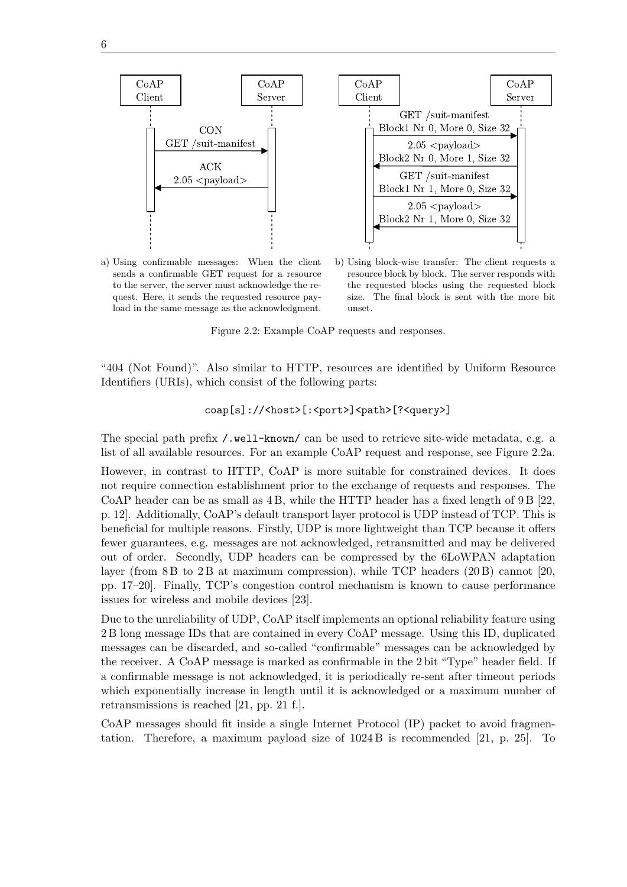<span id="page-19-1"></span><span id="page-19-0"></span>

a) Using confirmable messages: When the client sends a confirmable GET request for a resource to the server, the server must acknowledge the request. Here, it sends the requested resource payload in the same message as the acknowledgment.

b) Using block-wise transfer: The client requests a resource block by block. The server responds with the requested blocks using the requested block size. The final block is sent with the more bit unset.

Figure 2.2: Example [CoAP](#page-12-3) requests and responses.

"404 (Not Found)". Also similar to [HTTP,](#page-12-9) resources are identified by [Uniform Resource](#page-13-8) [Identifiers \(URIs\),](#page-13-8) which consist of the following parts:

coap[s]://<host>[:<port>]<path>[?<query>]

The special path prefix /.well-known/ can be used to retrieve site-wide metadata, e.g. a list of all available resources. For an example [CoAP](#page-12-3) request and response, see [Figure 2.2a.](#page-19-0)

However, in contrast to [HTTP,](#page-12-9) [CoAP](#page-12-3) is more suitable for constrained devices. It does not require connection establishment prior to the exchange of requests and responses. The [CoAP](#page-12-3) header can be as small as 4 B, while the [HTTP](#page-12-9) header has a fixed length of 9 B [\[22,](#page-66-0) p. 12]. Additionally, [CoAP'](#page-12-3)s default transport layer protocol is [UDP](#page-13-5) instead of [TCP.](#page-13-6) This is beneficial for multiple reasons. Firstly, [UDP](#page-13-5) is more lightweight than [TCP](#page-13-6) because it offers fewer guarantees, e.g. messages are not acknowledged, retransmitted and may be delivered out of order. Secondly, [UDP](#page-13-5) headers can be compressed by the [6LoWPAN](#page-12-8) adaptation layer (from 8 B to 2 B at maximum compression), while [TCP](#page-13-6) headers (20 B) cannot [\[20,](#page-65-11) pp. 17–20]. Finally, [TCP'](#page-13-6)s congestion control mechanism is known to cause performance issues for wireless and mobile devices [\[23\]](#page-66-1).

Due to the unreliability of [UDP,](#page-13-5) [CoAP](#page-12-3) itself implements an optional reliability feature using 2 B long message IDs that are contained in every [CoAP](#page-12-3) message. Using this ID, duplicated messages can be discarded, and so-called "confirmable" messages can be acknowledged by the receiver. A [CoAP](#page-12-3) message is marked as confirmable in the 2 bit "Type" header field. If a confirmable message is not acknowledged, it is periodically re-sent after timeout periods which exponentially increase in length until it is acknowledged or a maximum number of retransmissions is reached [\[21,](#page-65-12) pp. 21 f.].

[CoAP](#page-12-3) messages should fit inside a single [Internet Protocol \(IP\)](#page-12-10) packet to avoid fragmentation. Therefore, a maximum payload size of 1024 B is recommended [\[21,](#page-65-12) p. 25]. To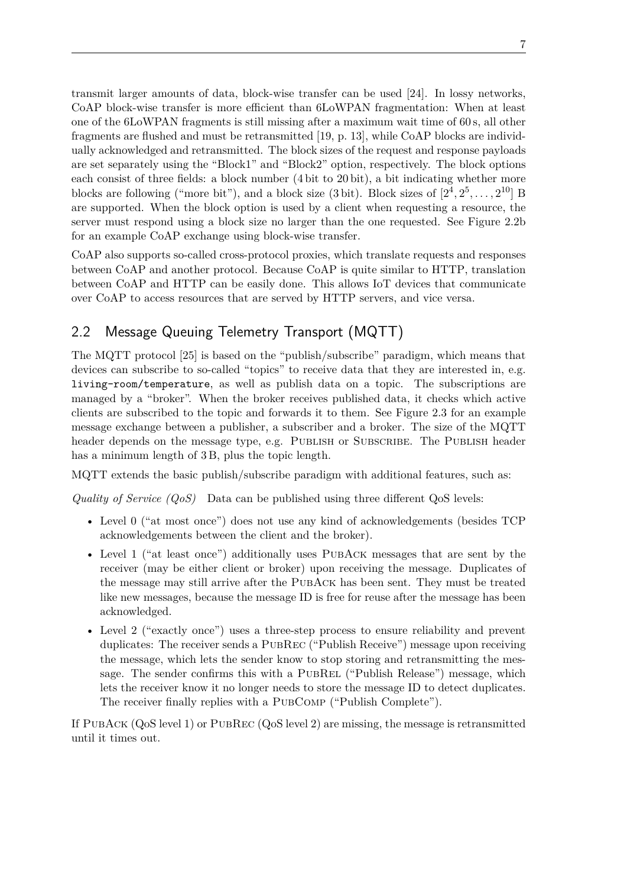<span id="page-20-1"></span>transmit larger amounts of data, block-wise transfer can be used [\[24\]](#page-66-2). In lossy networks, [CoAP](#page-12-3) block-wise transfer is more efficient than [6LoWPAN](#page-12-8) fragmentation: When at least one of the [6LoWPAN](#page-12-8) fragments is still missing after a maximum wait time of 60 s, all other fragments are flushed and must be retransmitted [\[19,](#page-65-10) p. 13], while [CoAP](#page-12-3) blocks are individually acknowledged and retransmitted. The block sizes of the request and response payloads are set separately using the "Block1" and "Block2" option, respectively. The block options each consist of three fields: a block number (4 bit to 20 bit), a bit indicating whether more blocks are following ("more bit"), and a block size (3 bit). Block sizes of  $[2^4, 2^5, \ldots, 2^{10}]$  B are supported. When the block option is used by a client when requesting a resource, the server must respond using a block size no larger than the one requested. See [Figure 2.2b](#page-19-0) for an example [CoAP](#page-12-3) exchange using block-wise transfer.

[CoAP](#page-12-3) also supports so-called cross-protocol proxies, which translate requests and responses between [CoAP](#page-12-3) and another protocol. Because [CoAP](#page-12-3) is quite similar to [HTTP,](#page-12-9) translation between [CoAP](#page-12-3) and [HTTP](#page-12-9) can be easily done. This allows [IoT](#page-12-0) devices that communicate over [CoAP](#page-12-3) to access resources that are served by [HTTP](#page-12-9) servers, and vice versa.

## <span id="page-20-0"></span>2.2 Message Queuing Telemetry Transport (MQTT)

The [MQTT](#page-12-6) protocol [\[25\]](#page-66-3) is based on the "publish/subscribe" paradigm, which means that devices can subscribe to so-called "topics" to receive data that they are interested in, e.g. living-room/temperature, as well as publish data on a topic. The subscriptions are managed by a "broker". When the broker receives published data, it checks which active clients are subscribed to the topic and forwards it to them. See [Figure 2.3](#page-21-1) for an example message exchange between a publisher, a subscriber and a broker. The size of the [MQTT](#page-12-6) header depends on the message type, e.g. PUBLISH or SUBSCRIBE. The PUBLISH header has a minimum length of 3 B, plus the topic length.

[MQTT](#page-12-6) extends the basic publish/subscribe paradigm with additional features, such as:

*[Quality of Service \(QoS\)](#page-13-9)* Data can be published using three different [QoS](#page-13-9) levels:

- Level 0 ("at most once") does not use any kind of acknowledgements (besides [TCP](#page-13-6) acknowledgements between the client and the broker).
- Level 1 ("at least once") additionally uses PUBACK messages that are sent by the receiver (may be either client or broker) upon receiving the message. Duplicates of the message may still arrive after the PubAck has been sent. They must be treated like new messages, because the message ID is free for reuse after the message has been acknowledged.
- Level 2 ("exactly once") uses a three-step process to ensure reliability and prevent duplicates: The receiver sends a PubRec ("Publish Receive") message upon receiving the message, which lets the sender know to stop storing and retransmitting the message. The sender confirms this with a PUBREL ("Publish Release") message, which lets the receiver know it no longer needs to store the message ID to detect duplicates. The receiver finally replies with a PUBCOMP ("Publish Complete").

If PubAck [\(QoS](#page-13-9) level 1) or PubRec [\(QoS](#page-13-9) level 2) are missing, the message is retransmitted until it times out.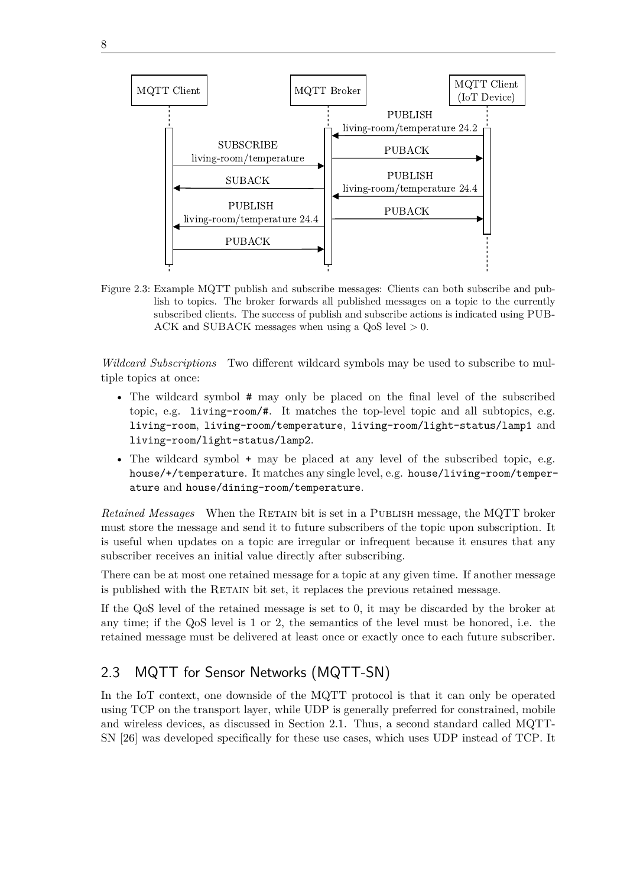<span id="page-21-2"></span>

<span id="page-21-1"></span>

Figure 2.3: Example [MQTT](#page-12-6) publish and subscribe messages: Clients can both subscribe and publish to topics. The broker forwards all published messages on a topic to the currently subscribed clients. The success of publish and subscribe actions is indicated using PUB-ACK and SUBACK messages when using a [QoS](#page-13-9) level *>* 0.

*Wildcard Subscriptions* Two different wildcard symbols may be used to subscribe to multiple topics at once:

- The wildcard symbol # may only be placed on the final level of the subscribed topic, e.g. living-room/#. It matches the top-level topic and all subtopics, e.g. living-room, living-room/temperature, living-room/light-status/lamp1 and living-room/light-status/lamp2.
- The wildcard symbol + may be placed at any level of the subscribed topic, e.g. house/+/temperature. It matches any single level, e.g. house/living-room/temperature and house/dining-room/temperature.

*Retained Messages* When the RETAIN bit is set in a PUBLISH message, the [MQTT](#page-12-6) broker must store the message and send it to future subscribers of the topic upon subscription. It is useful when updates on a topic are irregular or infrequent because it ensures that any subscriber receives an initial value directly after subscribing.

There can be at most one retained message for a topic at any given time. If another message is published with the RETAIN bit set, it replaces the previous retained message.

If the [QoS](#page-13-9) level of the retained message is set to 0, it may be discarded by the broker at any time; if the [QoS](#page-13-9) level is 1 or 2, the semantics of the level must be honored, i.e. the retained message must be delivered at least once or exactly once to each future subscriber.

## <span id="page-21-0"></span>2.3 MQTT for Sensor Networks (MQTT-SN)

In the [IoT](#page-12-0) context, one downside of the [MQTT](#page-12-6) protocol is that it can only be operated using [TCP](#page-13-6) on the transport layer, while [UDP](#page-13-5) is generally preferred for constrained, mobile and wireless devices, as discussed in [Section 2.1.](#page-18-1) Thus, a second standard called [MQTT-](#page-13-1)[SN](#page-13-1) [\[26\]](#page-66-4) was developed specifically for these use cases, which uses [UDP](#page-13-5) instead of [TCP.](#page-13-6) It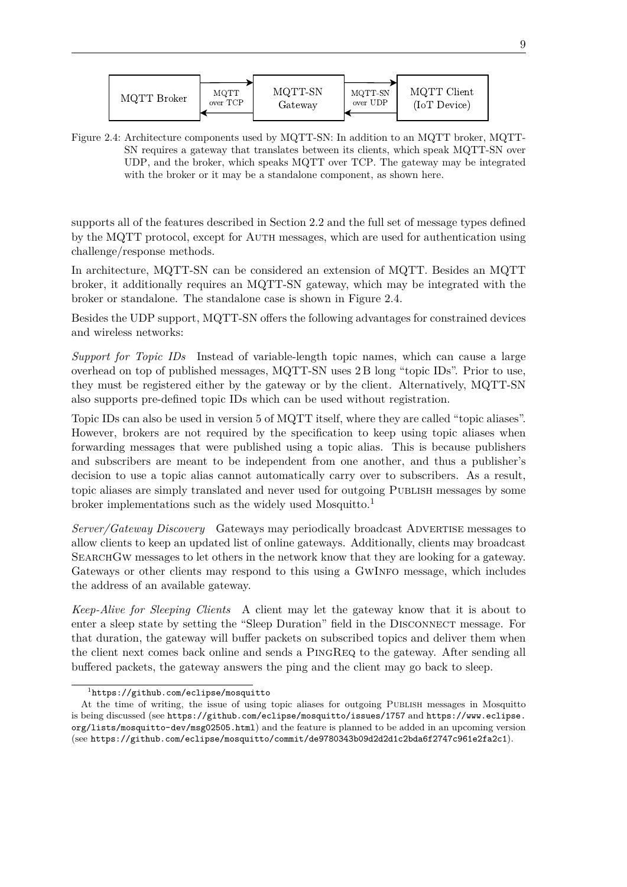<span id="page-22-1"></span><span id="page-22-0"></span>

Figure 2.4: Architecture components used by [MQTT-SN:](#page-13-1) In addition to an [MQTT](#page-12-6) broker, [MQTT-](#page-13-1)[SN](#page-13-1) requires a gateway that translates between its clients, which speak [MQTT-SN](#page-13-1) over [UDP,](#page-13-5) and the broker, which speaks [MQTT](#page-12-6) over [TCP.](#page-13-6) The gateway may be integrated with the broker or it may be a standalone component, as shown here.

supports all of the features described in [Section 2.2](#page-20-0) and the full set of message types defined by the [MQTT](#page-12-6) protocol, except for AUTH messages, which are used for authentication using challenge/response methods.

In architecture, [MQTT-SN](#page-13-1) can be considered an extension of [MQTT.](#page-12-6) Besides an [MQTT](#page-12-6) broker, it additionally requires an [MQTT-SN](#page-13-1) gateway, which may be integrated with the broker or standalone. The standalone case is shown in [Figure 2.4.](#page-22-0)

Besides the [UDP](#page-13-5) support, [MQTT-SN](#page-13-1) offers the following advantages for constrained devices and wireless networks:

*Support for Topic IDs* Instead of variable-length topic names, which can cause a large overhead on top of published messages, [MQTT-SN](#page-13-1) uses 2 B long "topic IDs". Prior to use, they must be registered either by the gateway or by the client. Alternatively, [MQTT-SN](#page-13-1) also supports pre-defined topic IDs which can be used without registration.

Topic IDs can also be used in version 5 of [MQTT](#page-12-6) itself, where they are called "topic aliases". However, brokers are not required by the specification to keep using topic aliases when forwarding messages that were published using a topic alias. This is because publishers and subscribers are meant to be independent from one another, and thus a publisher's decision to use a topic alias cannot automatically carry over to subscribers. As a result, topic aliases are simply translated and never used for outgoing Publish messages by some broker implementations such as the widely used Mosquitto.<sup>[1](#page-0-0)</sup>

*Server/Gateway Discovery* Gateways may periodically broadcast Advertise messages to allow clients to keep an updated list of online gateways. Additionally, clients may broadcast SearchGw messages to let others in the network know that they are looking for a gateway. Gateways or other clients may respond to this using a GwInfo message, which includes the address of an available gateway.

*Keep-Alive for Sleeping Clients* A client may let the gateway know that it is about to enter a sleep state by setting the "Sleep Duration" field in the DISCONNECT message. For that duration, the gateway will buffer packets on subscribed topics and deliver them when the client next comes back online and sends a PingReq to the gateway. After sending all buffered packets, the gateway answers the ping and the client may go back to sleep.

<sup>1</sup> <https://github.com/eclipse/mosquitto>

At the time of writing, the issue of using topic aliases for outgoing Publish messages in Mosquitto is being discussed (see <https://github.com/eclipse/mosquitto/issues/1757> and [https://www.eclipse.](https://www.eclipse.org/lists/mosquitto-dev/msg02505.html) [org/lists/mosquitto-dev/msg02505.html](https://www.eclipse.org/lists/mosquitto-dev/msg02505.html)) and the feature is planned to be added in an upcoming version (see <https://github.com/eclipse/mosquitto/commit/de9780343b09d2d2d1c2bda6f2747c961e2fa2c1>).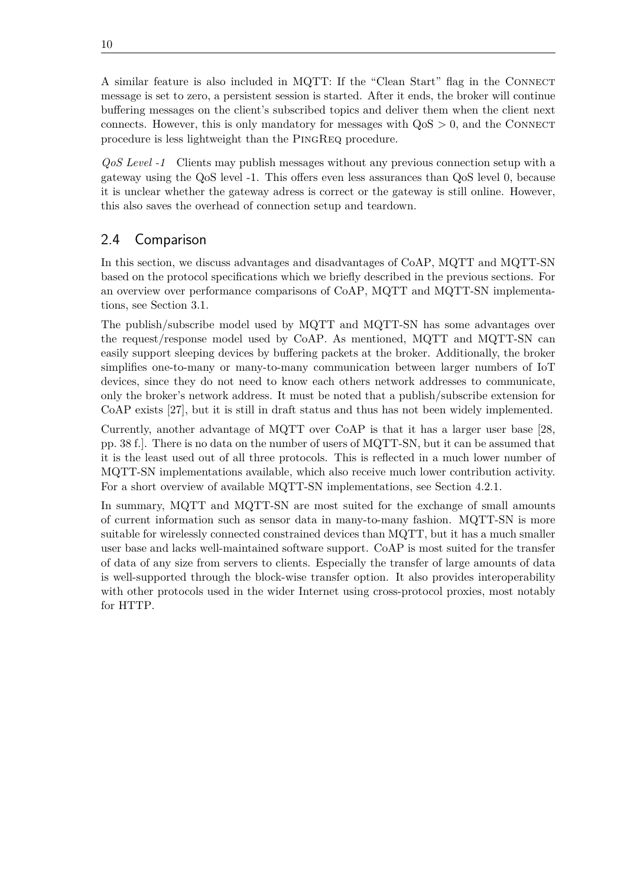<span id="page-23-1"></span>A similar feature is also included in [MQTT:](#page-12-6) If the "Clean Start" flag in the CONNECT message is set to zero, a persistent session is started. After it ends, the broker will continue buffering messages on the client's subscribed topics and deliver them when the client next connects. However, this is only mandatory for messages with  $QoS > 0$ , and the CONNECT procedure is less lightweight than the PingReq procedure.

*[QoS](#page-13-9) Level -1* Clients may publish messages without any previous connection setup with a gateway using the [QoS](#page-13-9) level -1. This offers even less assurances than [QoS](#page-13-9) level 0, because it is unclear whether the gateway adress is correct or the gateway is still online. However, this also saves the overhead of connection setup and teardown.

## <span id="page-23-0"></span>2.4 Comparison

In this section, we discuss advantages and disadvantages of [CoAP,](#page-12-3) [MQTT](#page-12-6) and [MQTT-SN](#page-13-1) based on the protocol specifications which we briefly described in the previous sections. For an overview over performance comparisons of [CoAP,](#page-12-3) [MQTT](#page-12-6) and [MQTT-SN](#page-13-1) implementations, see [Section 3.1.](#page-24-1)

The publish/subscribe model used by [MQTT](#page-12-6) and [MQTT-SN](#page-13-1) has some advantages over the request/response model used by [CoAP.](#page-12-3) As mentioned, [MQTT](#page-12-6) and [MQTT-SN](#page-13-1) can easily support sleeping devices by buffering packets at the broker. Additionally, the broker simplifies one-to-many or many-to-many communication between larger numbers of [IoT](#page-12-0) devices, since they do not need to know each others network addresses to communicate, only the broker's network address. It must be noted that a publish/subscribe extension for [CoAP](#page-12-3) exists [\[27\]](#page-66-5), but it is still in draft status and thus has not been widely implemented.

Currently, another advantage of [MQTT](#page-12-6) over [CoAP](#page-12-3) is that it has a larger user base [\[28,](#page-66-6) pp. 38 f.]. There is no data on the number of users of [MQTT-SN,](#page-13-1) but it can be assumed that it is the least used out of all three protocols. This is reflected in a much lower number of [MQTT-SN](#page-13-1) implementations available, which also receive much lower contribution activity. For a short overview of available [MQTT-SN](#page-13-1) implementations, see [Section 4.2.1.](#page-45-0)

In summary, [MQTT](#page-12-6) and [MQTT-SN](#page-13-1) are most suited for the exchange of small amounts of current information such as sensor data in many-to-many fashion. [MQTT-SN](#page-13-1) is more suitable for wirelessly connected constrained devices than [MQTT,](#page-12-6) but it has a much smaller user base and lacks well-maintained software support. [CoAP](#page-12-3) is most suited for the transfer of data of any size from servers to clients. Especially the transfer of large amounts of data is well-supported through the block-wise transfer option. It also provides interoperability with other protocols used in the wider Internet using cross-protocol proxies, most notably for [HTTP.](#page-12-9)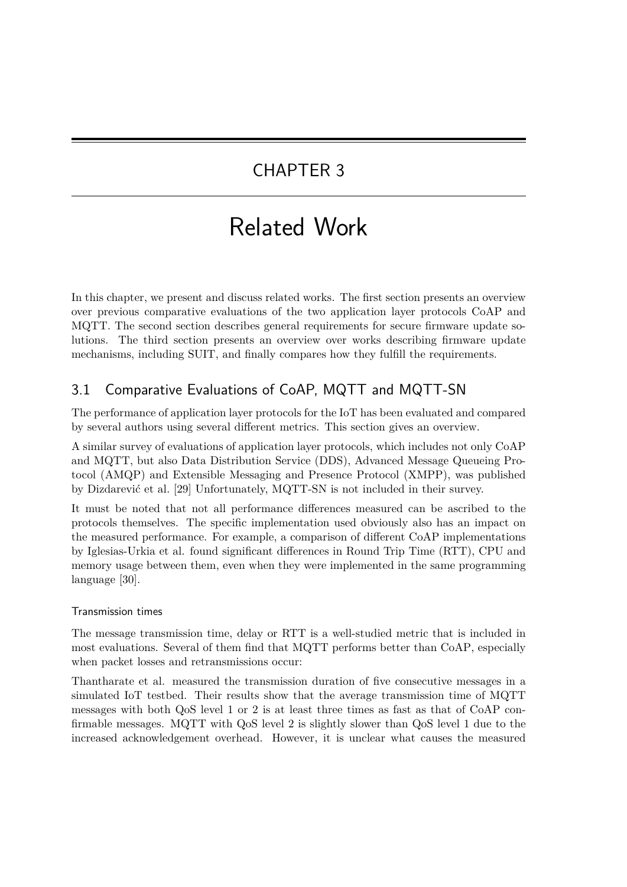## <span id="page-24-2"></span><span id="page-24-0"></span>CHAPTER 3

# Related Work

In this chapter, we present and discuss related works. The first section presents an overview over previous comparative evaluations of the two application layer protocols [CoAP](#page-12-3) and [MQTT.](#page-12-6) The second section describes general requirements for secure firmware update solutions. The third section presents an overview over works describing firmware update mechanisms, including [SUIT,](#page-13-0) and finally compares how they fulfill the requirements.

## <span id="page-24-1"></span>3.1 Comparative Evaluations of CoAP, MQTT and MQTT-SN

The performance of application layer protocols for the [IoT](#page-12-0) has been evaluated and compared by several authors using several different metrics. This section gives an overview.

A similar survey of evaluations of application layer protocols, which includes not only [CoAP](#page-12-3) and [MQTT,](#page-12-6) but also [Data Distribution Service \(DDS\),](#page-12-11) [Advanced Message Queueing Pro](#page-12-12)[tocol \(AMQP\)](#page-12-12) and [Extensible Messaging and Presence Protocol \(XMPP\),](#page-13-10) was published by Dizdarević et al. [\[29\]](#page-66-7) Unfortunately, [MQTT-SN](#page-13-1) is not included in their survey.

It must be noted that not all performance differences measured can be ascribed to the protocols themselves. The specific implementation used obviously also has an impact on the measured performance. For example, a comparison of different [CoAP](#page-12-3) implementations by Iglesias-Urkia et al. found significant differences in [Round Trip Time \(RTT\),](#page-13-11) CPU and memory usage between them, even when they were implemented in the same programming language [\[30\]](#page-66-8).

### Transmission times

The message transmission time, delay or [RTT](#page-13-11) is a well-studied metric that is included in most evaluations. Several of them find that [MQTT](#page-12-6) performs better than [CoAP,](#page-12-3) especially when packet losses and retransmissions occur:

Thantharate et al. measured the transmission duration of five consecutive messages in a simulated [IoT](#page-12-0) testbed. Their results show that the average transmission time of [MQTT](#page-12-6) messages with both [QoS](#page-13-9) level 1 or 2 is at least three times as fast as that of [CoAP](#page-12-3) confirmable messages. [MQTT](#page-12-6) with [QoS](#page-13-9) level 2 is slightly slower than [QoS](#page-13-9) level 1 due to the increased acknowledgement overhead. However, it is unclear what causes the measured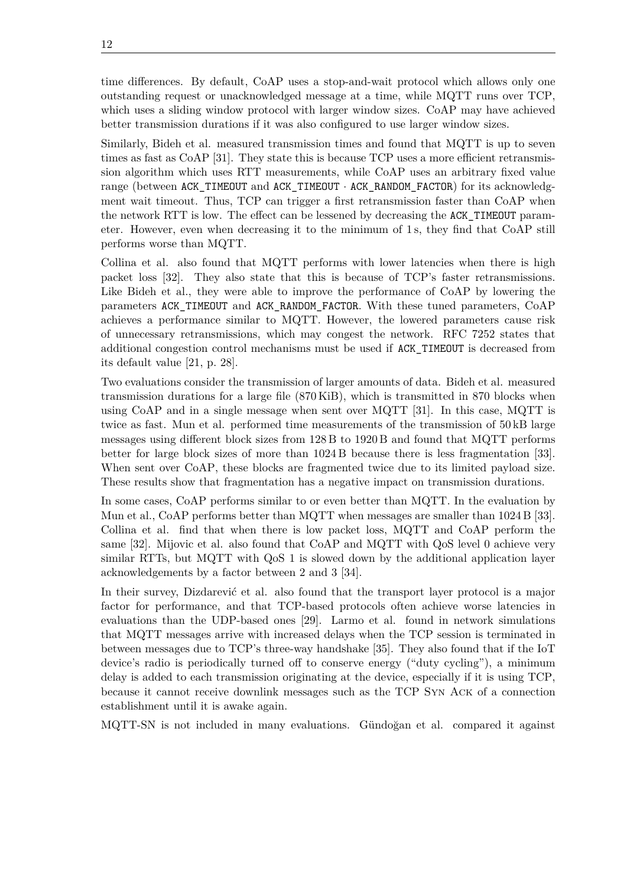<span id="page-25-0"></span>time differences. By default, [CoAP](#page-12-3) uses a stop-and-wait protocol which allows only one outstanding request or unacknowledged message at a time, while [MQTT](#page-12-6) runs over [TCP,](#page-13-6) which uses a sliding window protocol with larger window sizes. [CoAP](#page-12-3) may have achieved better transmission durations if it was also configured to use larger window sizes.

Similarly, Bideh et al. measured transmission times and found that [MQTT](#page-12-6) is up to seven times as fast as [CoAP](#page-12-3) [\[31\]](#page-66-9). They state this is because [TCP](#page-13-6) uses a more efficient retransmission algorithm which uses [RTT](#page-13-11) measurements, while [CoAP](#page-12-3) uses an arbitrary fixed value range (between ACK\_TIMEOUT and ACK\_TIMEOUT · ACK\_RANDOM\_FACTOR) for its acknowledgment wait timeout. Thus, [TCP](#page-13-6) can trigger a first retransmission faster than [CoAP](#page-12-3) when the network [RTT](#page-13-11) is low. The effect can be lessened by decreasing the ACK\_TIMEOUT parameter. However, even when decreasing it to the minimum of 1 s, they find that [CoAP](#page-12-3) still performs worse than [MQTT.](#page-12-6)

Collina et al. also found that [MQTT](#page-12-6) performs with lower latencies when there is high packet loss [\[32\]](#page-66-10). They also state that this is because of [TCP'](#page-13-6)s faster retransmissions. Like Bideh et al., they were able to improve the performance of [CoAP](#page-12-3) by lowering the parameters ACK\_TIMEOUT and ACK\_RANDOM\_FACTOR. With these tuned parameters, [CoAP](#page-12-3) achieves a performance similar to [MQTT.](#page-12-6) However, the lowered parameters cause risk of unnecessary retransmissions, which may congest the network. RFC 7252 states that additional congestion control mechanisms must be used if ACK\_TIMEOUT is decreased from its default value [\[21,](#page-65-12) p. 28].

Two evaluations consider the transmission of larger amounts of data. Bideh et al. measured transmission durations for a large file (870 KiB), which is transmitted in 870 blocks when using [CoAP](#page-12-3) and in a single message when sent over [MQTT](#page-12-6) [\[31\]](#page-66-9). In this case, [MQTT](#page-12-6) is twice as fast. Mun et al. performed time measurements of the transmission of 50 kB large messages using different block sizes from 128 B to 1920 B and found that [MQTT](#page-12-6) performs better for large block sizes of more than 1024 B because there is less fragmentation [\[33\]](#page-66-11). When sent over [CoAP,](#page-12-3) these blocks are fragmented twice due to its limited payload size. These results show that fragmentation has a negative impact on transmission durations.

In some cases, [CoAP](#page-12-3) performs similar to or even better than [MQTT.](#page-12-6) In the evaluation by Mun et al., [CoAP](#page-12-3) performs better than [MQTT](#page-12-6) when messages are smaller than 1024 B [\[33\]](#page-66-11). Collina et al. find that when there is low packet loss, [MQTT](#page-12-6) and [CoAP](#page-12-3) perform the same [\[32\]](#page-66-10). Mijovic et al. also found that [CoAP](#page-12-3) and [MQTT](#page-12-6) with [QoS](#page-13-9) level 0 achieve very similar [RTTs,](#page-13-11) but [MQTT](#page-12-6) with [QoS](#page-13-9) 1 is slowed down by the additional application layer acknowledgements by a factor between 2 and 3 [\[34\]](#page-67-0).

In their survey, Dizdarević et al. also found that the transport layer protocol is a major factor for performance, and that [TCP-](#page-13-6)based protocols often achieve worse latencies in evaluations than the [UDP-](#page-13-5)based ones [\[29\]](#page-66-7). Larmo et al. found in network simulations that [MQTT](#page-12-6) messages arrive with increased delays when the [TCP](#page-13-6) session is terminated in between messages due to [TCP'](#page-13-6)s three-way handshake [\[35\]](#page-67-1). They also found that if the [IoT](#page-12-0) device's radio is periodically turned off to conserve energy ("duty cycling"), a minimum delay is added to each transmission originating at the device, especially if it is using [TCP,](#page-13-6) because it cannot receive downlink messages such as the [TCP](#page-13-6) Syn Ack of a connection establishment until it is awake again.

[MQTT-SN](#page-13-1) is not included in many evaluations. Gündoğan et al. compared it against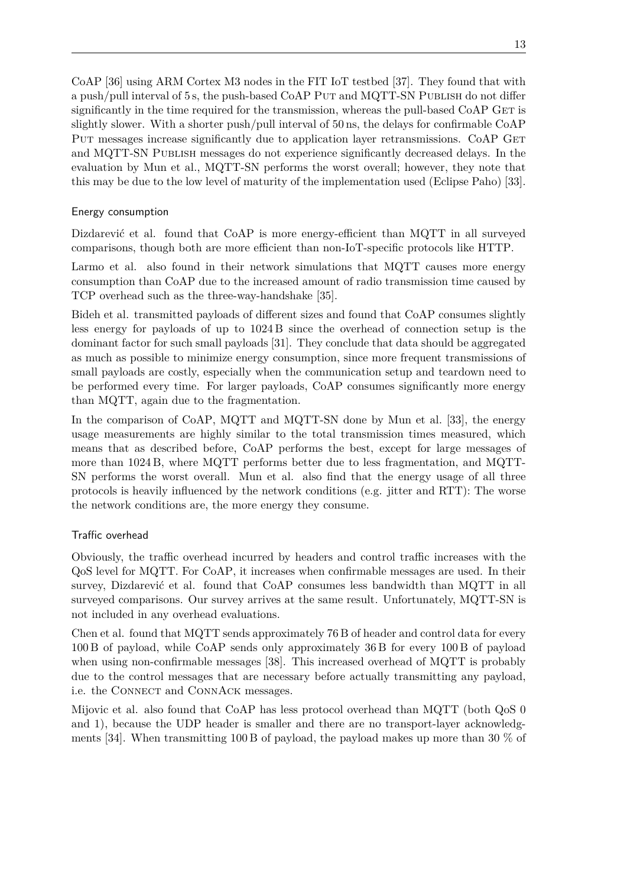<span id="page-26-0"></span>[CoAP](#page-12-3) [\[36\]](#page-67-2) using ARM Cortex M3 nodes in the FIT [IoT](#page-12-0) testbed [\[37\]](#page-67-3). They found that with a push/pull interval of 5 s, the push-based [CoAP](#page-12-3) PUT and [MQTT-SN](#page-13-1) PUBLISH do not differ significantly in the time required for the transmission, whereas the pull-based  $CoAP$  GET is slightly slower. With a shorter push/pull interval of 50 ns, the delays for confirmable [CoAP](#page-12-3) PUT messages increase significantly due to application layer retransmissions. [CoAP](#page-12-3) GET and [MQTT-SN](#page-13-1) Publish messages do not experience significantly decreased delays. In the evaluation by Mun et al., [MQTT-SN](#page-13-1) performs the worst overall; however, they note that this may be due to the low level of maturity of the implementation used (Eclipse Paho) [\[33\]](#page-66-11).

#### Energy consumption

Dizdarević et al. found that [CoAP](#page-12-3) is more energy-efficient than [MQTT](#page-12-6) in all surveyed comparisons, though both are more efficient than non[-IoT-](#page-12-0)specific protocols like [HTTP.](#page-12-9)

Larmo et al. also found in their network simulations that [MQTT](#page-12-6) causes more energy consumption than [CoAP](#page-12-3) due to the increased amount of radio transmission time caused by [TCP](#page-13-6) overhead such as the three-way-handshake [\[35\]](#page-67-1).

Bideh et al. transmitted payloads of different sizes and found that [CoAP](#page-12-3) consumes slightly less energy for payloads of up to 1024 B since the overhead of connection setup is the dominant factor for such small payloads [\[31\]](#page-66-9). They conclude that data should be aggregated as much as possible to minimize energy consumption, since more frequent transmissions of small payloads are costly, especially when the communication setup and teardown need to be performed every time. For larger payloads, [CoAP](#page-12-3) consumes significantly more energy than [MQTT,](#page-12-6) again due to the fragmentation.

In the comparison of [CoAP,](#page-12-3) [MQTT](#page-12-6) and [MQTT-SN](#page-13-1) done by Mun et al. [\[33\]](#page-66-11), the energy usage measurements are highly similar to the total transmission times measured, which means that as described before, [CoAP](#page-12-3) performs the best, except for large messages of more than 1024 B, where [MQTT](#page-12-6) performs better due to less fragmentation, and [MQTT-](#page-13-1)[SN](#page-13-1) performs the worst overall. Mun et al. also find that the energy usage of all three protocols is heavily influenced by the network conditions (e.g. jitter and [RTT\)](#page-13-11): The worse the network conditions are, the more energy they consume.

#### Traffic overhead

Obviously, the traffic overhead incurred by headers and control traffic increases with the [QoS](#page-13-9) level for [MQTT.](#page-12-6) For [CoAP,](#page-12-3) it increases when confirmable messages are used. In their survey, Dizdarević et al. found that [CoAP](#page-12-3) consumes less bandwidth than [MQTT](#page-12-6) in all surveyed comparisons. Our survey arrives at the same result. Unfortunately, [MQTT-SN](#page-13-1) is not included in any overhead evaluations.

Chen et al. found that [MQTT](#page-12-6) sends approximately 76 B of header and control data for every 100 B of payload, while [CoAP](#page-12-3) sends only approximately 36 B for every 100 B of payload when using non-confirmable messages [\[38\]](#page-67-4). This increased overhead of [MQTT](#page-12-6) is probably due to the control messages that are necessary before actually transmitting any payload, i.e. the CONNECT and CONNACK messages.

Mijovic et al. also found that [CoAP](#page-12-3) has less protocol overhead than [MQTT](#page-12-6) (both [QoS](#page-13-9) 0 and 1), because the [UDP](#page-13-5) header is smaller and there are no transport-layer acknowledg-ments [\[34\]](#page-67-0). When transmitting 100 B of payload, the payload makes up more than 30  $\%$  of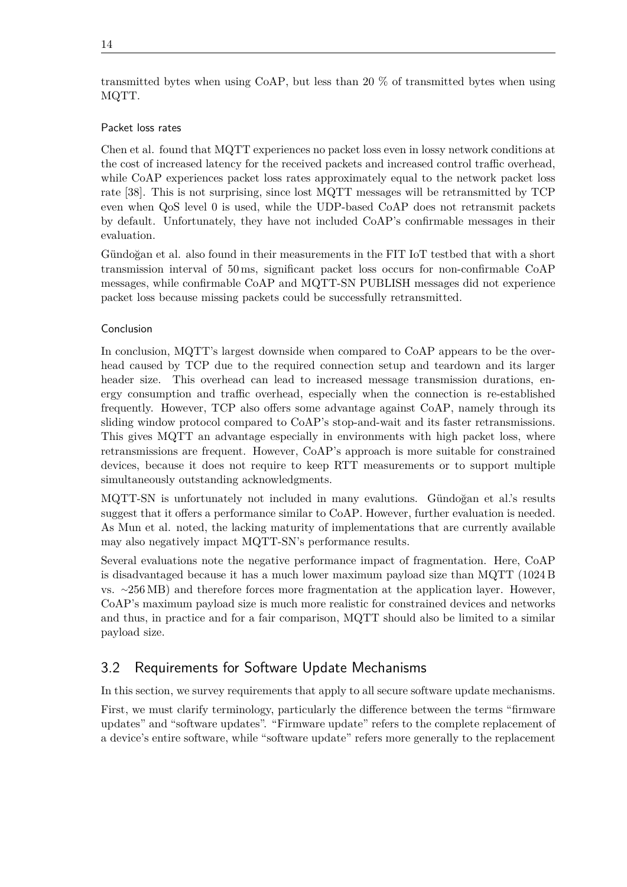#### <span id="page-27-1"></span>Packet loss rates

Chen et al. found that [MQTT](#page-12-6) experiences no packet loss even in lossy network conditions at the cost of increased latency for the received packets and increased control traffic overhead, while [CoAP](#page-12-3) experiences packet loss rates approximately equal to the network packet loss rate [\[38\]](#page-67-4). This is not surprising, since lost [MQTT](#page-12-6) messages will be retransmitted by [TCP](#page-13-6) even when [QoS](#page-13-9) level 0 is used, while the [UDP-](#page-13-5)based [CoAP](#page-12-3) does not retransmit packets by default. Unfortunately, they have not included [CoAP'](#page-12-3)s confirmable messages in their evaluation.

Gündoğan et al. also found in their measurements in the FIT [IoT](#page-12-0) testbed that with a short transmission interval of 50 ms, significant packet loss occurs for non-confirmable [CoAP](#page-12-3) messages, while confirmable [CoAP](#page-12-3) and [MQTT-SN](#page-13-1) PUBLISH messages did not experience packet loss because missing packets could be successfully retransmitted.

#### Conclusion

In conclusion, [MQTT'](#page-12-6)s largest downside when compared to [CoAP](#page-12-3) appears to be the overhead caused by [TCP](#page-13-6) due to the required connection setup and teardown and its larger header size. This overhead can lead to increased message transmission durations, energy consumption and traffic overhead, especially when the connection is re-established frequently. However, [TCP](#page-13-6) also offers some advantage against [CoAP,](#page-12-3) namely through its sliding window protocol compared to [CoAP'](#page-12-3)s stop-and-wait and its faster retransmissions. This gives [MQTT](#page-12-6) an advantage especially in environments with high packet loss, where retransmissions are frequent. However, [CoAP'](#page-12-3)s approach is more suitable for constrained devices, because it does not require to keep [RTT](#page-13-11) measurements or to support multiple simultaneously outstanding acknowledgments.

[MQTT-SN](#page-13-1) is unfortunately not included in many evalutions. Gündoğan et al.'s results suggest that it offers a performance similar to [CoAP.](#page-12-3) However, further evaluation is needed. As Mun et al. noted, the lacking maturity of implementations that are currently available may also negatively impact [MQTT-SN'](#page-13-1)s performance results.

Several evaluations note the negative performance impact of fragmentation. Here, [CoAP](#page-12-3) is disadvantaged because it has a much lower maximum payload size than [MQTT](#page-12-6) (1024 B vs. ∼256 MB) and therefore forces more fragmentation at the application layer. However, [CoAP'](#page-12-3)s maximum payload size is much more realistic for constrained devices and networks and thus, in practice and for a fair comparison, [MQTT](#page-12-6) should also be limited to a similar payload size.

## <span id="page-27-0"></span>3.2 Requirements for Software Update Mechanisms

In this section, we survey requirements that apply to all secure software update mechanisms.

First, we must clarify terminology, particularly the difference between the terms "firmware updates" and "software updates". "Firmware update" refers to the complete replacement of a device's entire software, while "software update" refers more generally to the replacement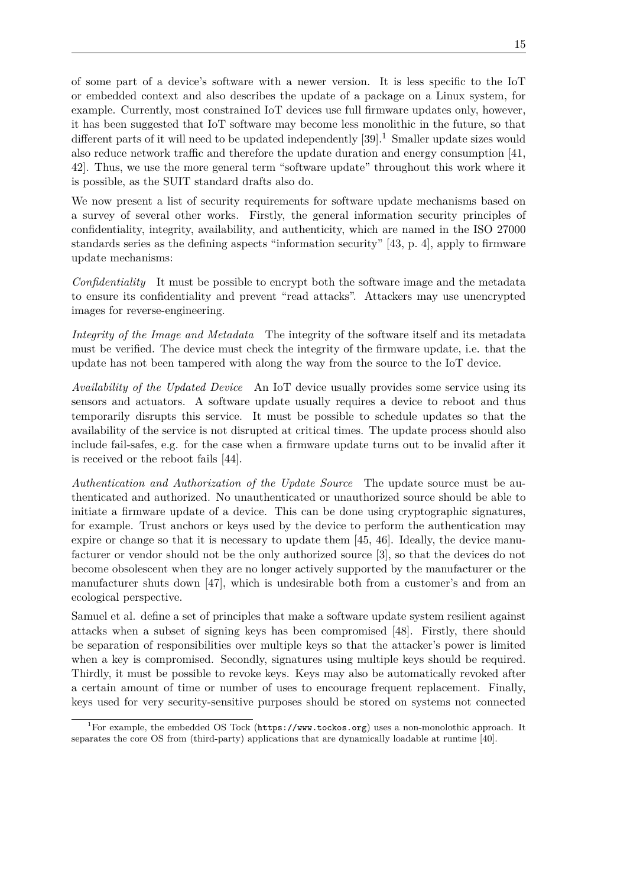<span id="page-28-0"></span>of some part of a device's software with a newer version. It is less specific to the [IoT](#page-12-0) or embedded context and also describes the update of a package on a Linux system, for example. Currently, most constrained [IoT](#page-12-0) devices use full firmware updates only, however, it has been suggested that [IoT](#page-12-0) software may become less monolithic in the future, so that different parts of it will need to be updated independently  $[39]$ .<sup>[1](#page-0-0)</sup> Smaller update sizes would also reduce network traffic and therefore the update duration and energy consumption [\[41,](#page-67-6) [42\]](#page-67-7). Thus, we use the more general term "software update" throughout this work where it is possible, as the [SUIT](#page-13-0) standard drafts also do.

We now present a list of security requirements for software update mechanisms based on a survey of several other works. Firstly, the general information security principles of confidentiality, integrity, availability, and authenticity, which are named in the ISO 27000 standards series as the defining aspects "information security" [\[43,](#page-67-8) p. 4], apply to firmware update mechanisms:

*Confidentiality* It must be possible to encrypt both the software image and the metadata to ensure its confidentiality and prevent "read attacks". Attackers may use unencrypted images for reverse-engineering.

*Integrity of the Image and Metadata* The integrity of the software itself and its metadata must be verified. The device must check the integrity of the firmware update, i.e. that the update has not been tampered with along the way from the source to the [IoT](#page-12-0) device.

*Availability of the Updated Device* An [IoT](#page-12-0) device usually provides some service using its sensors and actuators. A software update usually requires a device to reboot and thus temporarily disrupts this service. It must be possible to schedule updates so that the availability of the service is not disrupted at critical times. The update process should also include fail-safes, e.g. for the case when a firmware update turns out to be invalid after it is received or the reboot fails [\[44\]](#page-68-0).

*Authentication and Authorization of the Update Source* The update source must be authenticated and authorized. No unauthenticated or unauthorized source should be able to initiate a firmware update of a device. This can be done using cryptographic signatures, for example. Trust anchors or keys used by the device to perform the authentication may expire or change so that it is necessary to update them [\[45,](#page-68-1) [46\]](#page-68-2). Ideally, the device manufacturer or vendor should not be the only authorized source [\[3\]](#page-64-3), so that the devices do not become obsolescent when they are no longer actively supported by the manufacturer or the manufacturer shuts down [\[47\]](#page-68-3), which is undesirable both from a customer's and from an ecological perspective.

Samuel et al. define a set of principles that make a software update system resilient against attacks when a subset of signing keys has been compromised [\[48\]](#page-68-4). Firstly, there should be separation of responsibilities over multiple keys so that the attacker's power is limited when a key is compromised. Secondly, signatures using multiple keys should be required. Thirdly, it must be possible to revoke keys. Keys may also be automatically revoked after a certain amount of time or number of uses to encourage frequent replacement. Finally, keys used for very security-sensitive purposes should be stored on systems not connected

<sup>&</sup>lt;sup>1</sup>For example, the embedded [OS](#page-13-4) Tock (<https://www.tockos.org>) uses a non-monolothic approach. It separates the core [OS](#page-13-4) from (third-party) applications that are dynamically loadable at runtime [\[40\]](#page-67-9).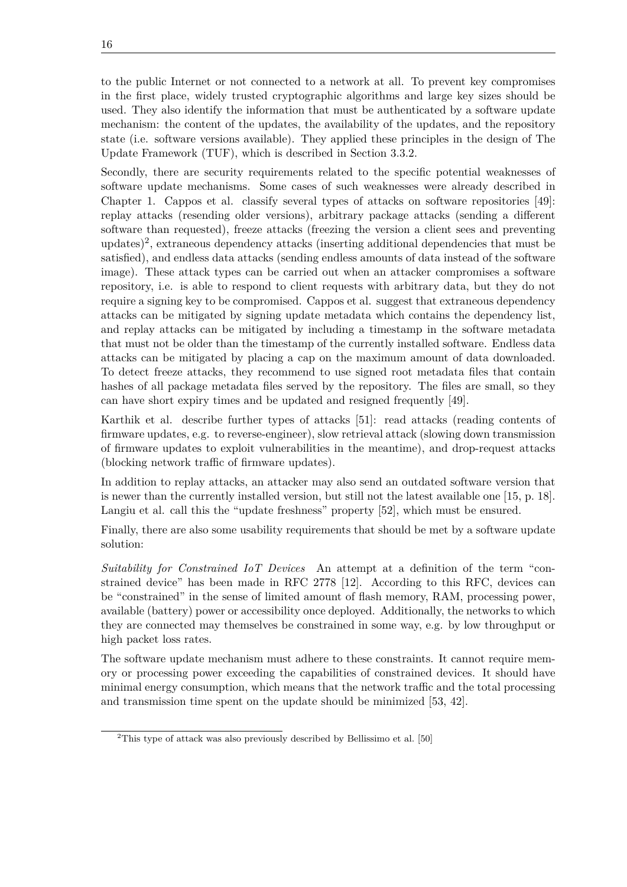<span id="page-29-0"></span>to the public Internet or not connected to a network at all. To prevent key compromises in the first place, widely trusted cryptographic algorithms and large key sizes should be used. They also identify the information that must be authenticated by a software update mechanism: the content of the updates, the availability of the updates, and the repository state (i.e. software versions available). They applied these principles in the design of [The](#page-13-12) [Update Framework \(TUF\),](#page-13-12) which is described in [Section 3.3.2.](#page-34-0)

Secondly, there are security requirements related to the specific potential weaknesses of software update mechanisms. Some cases of such weaknesses were already described in [Chapter 1.](#page-14-0) Cappos et al. classify several types of attacks on software repositories [\[49\]](#page-68-5): replay attacks (resending older versions), arbitrary package attacks (sending a different software than requested), freeze attacks (freezing the version a client sees and preventing  $up \cdot \text{data}$ )<sup>[2](#page-0-0)</sup>, extraneous dependency attacks (inserting additional dependencies that must be satisfied), and endless data attacks (sending endless amounts of data instead of the software image). These attack types can be carried out when an attacker compromises a software repository, i.e. is able to respond to client requests with arbitrary data, but they do not require a signing key to be compromised. Cappos et al. suggest that extraneous dependency attacks can be mitigated by signing update metadata which contains the dependency list, and replay attacks can be mitigated by including a timestamp in the software metadata that must not be older than the timestamp of the currently installed software. Endless data attacks can be mitigated by placing a cap on the maximum amount of data downloaded. To detect freeze attacks, they recommend to use signed root metadata files that contain hashes of all package metadata files served by the repository. The files are small, so they can have short expiry times and be updated and resigned frequently [\[49\]](#page-68-5).

Karthik et al. describe further types of attacks [\[51\]](#page-68-6): read attacks (reading contents of firmware updates, e.g. to reverse-engineer), slow retrieval attack (slowing down transmission of firmware updates to exploit vulnerabilities in the meantime), and drop-request attacks (blocking network traffic of firmware updates).

In addition to replay attacks, an attacker may also send an outdated software version that is newer than the currently installed version, but still not the latest available one [\[15,](#page-65-6) p. 18]. Langiu et al. call this the "update freshness" property [\[52\]](#page-68-7), which must be ensured.

Finally, there are also some usability requirements that should be met by a software update solution:

*Suitability for Constrained [IoT](#page-12-0) Devices* An attempt at a definition of the term "constrained device" has been made in RFC 2778 [\[12\]](#page-65-3). According to this RFC, devices can be "constrained" in the sense of limited amount of flash memory, [RAM,](#page-13-3) processing power, available (battery) power or accessibility once deployed. Additionally, the networks to which they are connected may themselves be constrained in some way, e.g. by low throughput or high packet loss rates.

The software update mechanism must adhere to these constraints. It cannot require memory or processing power exceeding the capabilities of constrained devices. It should have minimal energy consumption, which means that the network traffic and the total processing and transmission time spent on the update should be minimized [\[53,](#page-68-8) [42\]](#page-67-7).

<sup>&</sup>lt;sup>2</sup>This type of attack was also previously described by Bellissimo et al. [\[50\]](#page-68-9)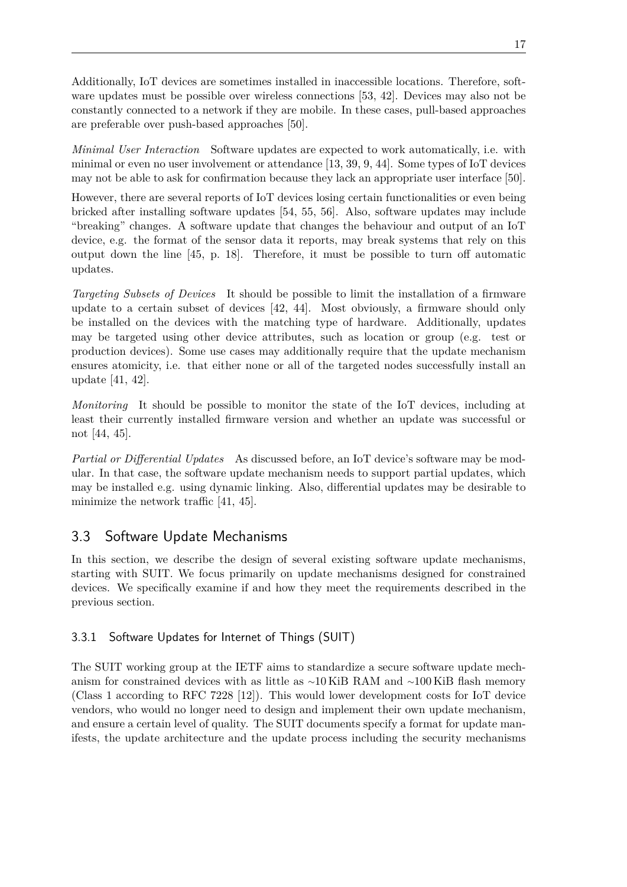<span id="page-30-2"></span>Additionally, [IoT](#page-12-0) devices are sometimes installed in inaccessible locations. Therefore, software updates must be possible over wireless connections [\[53,](#page-68-8) [42\]](#page-67-7). Devices may also not be constantly connected to a network if they are mobile. In these cases, pull-based approaches are preferable over push-based approaches [\[50\]](#page-68-9).

*Minimal User Interaction* Software updates are expected to work automatically, i.e. with minimal or even no user involvement or attendance [\[13,](#page-65-4) [39,](#page-67-5) [9,](#page-65-0) [44\]](#page-68-0). Some types of [IoT](#page-12-0) devices may not be able to ask for confirmation because they lack an appropriate user interface [\[50\]](#page-68-9).

However, there are several reports of [IoT](#page-12-0) devices losing certain functionalities or even being bricked after installing software updates [\[54,](#page-68-10) [55,](#page-68-11) [56\]](#page-69-0). Also, software updates may include "breaking" changes. A software update that changes the behaviour and output of an [IoT](#page-12-0) device, e.g. the format of the sensor data it reports, may break systems that rely on this output down the line [\[45,](#page-68-1) p. 18]. Therefore, it must be possible to turn off automatic updates.

*Targeting Subsets of Devices* It should be possible to limit the installation of a firmware update to a certain subset of devices [\[42,](#page-67-7) [44\]](#page-68-0). Most obviously, a firmware should only be installed on the devices with the matching type of hardware. Additionally, updates may be targeted using other device attributes, such as location or group (e.g. test or production devices). Some use cases may additionally require that the update mechanism ensures atomicity, i.e. that either none or all of the targeted nodes successfully install an update [\[41,](#page-67-6) [42\]](#page-67-7).

*Monitoring* It should be possible to monitor the state of the [IoT](#page-12-0) devices, including at least their currently installed firmware version and whether an update was successful or not [\[44,](#page-68-0) [45\]](#page-68-1).

*Partial or Differential Updates* As discussed before, an [IoT](#page-12-0) device's software may be modular. In that case, the software update mechanism needs to support partial updates, which may be installed e.g. using dynamic linking. Also, differential updates may be desirable to minimize the network traffic [\[41,](#page-67-6) [45\]](#page-68-1).

## <span id="page-30-0"></span>3.3 Software Update Mechanisms

In this section, we describe the design of several existing software update mechanisms, starting with [SUIT.](#page-13-0) We focus primarily on update mechanisms designed for constrained devices. We specifically examine if and how they meet the requirements described in the previous section.

### <span id="page-30-1"></span>3.3.1 Software Updates for Internet of Things (SUIT)

The [SUIT](#page-13-0) working group at the [IETF](#page-12-2) aims to standardize a secure software update mechanism for constrained devices with as little as ∼10 KiB [RAM](#page-13-3) and ∼100 KiB flash memory (Class 1 according to RFC 7228 [\[12\]](#page-65-3)). This would lower development costs for [IoT](#page-12-0) device vendors, who would no longer need to design and implement their own update mechanism, and ensure a certain level of quality. The [SUIT](#page-13-0) documents specify a format for update manifests, the update architecture and the update process including the security mechanisms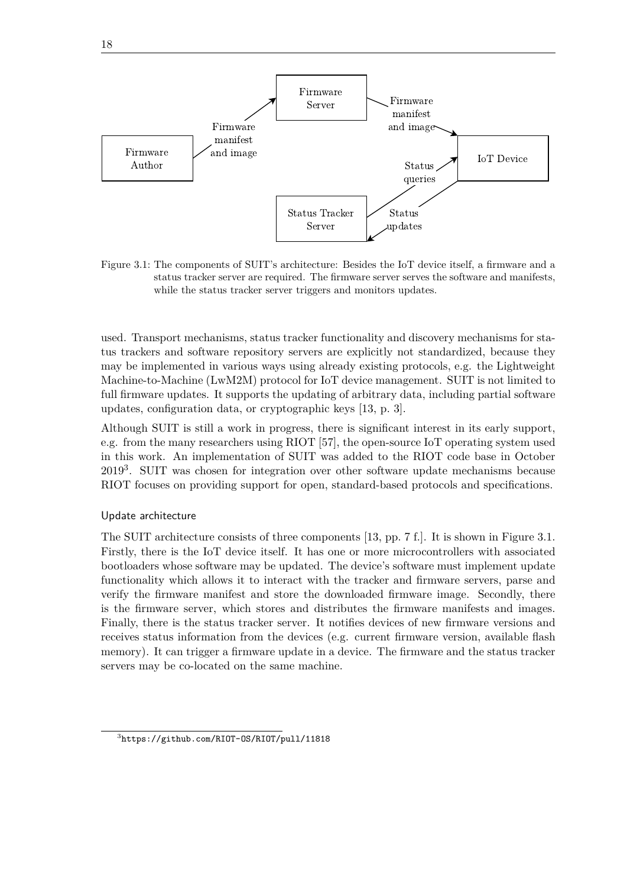<span id="page-31-1"></span><span id="page-31-0"></span>

Figure 3.1: The components of [SUIT'](#page-13-0)s architecture: Besides the [IoT](#page-12-0) device itself, a firmware and a status tracker server are required. The firmware server serves the software and manifests, while the status tracker server triggers and monitors updates.

used. Transport mechanisms, status tracker functionality and discovery mechanisms for status trackers and software repository servers are explicitly not standardized, because they may be implemented in various ways using already existing protocols, e.g. the [Lightweight](#page-12-13) [Machine-to-Machine \(LwM2M\)](#page-12-13) protocol for [IoT](#page-12-0) device management. [SUIT](#page-13-0) is not limited to full firmware updates. It supports the updating of arbitrary data, including partial software updates, configuration data, or cryptographic keys [\[13,](#page-65-4) p. 3].

Although [SUIT](#page-13-0) is still a work in progress, there is significant interest in its early support, e.g. from the many researchers using RIOT [\[57\]](#page-69-1), the open-source [IoT](#page-12-0) operating system used in this work. An implementation of [SUIT](#page-13-0) was added to the RIOT code base in October 2019<sup>[3](#page-0-0)</sup>. [SUIT](#page-13-0) was chosen for integration over other software update mechanisms because RIOT focuses on providing support for open, standard-based protocols and specifications.

#### Update architecture

The [SUIT](#page-13-0) architecture consists of three components [\[13,](#page-65-4) pp. 7 f.]. It is shown in [Figure 3.1.](#page-31-0) Firstly, there is the [IoT](#page-12-0) device itself. It has one or more microcontrollers with associated bootloaders whose software may be updated. The device's software must implement update functionality which allows it to interact with the tracker and firmware servers, parse and verify the firmware manifest and store the downloaded firmware image. Secondly, there is the firmware server, which stores and distributes the firmware manifests and images. Finally, there is the status tracker server. It notifies devices of new firmware versions and receives status information from the devices (e.g. current firmware version, available flash memory). It can trigger a firmware update in a device. The firmware and the status tracker servers may be co-located on the same machine.

<sup>3</sup> <https://github.com/RIOT-OS/RIOT/pull/11818>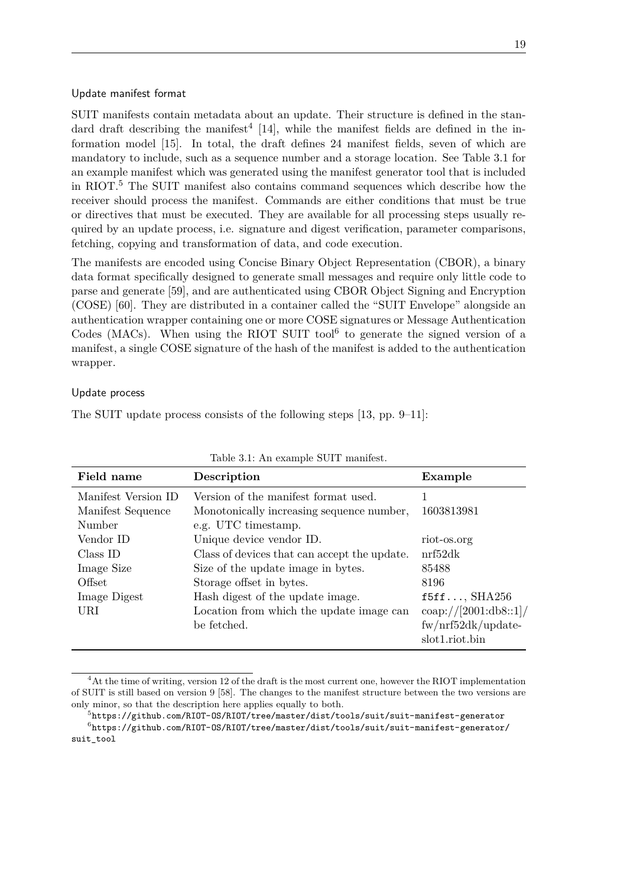#### <span id="page-32-1"></span>Update manifest format

[SUIT](#page-13-0) manifests contain metadata about an update. Their structure is defined in the stan-dard draft describing the manifest<sup>[4](#page-0-0)</sup> [\[14\]](#page-65-5), while the manifest fields are defined in the information model [\[15\]](#page-65-6). In total, the draft defines 24 manifest fields, seven of which are mandatory to include, such as a sequence number and a storage location. See [Table 3.1](#page-32-0) for an example manifest which was generated using the manifest generator tool that is included in RIOT.[5](#page-0-0) The [SUIT](#page-13-0) manifest also contains command sequences which describe how the receiver should process the manifest. Commands are either conditions that must be true or directives that must be executed. They are available for all processing steps usually required by an update process, i.e. signature and digest verification, parameter comparisons, fetching, copying and transformation of data, and code execution.

The manifests are encoded using [Concise Binary Object Representation \(CBOR\),](#page-12-14) a binary data format specifically designed to generate small messages and require only little code to parse and generate [\[59\]](#page-69-2), and are authenticated using [CBOR Object Signing and Encryption](#page-12-15) [\(COSE\)](#page-12-15) [\[60\]](#page-69-3). They are distributed in a container called the ["SUIT](#page-13-0) Envelope" alongside an authentication wrapper containing one or more [COSE](#page-12-15) signatures or [Message Authentication](#page-12-16) [Codes \(MACs\).](#page-12-16) When using the RIOT SUIT tool $^6$  $^6$  to generate the signed version of a manifest, a single [COSE](#page-12-15) signature of the hash of the manifest is added to the authentication wrapper.

#### Update process

<span id="page-32-0"></span>The [SUIT](#page-13-0) update process consists of the following steps [\[13,](#page-65-4) pp. 9–11]:

| Field name          | Description                                  | Example                              |
|---------------------|----------------------------------------------|--------------------------------------|
| Manifest Version ID | Version of the manifest format used.         |                                      |
| Manifest Sequence   | Monotonically increasing sequence number,    | 1603813981                           |
| Number              | e.g. UTC timestamp.                          |                                      |
| Vendor ID           | Unique device vendor ID.                     | riot-os.org                          |
| Class ID            | Class of devices that can accept the update. | nrf52dk                              |
| Image Size          | Size of the update image in bytes.           | 85488                                |
| Offset              | Storage offset in bytes.                     | 8196                                 |
| Image Digest        | Hash digest of the update image.             | $f5ff$ , SHA $256$                   |
| URI                 | Location from which the update image can     | $\frac{\cosh\frac{1}{2001:db8::1}}{$ |
|                     | be fetched.                                  | fw/nrf52dk/update                    |
|                     |                                              | slot1.riot.bin                       |

Table 3.1: An example [SUIT](#page-13-0) manifest.

 ${}^{4}$ At the time of writing, version 12 of the draft is the most current one, however the RIOT implementation of SUIT is still based on version 9 [\[58\]](#page-69-4). The changes to the manifest structure between the two versions are only minor, so that the description here applies equally to both.

 $^{5}$ <https://github.com/RIOT-OS/RIOT/tree/master/dist/tools/suit/suit-manifest-generator>  $^6$ [https://github.com/RIOT-OS/RIOT/tree/master/dist/tools/suit/suit-manifest-generator/](https://github.com/RIOT-OS/RIOT/tree/master/dist/tools/suit/suit-manifest-generator/suit_tool) [suit\\_tool](https://github.com/RIOT-OS/RIOT/tree/master/dist/tools/suit/suit-manifest-generator/suit_tool)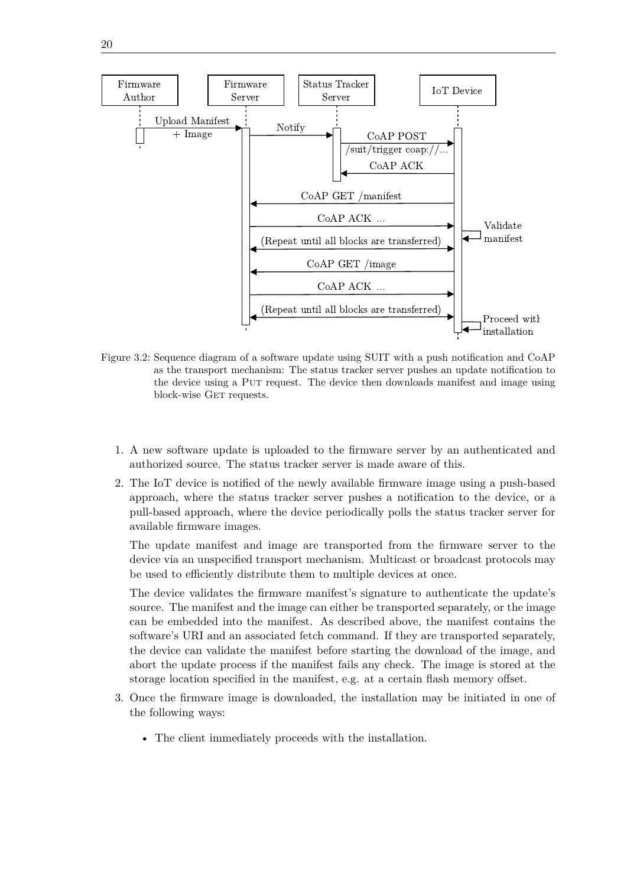<span id="page-33-1"></span><span id="page-33-0"></span>

- Figure 3.2: Sequence diagram of a software update using [SUIT](#page-13-0) with a push notification and [CoAP](#page-12-3) as the transport mechanism: The status tracker server pushes an update notification to the device using a Put request. The device then downloads manifest and image using block-wise GET requests.
	- 1. A new software update is uploaded to the firmware server by an authenticated and authorized source. The status tracker server is made aware of this.
	- 2. The [IoT](#page-12-0) device is notified of the newly available firmware image using a push-based approach, where the status tracker server pushes a notification to the device, or a pull-based approach, where the device periodically polls the status tracker server for available firmware images.

The update manifest and image are transported from the firmware server to the device via an unspecified transport mechanism. Multicast or broadcast protocols may be used to efficiently distribute them to multiple devices at once.

The device validates the firmware manifest's signature to authenticate the update's source. The manifest and the image can either be transported separately, or the image can be embedded into the manifest. As described above, the manifest contains the software's [URI](#page-13-8) and an associated fetch command. If they are transported separately, the device can validate the manifest before starting the download of the image, and abort the update process if the manifest fails any check. The image is stored at the storage location specified in the manifest, e.g. at a certain flash memory offset.

- 3. Once the firmware image is downloaded, the installation may be initiated in one of the following ways:
	- The client immediately proceeds with the installation.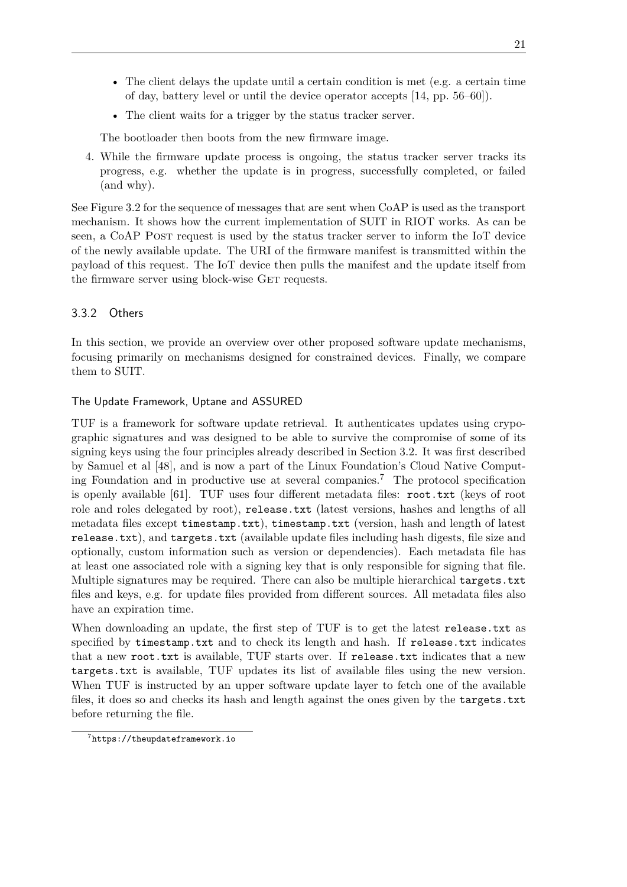- <span id="page-34-1"></span>• The client delays the update until a certain condition is met (e.g. a certain time of day, battery level or until the device operator accepts [\[14,](#page-65-5) pp. 56–60]).
- The client waits for a trigger by the status tracker server.

The bootloader then boots from the new firmware image.

4. While the firmware update process is ongoing, the status tracker server tracks its progress, e.g. whether the update is in progress, successfully completed, or failed (and why).

See [Figure 3.2](#page-33-0) for the sequence of messages that are sent when [CoAP](#page-12-3) is used as the transport mechanism. It shows how the current implementation of SUIT in RIOT works. As can be seen, a [CoAP](#page-12-3) Post request is used by the status tracker server to inform the [IoT](#page-12-0) device of the newly available update. The [URI](#page-13-8) of the firmware manifest is transmitted within the payload of this request. The [IoT](#page-12-0) device then pulls the manifest and the update itself from the firmware server using block-wise GET requests.

#### <span id="page-34-0"></span>3.3.2 Others

In this section, we provide an overview over other proposed software update mechanisms, focusing primarily on mechanisms designed for constrained devices. Finally, we compare them to [SUIT.](#page-13-0)

#### The Update Framework, Uptane and ASSURED

[TUF](#page-13-12) is a framework for software update retrieval. It authenticates updates using crypographic signatures and was designed to be able to survive the compromise of some of its signing keys using the four principles already described in [Section 3.2.](#page-27-0) It was first described by Samuel et al [\[48\]](#page-68-4), and is now a part of the Linux Foundation's Cloud Native Comput-ing Foundation and in productive use at several companies.<sup>[7](#page-0-0)</sup> The protocol specification is openly available [\[61\]](#page-69-5). [TUF](#page-13-12) uses four different metadata files: root.txt (keys of root role and roles delegated by root), release.txt (latest versions, hashes and lengths of all metadata files except timestamp.txt), timestamp.txt (version, hash and length of latest release.txt), and targets.txt (available update files including hash digests, file size and optionally, custom information such as version or dependencies). Each metadata file has at least one associated role with a signing key that is only responsible for signing that file. Multiple signatures may be required. There can also be multiple hierarchical targets.txt files and keys, e.g. for update files provided from different sources. All metadata files also have an expiration time.

When downloading an update, the first step of [TUF](#page-13-12) is to get the latest release.txt as specified by timestamp.txt and to check its length and hash. If release.txt indicates that a new root.txt is available, [TUF](#page-13-12) starts over. If release.txt indicates that a new targets.txt is available, [TUF](#page-13-12) updates its list of available files using the new version. When [TUF](#page-13-12) is instructed by an upper software update layer to fetch one of the available files, it does so and checks its hash and length against the ones given by the targets.txt before returning the file.

<sup>7</sup> <https://theupdateframework.io>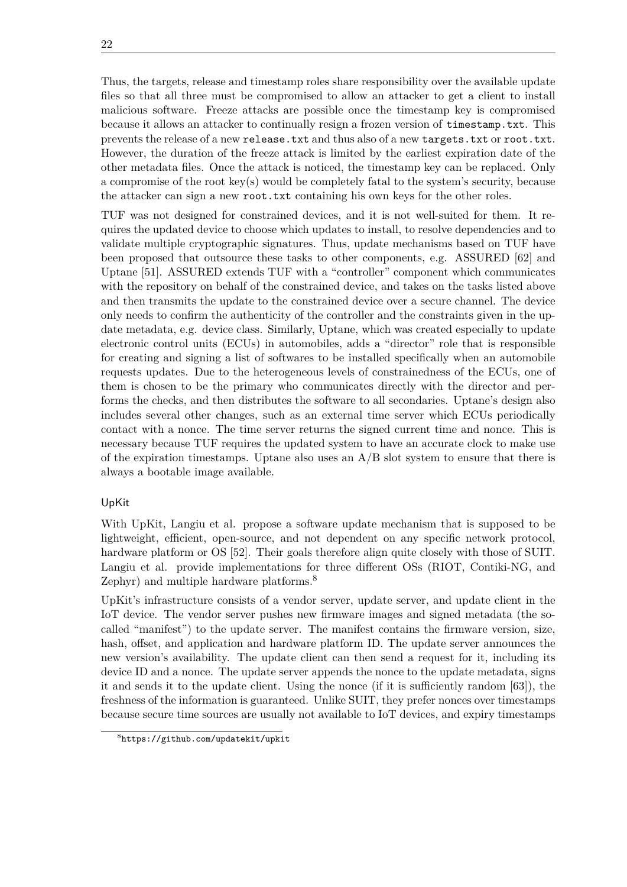<span id="page-35-0"></span>Thus, the targets, release and timestamp roles share responsibility over the available update files so that all three must be compromised to allow an attacker to get a client to install malicious software. Freeze attacks are possible once the timestamp key is compromised because it allows an attacker to continually resign a frozen version of timestamp.txt. This prevents the release of a new release.txt and thus also of a new targets.txt or root.txt. However, the duration of the freeze attack is limited by the earliest expiration date of the other metadata files. Once the attack is noticed, the timestamp key can be replaced. Only a compromise of the root key(s) would be completely fatal to the system's security, because the attacker can sign a new root.txt containing his own keys for the other roles.

[TUF](#page-13-12) was not designed for constrained devices, and it is not well-suited for them. It requires the updated device to choose which updates to install, to resolve dependencies and to validate multiple cryptographic signatures. Thus, update mechanisms based on [TUF](#page-13-12) have been proposed that outsource these tasks to other components, e.g. ASSURED [\[62\]](#page-69-6) and Uptane [\[51\]](#page-68-6). ASSURED extends [TUF](#page-13-12) with a "controller" component which communicates with the repository on behalf of the constrained device, and takes on the tasks listed above and then transmits the update to the constrained device over a secure channel. The device only needs to confirm the authenticity of the controller and the constraints given in the update metadata, e.g. device class. Similarly, Uptane, which was created especially to update electronic control units (ECUs) in automobiles, adds a "director" role that is responsible for creating and signing a list of softwares to be installed specifically when an automobile requests updates. Due to the heterogeneous levels of constrainedness of the ECUs, one of them is chosen to be the primary who communicates directly with the director and performs the checks, and then distributes the software to all secondaries. Uptane's design also includes several other changes, such as an external time server which ECUs periodically contact with a nonce. The time server returns the signed current time and nonce. This is necessary because [TUF](#page-13-12) requires the updated system to have an accurate clock to make use of the expiration timestamps. Uptane also uses an  $A/B$  slot system to ensure that there is always a bootable image available.

### UpKit

With UpKit, Langiu et al. propose a software update mechanism that is supposed to be lightweight, efficient, open-source, and not dependent on any specific network protocol, hardware platform or [OS](#page-13-4) [\[52\]](#page-68-7). Their goals therefore align quite closely with those of [SUIT.](#page-13-0) Langiu et al. provide implementations for three different [OSs](#page-13-4) (RIOT, Contiki-NG, and Zephyr) and multiple hardware platforms.<sup>[8](#page-0-0)</sup>

UpKit's infrastructure consists of a vendor server, update server, and update client in the [IoT](#page-12-0) device. The vendor server pushes new firmware images and signed metadata (the socalled "manifest") to the update server. The manifest contains the firmware version, size, hash, offset, and application and hardware platform ID. The update server announces the new version's availability. The update client can then send a request for it, including its device ID and a nonce. The update server appends the nonce to the update metadata, signs it and sends it to the update client. Using the nonce (if it is sufficiently random [\[63\]](#page-69-7)), the freshness of the information is guaranteed. Unlike [SUIT,](#page-13-0) they prefer nonces over timestamps because secure time sources are usually not available to [IoT](#page-12-0) devices, and expiry timestamps

<sup>8</sup> <https://github.com/updatekit/upkit>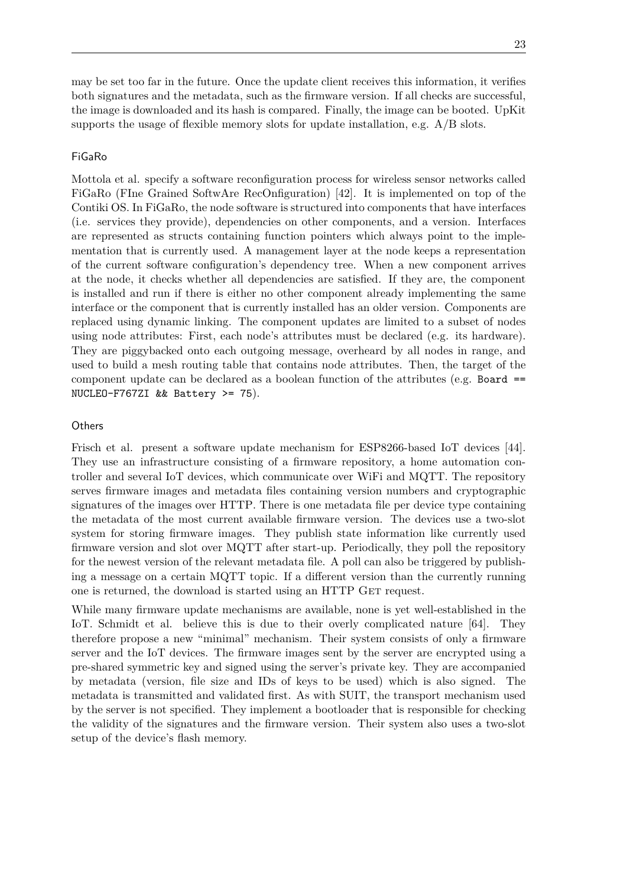may be set too far in the future. Once the update client receives this information, it verifies both signatures and the metadata, such as the firmware version. If all checks are successful, the image is downloaded and its hash is compared. Finally, the image can be booted. UpKit supports the usage of flexible memory slots for update installation, e.g. A/B slots.

#### FiGaRo

Mottola et al. specify a software reconfiguration process for wireless sensor networks called FiGaRo (FIne Grained SoftwAre RecOnfiguration) [\[42\]](#page-67-0). It is implemented on top of the Contiki [OS.](#page-13-0) In FiGaRo, the node software is structured into components that have interfaces (i.e. services they provide), dependencies on other components, and a version. Interfaces are represented as structs containing function pointers which always point to the implementation that is currently used. A management layer at the node keeps a representation of the current software configuration's dependency tree. When a new component arrives at the node, it checks whether all dependencies are satisfied. If they are, the component is installed and run if there is either no other component already implementing the same interface or the component that is currently installed has an older version. Components are replaced using dynamic linking. The component updates are limited to a subset of nodes using node attributes: First, each node's attributes must be declared (e.g. its hardware). They are piggybacked onto each outgoing message, overheard by all nodes in range, and used to build a mesh routing table that contains node attributes. Then, the target of the component update can be declared as a boolean function of the attributes (e.g. Board == NUCLEO-F767ZI && Battery >= 75).

#### **Others**

Frisch et al. present a software update mechanism for ESP8266-based [IoT](#page-12-0) devices [\[44\]](#page-68-0). They use an infrastructure consisting of a firmware repository, a home automation controller and several [IoT](#page-12-0) devices, which communicate over WiFi and [MQTT.](#page-12-1) The repository serves firmware images and metadata files containing version numbers and cryptographic signatures of the images over [HTTP.](#page-12-2) There is one metadata file per device type containing the metadata of the most current available firmware version. The devices use a two-slot system for storing firmware images. They publish state information like currently used firmware version and slot over [MQTT](#page-12-1) after start-up. Periodically, they poll the repository for the newest version of the relevant metadata file. A poll can also be triggered by publishing a message on a certain [MQTT](#page-12-1) topic. If a different version than the currently running one is returned, the download is started using an [HTTP](#page-12-2) GET request.

While many firmware update mechanisms are available, none is yet well-established in the [IoT.](#page-12-0) Schmidt et al. believe this is due to their overly complicated nature [\[64\]](#page-69-0). They therefore propose a new "minimal" mechanism. Their system consists of only a firmware server and the [IoT](#page-12-0) devices. The firmware images sent by the server are encrypted using a pre-shared symmetric key and signed using the server's private key. They are accompanied by metadata (version, file size and IDs of keys to be used) which is also signed. The metadata is transmitted and validated first. As with [SUIT,](#page-13-1) the transport mechanism used by the server is not specified. They implement a bootloader that is responsible for checking the validity of the signatures and the firmware version. Their system also uses a two-slot setup of the device's flash memory.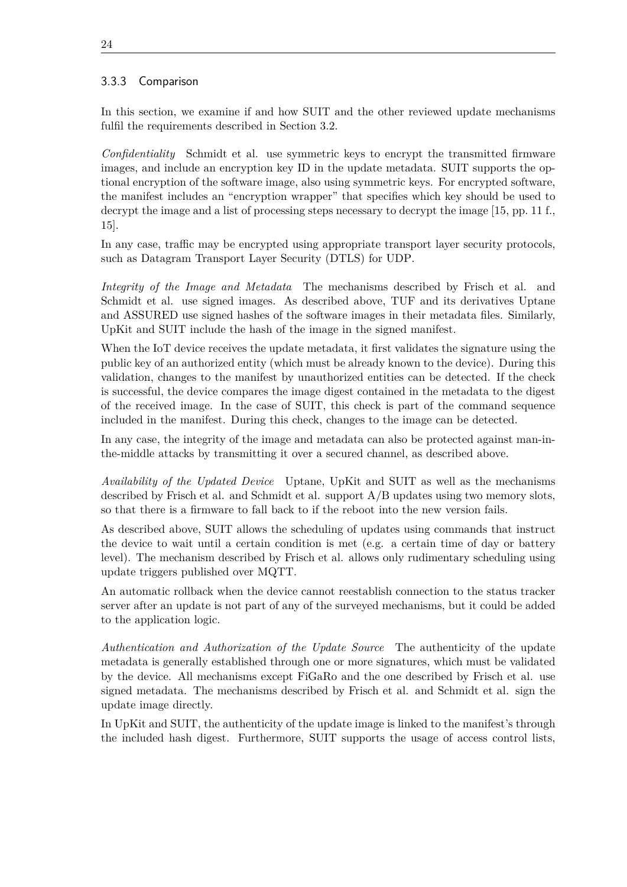## 3.3.3 Comparison

In this section, we examine if and how [SUIT](#page-13-1) and the other reviewed update mechanisms fulfil the requirements described in [Section 3.2.](#page-27-0)

*Confidentiality* Schmidt et al. use symmetric keys to encrypt the transmitted firmware images, and include an encryption key ID in the update metadata. [SUIT](#page-13-1) supports the optional encryption of the software image, also using symmetric keys. For encrypted software, the manifest includes an "encryption wrapper" that specifies which key should be used to decrypt the image and a list of processing steps necessary to decrypt the image [\[15,](#page-65-0) pp. 11 f., 15].

In any case, traffic may be encrypted using appropriate transport layer security protocols, such as [Datagram Transport Layer Security \(DTLS\)](#page-12-3) for [UDP.](#page-13-2)

*Integrity of the Image and Metadata* The mechanisms described by Frisch et al. and Schmidt et al. use signed images. As described above, [TUF](#page-13-3) and its derivatives Uptane and ASSURED use signed hashes of the software images in their metadata files. Similarly, UpKit and [SUIT](#page-13-1) include the hash of the image in the signed manifest.

When the [IoT](#page-12-0) device receives the update metadata, it first validates the signature using the public key of an authorized entity (which must be already known to the device). During this validation, changes to the manifest by unauthorized entities can be detected. If the check is successful, the device compares the image digest contained in the metadata to the digest of the received image. In the case of [SUIT,](#page-13-1) this check is part of the command sequence included in the manifest. During this check, changes to the image can be detected.

In any case, the integrity of the image and metadata can also be protected against man-inthe-middle attacks by transmitting it over a secured channel, as described above.

*Availability of the Updated Device* Uptane, UpKit and [SUIT](#page-13-1) as well as the mechanisms described by Frisch et al. and Schmidt et al. support  $A/B$  updates using two memory slots, so that there is a firmware to fall back to if the reboot into the new version fails.

As described above, [SUIT](#page-13-1) allows the scheduling of updates using commands that instruct the device to wait until a certain condition is met (e.g. a certain time of day or battery level). The mechanism described by Frisch et al. allows only rudimentary scheduling using update triggers published over [MQTT.](#page-12-1)

An automatic rollback when the device cannot reestablish connection to the status tracker server after an update is not part of any of the surveyed mechanisms, but it could be added to the application logic.

*Authentication and Authorization of the Update Source* The authenticity of the update metadata is generally established through one or more signatures, which must be validated by the device. All mechanisms except FiGaRo and the one described by Frisch et al. use signed metadata. The mechanisms described by Frisch et al. and Schmidt et al. sign the update image directly.

In UpKit and [SUIT,](#page-13-1) the authenticity of the update image is linked to the manifest's through the included hash digest. Furthermore, [SUIT](#page-13-1) supports the usage of access control lists,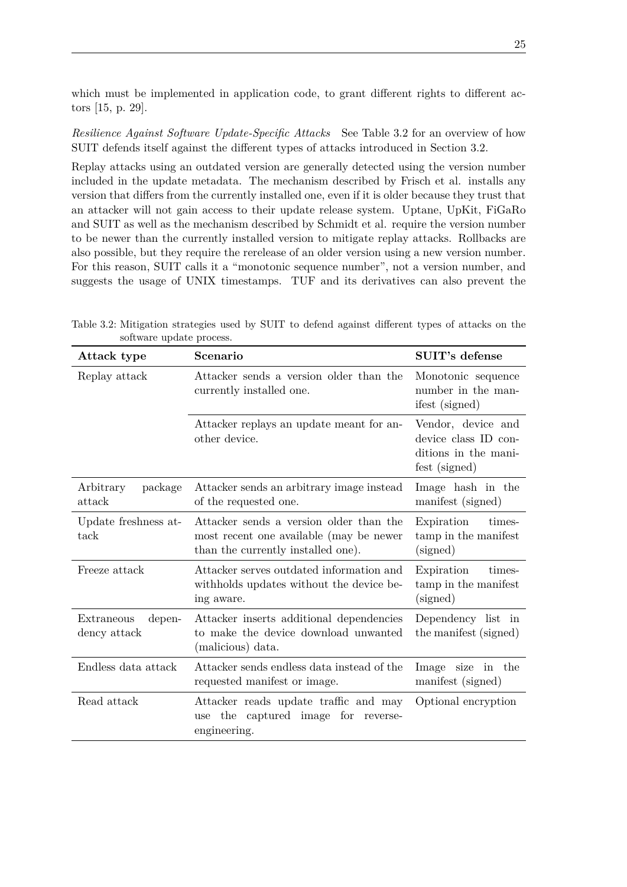which must be implemented in application code, to grant different rights to different actors [\[15,](#page-65-0) p. 29].

*Resilience Against Software Update-Specific Attacks* See [Table 3.2](#page-38-0) for an overview of how [SUIT](#page-13-1) defends itself against the different types of attacks introduced in [Section 3.2.](#page-27-0)

Replay attacks using an outdated version are generally detected using the version number included in the update metadata. The mechanism described by Frisch et al. installs any version that differs from the currently installed one, even if it is older because they trust that an attacker will not gain access to their update release system. Uptane, UpKit, FiGaRo and [SUIT](#page-13-1) as well as the mechanism described by Schmidt et al. require the version number to be newer than the currently installed version to mitigate replay attacks. Rollbacks are also possible, but they require the rerelease of an older version using a new version number. For this reason, [SUIT](#page-13-1) calls it a "monotonic sequence number", not a version number, and suggests the usage of UNIX timestamps. [TUF](#page-13-3) and its derivatives can also prevent the

| Attack type                          | Scenario                                                                                                                 | SUIT's defense                                                                      |
|--------------------------------------|--------------------------------------------------------------------------------------------------------------------------|-------------------------------------------------------------------------------------|
| Replay attack                        | Attacker sends a version older than the<br>currently installed one.                                                      | Monotonic sequence<br>number in the man-<br>ifest (signed)                          |
|                                      | Attacker replays an update meant for an-<br>other device.                                                                | Vendor, device and<br>device class ID con-<br>ditions in the mani-<br>fest (signed) |
| Arbitrary<br>package<br>attack       | Attacker sends an arbitrary image instead<br>of the requested one.                                                       | Image hash in the<br>manifest (signed)                                              |
| Update freshness at-<br>tack         | Attacker sends a version older than the<br>most recent one available (may be newer<br>than the currently installed one). | Expiration<br>times-<br>tamp in the manifest<br>(signed)                            |
| Freeze attack                        | Attacker serves outdated information and<br>withholds updates without the device be-<br>ing aware.                       | times-<br>Expiration<br>tamp in the manifest<br>(signed)                            |
| Extraneous<br>depen-<br>dency attack | Attacker inserts additional dependencies<br>to make the device download unwanted<br>(malicious) data.                    | Dependency list in<br>the manifest (signed)                                         |
| Endless data attack                  | Attacker sends endless data instead of the<br>requested manifest or image.                                               | Image size in the<br>manifest (signed)                                              |
| Read attack                          | Attacker reads update traffic and may<br>the captured image for reverse-<br>use<br>engineering.                          | Optional encryption                                                                 |

<span id="page-38-0"></span>Table 3.2: Mitigation strategies used by [SUIT](#page-13-1) to defend against different types of attacks on the software update process.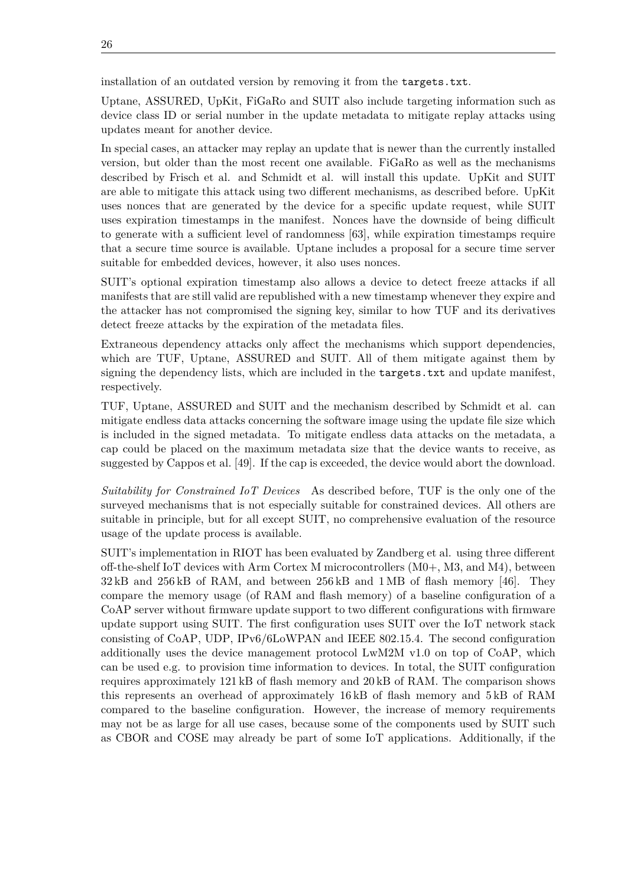installation of an outdated version by removing it from the targets.txt.

Uptane, ASSURED, UpKit, FiGaRo and [SUIT](#page-13-1) also include targeting information such as device class ID or serial number in the update metadata to mitigate replay attacks using updates meant for another device.

In special cases, an attacker may replay an update that is newer than the currently installed version, but older than the most recent one available. FiGaRo as well as the mechanisms described by Frisch et al. and Schmidt et al. will install this update. UpKit and [SUIT](#page-13-1) are able to mitigate this attack using two different mechanisms, as described before. UpKit uses nonces that are generated by the device for a specific update request, while [SUIT](#page-13-1) uses expiration timestamps in the manifest. Nonces have the downside of being difficult to generate with a sufficient level of randomness [\[63\]](#page-69-1), while expiration timestamps require that a secure time source is available. Uptane includes a proposal for a secure time server suitable for embedded devices, however, it also uses nonces.

[SUIT'](#page-13-1)s optional expiration timestamp also allows a device to detect freeze attacks if all manifests that are still valid are republished with a new timestamp whenever they expire and the attacker has not compromised the signing key, similar to how TUF and its derivatives detect freeze attacks by the expiration of the metadata files.

Extraneous dependency attacks only affect the mechanisms which support dependencies, which are [TUF,](#page-13-3) Uptane, ASSURED and [SUIT.](#page-13-1) All of them mitigate against them by signing the dependency lists, which are included in the targets.txt and update manifest, respectively.

[TUF,](#page-13-3) Uptane, ASSURED and [SUIT](#page-13-1) and the mechanism described by Schmidt et al. can mitigate endless data attacks concerning the software image using the update file size which is included in the signed metadata. To mitigate endless data attacks on the metadata, a cap could be placed on the maximum metadata size that the device wants to receive, as suggested by Cappos et al. [\[49\]](#page-68-1). If the cap is exceeded, the device would abort the download.

*Suitability for Constrained [IoT](#page-12-0) Devices* As described before, [TUF](#page-13-3) is the only one of the surveyed mechanisms that is not especially suitable for constrained devices. All others are suitable in principle, but for all except [SUIT,](#page-13-1) no comprehensive evaluation of the resource usage of the update process is available.

[SUIT'](#page-13-1)s implementation in RIOT has been evaluated by Zandberg et al. using three different off-the-shelf [IoT](#page-12-0) devices with Arm Cortex M microcontrollers (M0+, M3, and M4), between 32 kB and 256 kB of [RAM,](#page-13-4) and between 256 kB and 1 MB of flash memory [\[46\]](#page-68-2). They compare the memory usage (of [RAM](#page-13-4) and flash memory) of a baseline configuration of a [CoAP](#page-12-4) server without firmware update support to two different configurations with firmware update support using [SUIT.](#page-13-1) The first configuration uses [SUIT](#page-13-1) over the [IoT](#page-12-0) network stack consisting of [CoAP,](#page-12-4) [UDP,](#page-13-2) [IPv6](#page-12-5)[/6LoWPAN](#page-12-6) and IEEE 802.15.4. The second configuration additionally uses the device management protocol [LwM2M](#page-12-7) v1.0 on top of [CoAP,](#page-12-4) which can be used e.g. to provision time information to devices. In total, the [SUIT](#page-13-1) configuration requires approximately 121 kB of flash memory and 20 kB of [RAM.](#page-13-4) The comparison shows this represents an overhead of approximately 16 kB of flash memory and 5 kB of [RAM](#page-13-4) compared to the baseline configuration. However, the increase of memory requirements may not be as large for all use cases, because some of the components used by [SUIT](#page-13-1) such as [CBOR](#page-12-8) and [COSE](#page-12-9) may already be part of some [IoT](#page-12-0) applications. Additionally, if the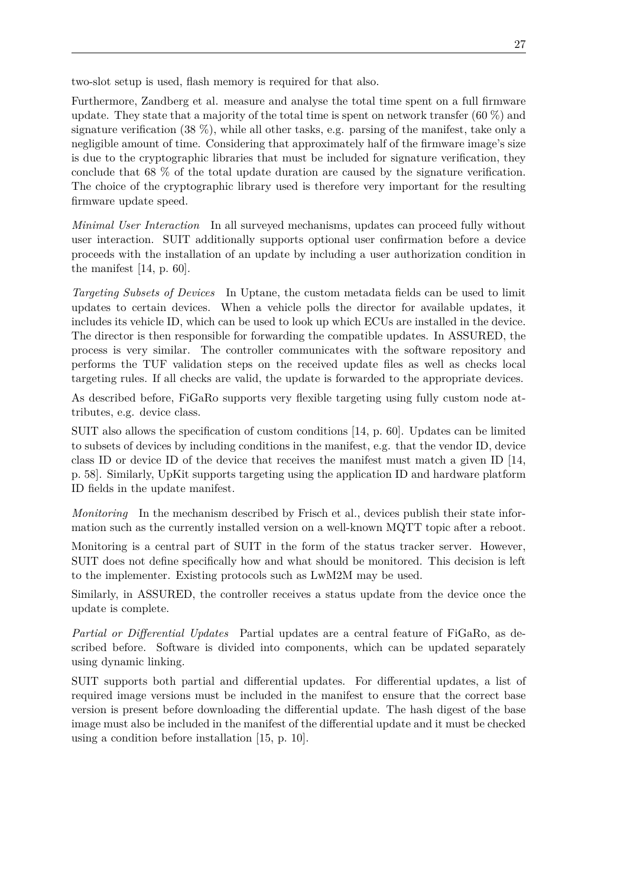two-slot setup is used, flash memory is required for that also.

Furthermore, Zandberg et al. measure and analyse the total time spent on a full firmware update. They state that a majority of the total time is spent on network transfer  $(60\%)$  and signature verification  $(38\%)$ , while all other tasks, e.g. parsing of the manifest, take only a negligible amount of time. Considering that approximately half of the firmware image's size is due to the cryptographic libraries that must be included for signature verification, they conclude that 68 % of the total update duration are caused by the signature verification. The choice of the cryptographic library used is therefore very important for the resulting firmware update speed.

*Minimal User Interaction* In all surveyed mechanisms, updates can proceed fully without user interaction. [SUIT](#page-13-1) additionally supports optional user confirmation before a device proceeds with the installation of an update by including a user authorization condition in the manifest [\[14,](#page-65-1) p. 60].

*Targeting Subsets of Devices* In Uptane, the custom metadata fields can be used to limit updates to certain devices. When a vehicle polls the director for available updates, it includes its vehicle ID, which can be used to look up which ECUs are installed in the device. The director is then responsible for forwarding the compatible updates. In ASSURED, the process is very similar. The controller communicates with the software repository and performs the [TUF](#page-13-3) validation steps on the received update files as well as checks local targeting rules. If all checks are valid, the update is forwarded to the appropriate devices.

As described before, FiGaRo supports very flexible targeting using fully custom node attributes, e.g. device class.

[SUIT](#page-13-1) also allows the specification of custom conditions [\[14,](#page-65-1) p. 60]. Updates can be limited to subsets of devices by including conditions in the manifest, e.g. that the vendor ID, device class ID or device ID of the device that receives the manifest must match a given ID [\[14,](#page-65-1) p. 58]. Similarly, UpKit supports targeting using the application ID and hardware platform ID fields in the update manifest.

*Monitoring* In the mechanism described by Frisch et al., devices publish their state information such as the currently installed version on a well-known [MQTT](#page-12-1) topic after a reboot.

Monitoring is a central part of [SUIT](#page-13-1) in the form of the status tracker server. However, [SUIT](#page-13-1) does not define specifically how and what should be monitored. This decision is left to the implementer. Existing protocols such as [LwM2M](#page-12-7) may be used.

Similarly, in ASSURED, the controller receives a status update from the device once the update is complete.

*Partial or Differential Updates* Partial updates are a central feature of FiGaRo, as described before. Software is divided into components, which can be updated separately using dynamic linking.

[SUIT](#page-13-1) supports both partial and differential updates. For differential updates, a list of required image versions must be included in the manifest to ensure that the correct base version is present before downloading the differential update. The hash digest of the base image must also be included in the manifest of the differential update and it must be checked using a condition before installation [\[15,](#page-65-0) p. 10].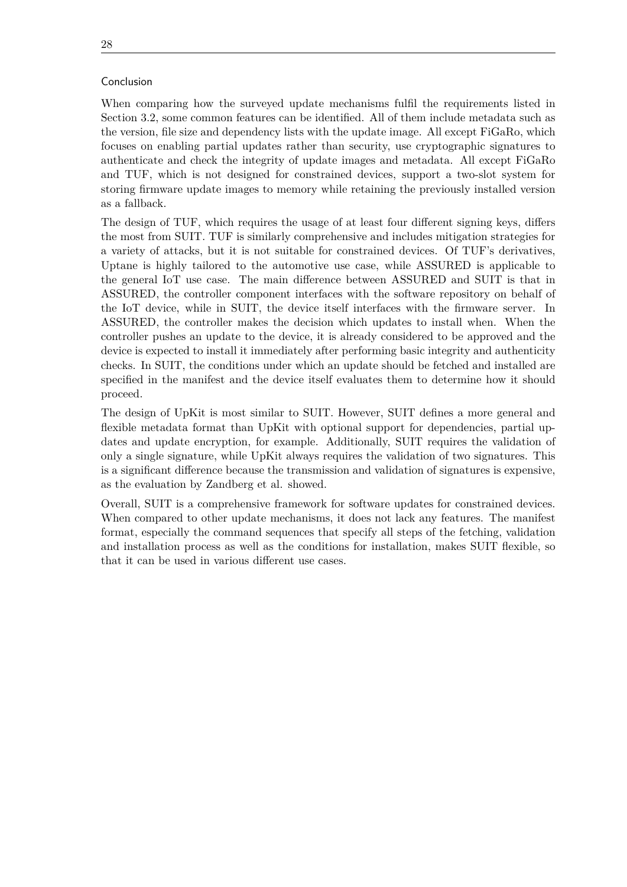#### Conclusion

When comparing how the surveyed update mechanisms fulfil the requirements listed in [Section 3.2,](#page-27-0) some common features can be identified. All of them include metadata such as the version, file size and dependency lists with the update image. All except FiGaRo, which focuses on enabling partial updates rather than security, use cryptographic signatures to authenticate and check the integrity of update images and metadata. All except FiGaRo and [TUF,](#page-13-3) which is not designed for constrained devices, support a two-slot system for storing firmware update images to memory while retaining the previously installed version as a fallback.

The design of [TUF,](#page-13-3) which requires the usage of at least four different signing keys, differs the most from [SUIT.](#page-13-1) [TUF](#page-13-3) is similarly comprehensive and includes mitigation strategies for a variety of attacks, but it is not suitable for constrained devices. Of [TUF'](#page-13-3)s derivatives, Uptane is highly tailored to the automotive use case, while ASSURED is applicable to the general [IoT](#page-12-0) use case. The main difference between ASSURED and [SUIT](#page-13-1) is that in ASSURED, the controller component interfaces with the software repository on behalf of the [IoT](#page-12-0) device, while in [SUIT,](#page-13-1) the device itself interfaces with the firmware server. In ASSURED, the controller makes the decision which updates to install when. When the controller pushes an update to the device, it is already considered to be approved and the device is expected to install it immediately after performing basic integrity and authenticity checks. In [SUIT,](#page-13-1) the conditions under which an update should be fetched and installed are specified in the manifest and the device itself evaluates them to determine how it should proceed.

The design of UpKit is most similar to [SUIT.](#page-13-1) However, [SUIT](#page-13-1) defines a more general and flexible metadata format than UpKit with optional support for dependencies, partial updates and update encryption, for example. Additionally, [SUIT](#page-13-1) requires the validation of only a single signature, while UpKit always requires the validation of two signatures. This is a significant difference because the transmission and validation of signatures is expensive, as the evaluation by Zandberg et al. showed.

Overall, [SUIT](#page-13-1) is a comprehensive framework for software updates for constrained devices. When compared to other update mechanisms, it does not lack any features. The manifest format, especially the command sequences that specify all steps of the fetching, validation and installation process as well as the conditions for installation, makes [SUIT](#page-13-1) flexible, so that it can be used in various different use cases.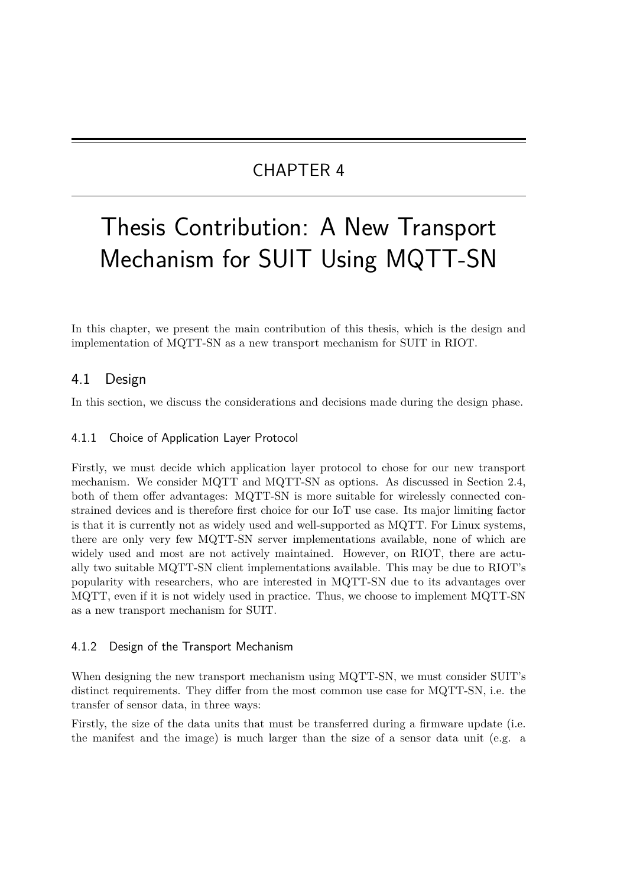# CHAPTER 4

# Thesis Contribution: A New Transport Mechanism for SUIT Using MQTT-SN

In this chapter, we present the main contribution of this thesis, which is the design and implementation of [MQTT-SN](#page-13-5) as a new transport mechanism for [SUIT](#page-13-1) in RIOT.

# 4.1 Design

<span id="page-42-0"></span>In this section, we discuss the considerations and decisions made during the design phase.

## 4.1.1 Choice of Application Layer Protocol

Firstly, we must decide which application layer protocol to chose for our new transport mechanism. We consider [MQTT](#page-12-1) and [MQTT-SN](#page-13-5) as options. As discussed in [Section 2.4,](#page-23-0) both of them offer advantages: [MQTT-SN](#page-13-5) is more suitable for wirelessly connected constrained devices and is therefore first choice for our [IoT](#page-12-0) use case. Its major limiting factor is that it is currently not as widely used and well-supported as [MQTT.](#page-12-1) For Linux systems, there are only very few [MQTT-SN](#page-13-5) server implementations available, none of which are widely used and most are not actively maintained. However, on RIOT, there are actually two suitable [MQTT-SN](#page-13-5) client implementations available. This may be due to RIOT's popularity with researchers, who are interested in [MQTT-SN](#page-13-5) due to its advantages over [MQTT,](#page-12-1) even if it is not widely used in practice. Thus, we choose to implement [MQTT-SN](#page-13-5) as a new transport mechanism for [SUIT.](#page-13-1)

### <span id="page-42-1"></span>4.1.2 Design of the Transport Mechanism

When designing the new transport mechanism using [MQTT-SN,](#page-13-5) we must consider [SUIT'](#page-13-1)s distinct requirements. They differ from the most common use case for [MQTT-SN,](#page-13-5) i.e. the transfer of sensor data, in three ways:

Firstly, the size of the data units that must be transferred during a firmware update (i.e. the manifest and the image) is much larger than the size of a sensor data unit (e.g. a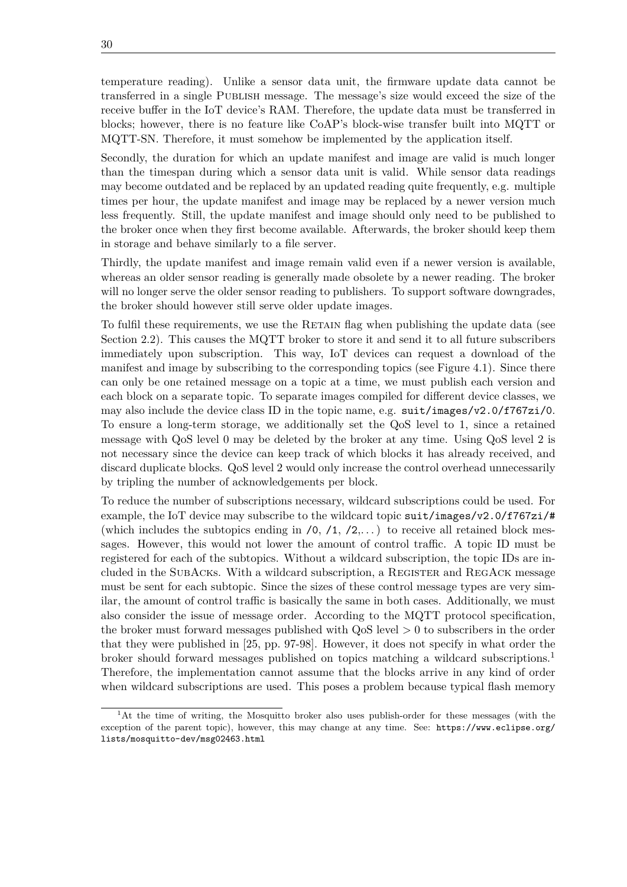temperature reading). Unlike a sensor data unit, the firmware update data cannot be transferred in a single Publish message. The message's size would exceed the size of the receive buffer in the [IoT](#page-12-0) device's [RAM.](#page-13-4) Therefore, the update data must be transferred in blocks; however, there is no feature like [CoAP'](#page-12-4)s block-wise transfer built into [MQTT](#page-12-1) or [MQTT-SN.](#page-13-5) Therefore, it must somehow be implemented by the application itself.

Secondly, the duration for which an update manifest and image are valid is much longer than the timespan during which a sensor data unit is valid. While sensor data readings may become outdated and be replaced by an updated reading quite frequently, e.g. multiple times per hour, the update manifest and image may be replaced by a newer version much less frequently. Still, the update manifest and image should only need to be published to the broker once when they first become available. Afterwards, the broker should keep them in storage and behave similarly to a file server.

Thirdly, the update manifest and image remain valid even if a newer version is available, whereas an older sensor reading is generally made obsolete by a newer reading. The broker will no longer serve the older sensor reading to publishers. To support software downgrades, the broker should however still serve older update images.

To fulfil these requirements, we use the RETAIN flag when publishing the update data (see [Section 2.2\)](#page-20-0). This causes the [MQTT](#page-12-1) broker to store it and send it to all future subscribers immediately upon subscription. This way, [IoT](#page-12-0) devices can request a download of the manifest and image by subscribing to the corresponding topics (see [Figure 4.1\)](#page-44-0). Since there can only be one retained message on a topic at a time, we must publish each version and each block on a separate topic. To separate images compiled for different device classes, we may also include the device class ID in the topic name, e.g.  $suit/images/v2.0/f767zi/0$ . To ensure a long-term storage, we additionally set the [QoS](#page-13-6) level to 1, since a retained message with [QoS](#page-13-6) level 0 may be deleted by the broker at any time. Using [QoS](#page-13-6) level 2 is not necessary since the device can keep track of which blocks it has already received, and discard duplicate blocks. [QoS](#page-13-6) level 2 would only increase the control overhead unnecessarily by tripling the number of acknowledgements per block.

To reduce the number of subscriptions necessary, wildcard subscriptions could be used. For example, the [IoT](#page-12-0) device may subscribe to the wildcard topic suit/images/v2.0/f767zi/# (which includes the subtopics ending in  $(0, 1, 2, ...)$  to receive all retained block messages. However, this would not lower the amount of control traffic. A topic ID must be registered for each of the subtopics. Without a wildcard subscription, the topic IDs are included in the SUBACKS. With a wildcard subscription, a REGISTER and REGACK message must be sent for each subtopic. Since the sizes of these control message types are very similar, the amount of control traffic is basically the same in both cases. Additionally, we must also consider the issue of message order. According to the [MQTT](#page-12-1) protocol specification, the broker must forward messages published with [QoS](#page-13-6) level *>* 0 to subscribers in the order that they were published in [\[25,](#page-66-0) pp. 97-98]. However, it does not specify in what order the broker should forward messages published on topics matching a wildcard subscriptions.[1](#page-0-0) Therefore, the implementation cannot assume that the blocks arrive in any kind of order when wildcard subscriptions are used. This poses a problem because typical flash memory

 $1<sup>1</sup>$ At the time of writing, the Mosquitto broker also uses publish-order for these messages (with the exception of the parent topic), however, this may change at any time. See: [https://www.eclipse.org/](https://www.eclipse.org/lists/mosquitto-dev/msg02463.html) [lists/mosquitto-dev/msg02463.html](https://www.eclipse.org/lists/mosquitto-dev/msg02463.html)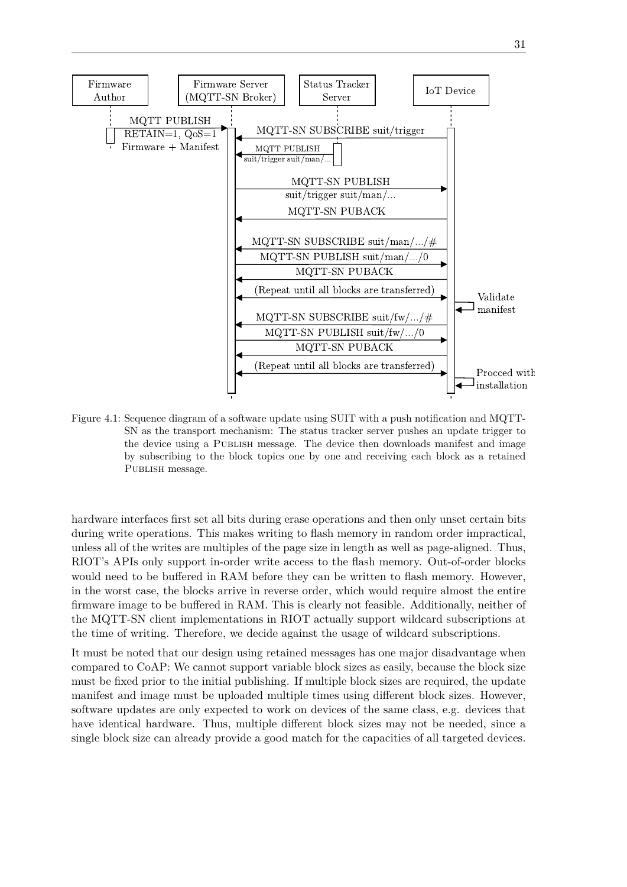<span id="page-44-0"></span>

Figure 4.1: Sequence diagram of a software update using [SUIT](#page-13-1) with a push notification and [MQTT-](#page-13-5)[SN](#page-13-5) as the transport mechanism: The status tracker server pushes an update trigger to the device using a PUBLISH message. The device then downloads manifest and image by subscribing to the block topics one by one and receiving each block as a retained PUBLISH message.

hardware interfaces first set all bits during erase operations and then only unset certain bits during write operations. This makes writing to flash memory in random order impractical, unless all of the writes are multiples of the page size in length as well as page-aligned. Thus, RIOT's APIs only support in-order write access to the flash memory. Out-of-order blocks would need to be buffered in [RAM](#page-13-4) before they can be written to flash memory. However, in the worst case, the blocks arrive in reverse order, which would require almost the entire firmware image to be buffered in [RAM.](#page-13-4) This is clearly not feasible. Additionally, neither of the [MQTT-SN](#page-13-5) client implementations in RIOT actually support wildcard subscriptions at the time of writing. Therefore, we decide against the usage of wildcard subscriptions.

It must be noted that our design using retained messages has one major disadvantage when compared to [CoAP:](#page-12-4) We cannot support variable block sizes as easily, because the block size must be fixed prior to the initial publishing. If multiple block sizes are required, the update manifest and image must be uploaded multiple times using different block sizes. However, software updates are only expected to work on devices of the same class, e.g. devices that have identical hardware. Thus, multiple different block sizes may not be needed, since a single block size can already provide a good match for the capacities of all targeted devices.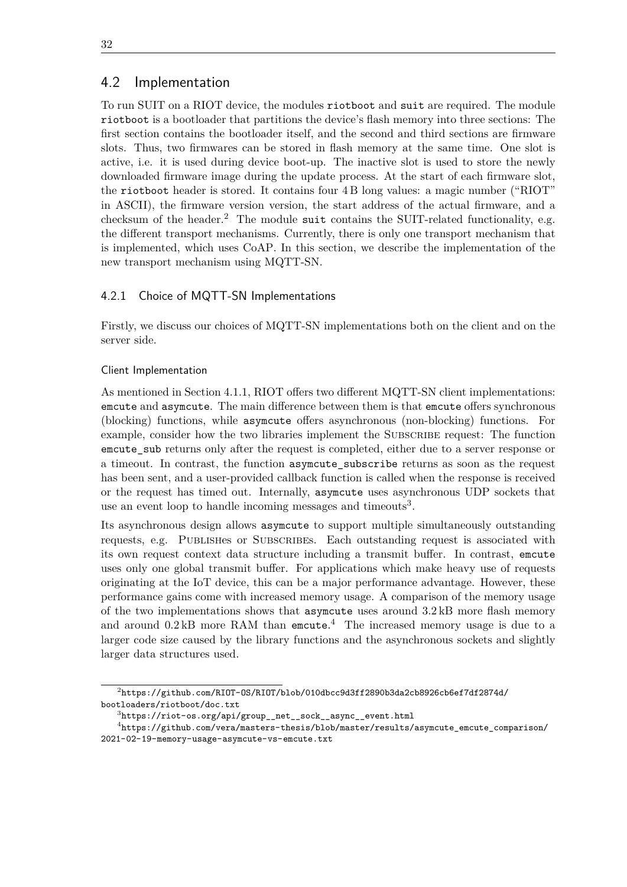# 4.2 Implementation

To run [SUIT](#page-13-1) on a RIOT device, the modules riotboot and suit are required. The module riotboot is a bootloader that partitions the device's flash memory into three sections: The first section contains the bootloader itself, and the second and third sections are firmware slots. Thus, two firmwares can be stored in flash memory at the same time. One slot is active, i.e. it is used during device boot-up. The inactive slot is used to store the newly downloaded firmware image during the update process. At the start of each firmware slot, the riotboot header is stored. It contains four 4 B long values: a magic number ("RIOT" in ASCII), the firmware version version, the start address of the actual firmware, and a checksum of the header.<sup>[2](#page-0-0)</sup> The module suit contains the [SUIT-](#page-13-1)related functionality, e.g. the different transport mechanisms. Currently, there is only one transport mechanism that is implemented, which uses [CoAP.](#page-12-4) In this section, we describe the implementation of the new transport mechanism using [MQTT-SN.](#page-13-5)

## 4.2.1 Choice of MQTT-SN Implementations

Firstly, we discuss our choices of [MQTT-SN](#page-13-5) implementations both on the client and on the server side.

#### Client Implementation

As mentioned in [Section 4.1.1,](#page-42-0) RIOT offers two different [MQTT-SN](#page-13-5) client implementations: emcute and asymcute. The main difference between them is that emcute offers synchronous (blocking) functions, while asymcute offers asynchronous (non-blocking) functions. For example, consider how the two libraries implement the Subscribe request: The function emcute sub returns only after the request is completed, either due to a server response or a timeout. In contrast, the function asymcute\_subscribe returns as soon as the request has been sent, and a user-provided callback function is called when the response is received or the request has timed out. Internally, asymcute uses asynchronous [UDP](#page-13-2) sockets that use an event loop to handle incoming messages and timeouts<sup>[3](#page-0-0)</sup>.

Its asynchronous design allows asymcute to support multiple simultaneously outstanding requests, e.g. Publishes or Subscribes. Each outstanding request is associated with its own request context data structure including a transmit buffer. In contrast, emcute uses only one global transmit buffer. For applications which make heavy use of requests originating at the [IoT](#page-12-0) device, this can be a major performance advantage. However, these performance gains come with increased memory usage. A comparison of the memory usage of the two implementations shows that asymcute uses around 3*.*2 kB more flash memory and around 0*.*2 kB more [RAM](#page-13-4) than emcute. [4](#page-0-0) The increased memory usage is due to a larger code size caused by the library functions and the asynchronous sockets and slightly larger data structures used.

 $^2$ [https://github.com/RIOT-OS/RIOT/blob/010dbcc9d3ff2890b3da2cb8926cb6ef7df2874d/](https://github.com/RIOT-OS/RIOT/blob/010dbcc9d3ff2890b3da2cb8926cb6ef7df2874d/bootloaders/riotboot/doc.txt) [bootloaders/riotboot/doc.txt](https://github.com/RIOT-OS/RIOT/blob/010dbcc9d3ff2890b3da2cb8926cb6ef7df2874d/bootloaders/riotboot/doc.txt)

 $^3$ [https://riot-os.org/api/group\\_\\_net\\_\\_sock\\_\\_async\\_\\_event.html](https://riot-os.org/api/group__net__sock__async__event.html)

 $^4$ [https://github.com/vera/masters-thesis/blob/master/results/asymcute\\_emcute\\_comparison/](https://github.com/vera/masters-thesis/blob/master/results/asymcute_emcute_comparison/2021-02-19-memory-usage-asymcute-vs-emcute.txt) [2021-02-19-memory-usage-asymcute-vs-emcute.txt](https://github.com/vera/masters-thesis/blob/master/results/asymcute_emcute_comparison/2021-02-19-memory-usage-asymcute-vs-emcute.txt)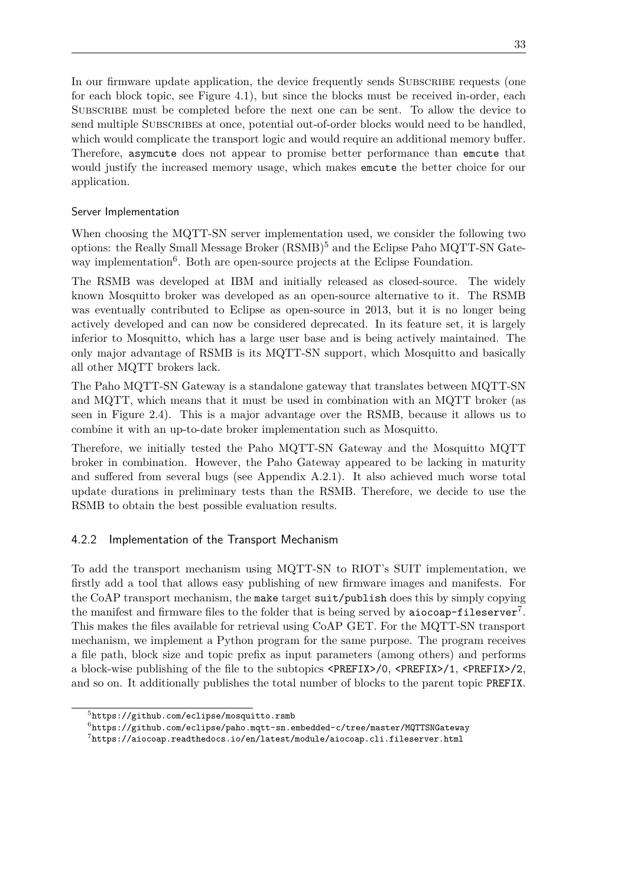In our firmware update application, the device frequently sends SUBSCRIBE requests (one for each block topic, see [Figure 4.1\)](#page-44-0), but since the blocks must be received in-order, each Subscribe must be completed before the next one can be sent. To allow the device to send multiple Subscribes at once, potential out-of-order blocks would need to be handled, which would complicate the transport logic and would require an additional memory buffer. Therefore, asymcute does not appear to promise better performance than emcute that would justify the increased memory usage, which makes emcute the better choice for our application.

### Server Implementation

When choosing the [MQTT-SN](#page-13-5) server implementation used, we consider the following two options: the [Really Small Message Broker \(RSMB\)](#page-13-7)[5](#page-0-0) and the Eclipse Paho [MQTT-SN](#page-13-5) Gate-way implementation<sup>[6](#page-0-0)</sup>. Both are open-source projects at the Eclipse Foundation.

The [RSMB](#page-13-7) was developed at IBM and initially released as closed-source. The widely known Mosquitto broker was developed as an open-source alternative to it. The [RSMB](#page-13-7) was eventually contributed to Eclipse as open-source in 2013, but it is no longer being actively developed and can now be considered deprecated. In its feature set, it is largely inferior to Mosquitto, which has a large user base and is being actively maintained. The only major advantage of [RSMB](#page-13-7) is its [MQTT-SN](#page-13-5) support, which Mosquitto and basically all other [MQTT](#page-12-1) brokers lack.

The Paho [MQTT-SN](#page-13-5) Gateway is a standalone gateway that translates between [MQTT-SN](#page-13-5) and [MQTT,](#page-12-1) which means that it must be used in combination with an [MQTT](#page-12-1) broker (as seen in [Figure 2.4\)](#page-22-0). This is a major advantage over the [RSMB,](#page-13-7) because it allows us to combine it with an up-to-date broker implementation such as Mosquitto.

Therefore, we initially tested the Paho [MQTT-SN](#page-13-5) Gateway and the Mosquitto [MQTT](#page-12-1) broker in combination. However, the Paho Gateway appeared to be lacking in maturity and suffered from several bugs (see [Appendix A.2.1\)](#page-73-0). It also achieved much worse total update durations in preliminary tests than the [RSMB.](#page-13-7) Therefore, we decide to use the [RSMB](#page-13-7) to obtain the best possible evaluation results.

## <span id="page-46-0"></span>4.2.2 Implementation of the Transport Mechanism

To add the transport mechanism using [MQTT-SN](#page-13-5) to RIOT's [SUIT](#page-13-1) implementation, we firstly add a tool that allows easy publishing of new firmware images and manifests. For the [CoAP](#page-12-4) transport mechanism, the make target suit/publish does this by simply copying the manifest and firmware files to the folder that is being served by  $\texttt{aiocoap-fileserver}^7.$  $\texttt{aiocoap-fileserver}^7.$  $\texttt{aiocoap-fileserver}^7.$ This makes the files available for retrieval using [CoAP](#page-12-4) GET. For the [MQTT-SN](#page-13-5) transport mechanism, we implement a Python program for the same purpose. The program receives a file path, block size and topic prefix as input parameters (among others) and performs a block-wise publishing of the file to the subtopics <PREFIX>/0, <PREFIX>/1, <PREFIX>/2, and so on. It additionally publishes the total number of blocks to the parent topic PREFIX.

 $5$ <https://github.com/eclipse/mosquitto.rsmb>

 $^6$ <https://github.com/eclipse/paho.mqtt-sn.embedded-c/tree/master/MQTTSNGateway>

 $^{7}$ <https://aiocoap.readthedocs.io/en/latest/module/aiocoap.cli.fileserver.html>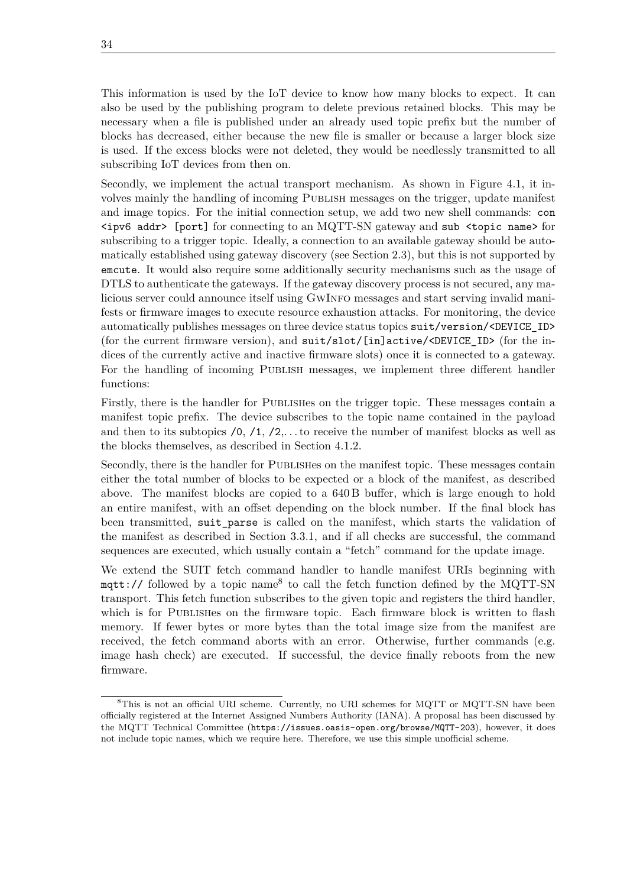This information is used by the [IoT](#page-12-0) device to know how many blocks to expect. It can also be used by the publishing program to delete previous retained blocks. This may be necessary when a file is published under an already used topic prefix but the number of blocks has decreased, either because the new file is smaller or because a larger block size is used. If the excess blocks were not deleted, they would be needlessly transmitted to all subscribing [IoT](#page-12-0) devices from then on.

Secondly, we implement the actual transport mechanism. As shown in [Figure 4.1,](#page-44-0) it involves mainly the handling of incoming Publish messages on the trigger, update manifest and image topics. For the initial connection setup, we add two new shell commands: con  $\langle$ ipv6 addr> [port] for connecting to an [MQTT-SN](#page-13-5) gateway and sub  $\langle$ topic name> for subscribing to a trigger topic. Ideally, a connection to an available gateway should be automatically established using gateway discovery (see [Section 2.3\)](#page-21-0), but this is not supported by emcute. It would also require some additionally security mechanisms such as the usage of [DTLS](#page-12-3) to authenticate the gateways. If the gateway discovery process is not secured, any malicious server could announce itself using GwInfo messages and start serving invalid manifests or firmware images to execute resource exhaustion attacks. For monitoring, the device automatically publishes messages on three device status topics suit/version/<DEVICE\_ID> (for the current firmware version), and suit/slot/[in]active/<DEVICE\_ID> (for the indices of the currently active and inactive firmware slots) once it is connected to a gateway. For the handling of incoming Publish messages, we implement three different handler functions:

Firstly, there is the handler for Publishes on the trigger topic. These messages contain a manifest topic prefix. The device subscribes to the topic name contained in the payload and then to its subtopics  $/0$ ,  $/1$ ,  $/2$ ,... to receive the number of manifest blocks as well as the blocks themselves, as described in [Section 4.1.2.](#page-42-1)

Secondly, there is the handler for Publishes on the manifest topic. These messages contain either the total number of blocks to be expected or a block of the manifest, as described above. The manifest blocks are copied to a 640 B buffer, which is large enough to hold an entire manifest, with an offset depending on the block number. If the final block has been transmitted, suit\_parse is called on the manifest, which starts the validation of the manifest as described in [Section 3.3.1,](#page-30-0) and if all checks are successful, the command sequences are executed, which usually contain a "fetch" command for the update image.

We extend the [SUIT](#page-13-1) fetch command handler to handle manifest [URIs](#page-13-8) beginning with  $\texttt{mqtt://}$  followed by a topic name<sup>[8](#page-0-0)</sup> to call the fetch function defined by the [MQTT-SN](#page-13-5) transport. This fetch function subscribes to the given topic and registers the third handler, which is for PUBLISHES on the firmware topic. Each firmware block is written to flash memory. If fewer bytes or more bytes than the total image size from the manifest are received, the fetch command aborts with an error. Otherwise, further commands (e.g. image hash check) are executed. If successful, the device finally reboots from the new firmware.

<sup>&</sup>lt;sup>8</sup>This is not an official [URI](#page-13-8) scheme. Currently, no URI schemes for [MQTT](#page-12-1) or [MQTT-SN](#page-13-5) have been officially registered at the [Internet Assigned Numbers Authority \(IANA\).](#page-12-10) A proposal has been discussed by the [MQTT](#page-12-1) Technical Committee (<https://issues.oasis-open.org/browse/MQTT-203>), however, it does not include topic names, which we require here. Therefore, we use this simple unofficial scheme.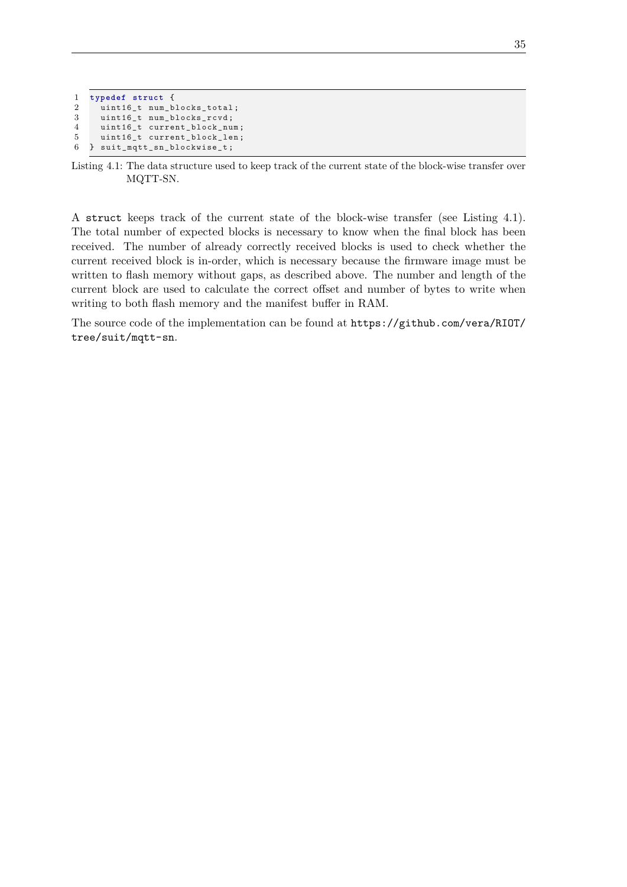```
1 typedef struct {
     uint16_t num_blocks_total;
3 uint16_t num_blocks_rcvd ;
4 uint16_t current_block_num ;
5 uint16_t current_block_len;<br>6 } suit mqtt sn blockwise t;
   6 } suit_mqtt_sn_blockwise_t ;
```
Listing 4.1: The data structure used to keep track of the current state of the block-wise transfer over [MQTT-SN.](#page-13-5)

A struct keeps track of the current state of the block-wise transfer (see [Listing 4.1\)](#page-48-0). The total number of expected blocks is necessary to know when the final block has been received. The number of already correctly received blocks is used to check whether the current received block is in-order, which is necessary because the firmware image must be written to flash memory without gaps, as described above. The number and length of the current block are used to calculate the correct offset and number of bytes to write when writing to both flash memory and the manifest buffer in [RAM.](#page-13-4)

The source code of the implementation can be found at [https://github.com/vera/RIOT/](https://github.com/vera/RIOT/tree/suit/mqtt-sn) [tree/suit/mqtt-sn](https://github.com/vera/RIOT/tree/suit/mqtt-sn).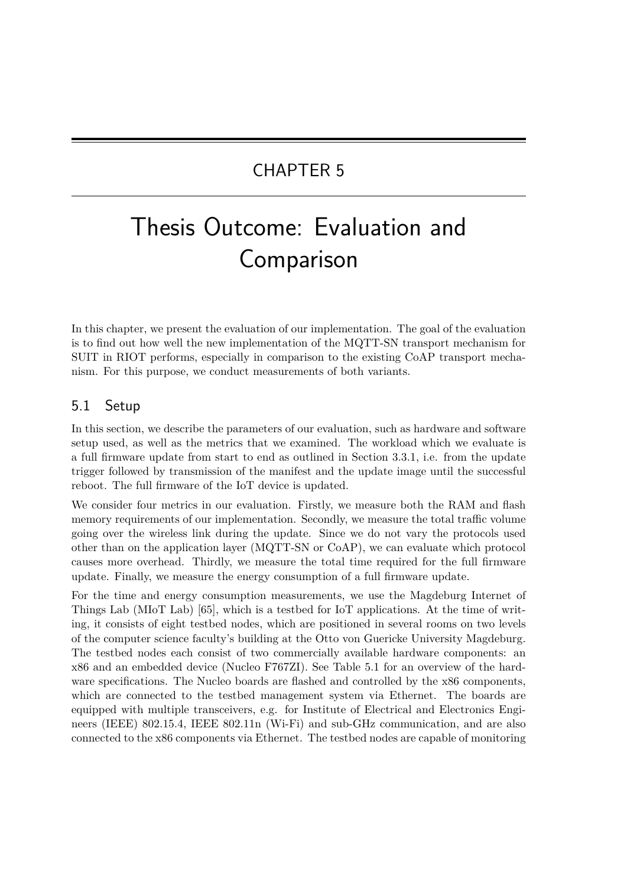# CHAPTER 5

# Thesis Outcome: Evaluation and Comparison

In this chapter, we present the evaluation of our implementation. The goal of the evaluation is to find out how well the new implementation of the [MQTT-SN](#page-13-5) transport mechanism for [SUIT](#page-13-1) in RIOT performs, especially in comparison to the existing [CoAP](#page-12-4) transport mechanism. For this purpose, we conduct measurements of both variants.

# 5.1 Setup

In this section, we describe the parameters of our evaluation, such as hardware and software setup used, as well as the metrics that we examined. The workload which we evaluate is a full firmware update from start to end as outlined in [Section 3.3.1,](#page-32-0) i.e. from the update trigger followed by transmission of the manifest and the update image until the successful reboot. The full firmware of the [IoT](#page-12-0) device is updated.

We consider four metrics in our evaluation. Firstly, we measure both the [RAM](#page-13-4) and flash memory requirements of our implementation. Secondly, we measure the total traffic volume going over the wireless link during the update. Since we do not vary the protocols used other than on the application layer [\(MQTT-SN](#page-13-5) or [CoAP\)](#page-12-4), we can evaluate which protocol causes more overhead. Thirdly, we measure the total time required for the full firmware update. Finally, we measure the energy consumption of a full firmware update.

For the time and energy consumption measurements, we use the [Magdeburg Internet of](#page-12-11) [Things Lab \(MIoT Lab\)](#page-12-11) [\[65\]](#page-69-2), which is a testbed for [IoT](#page-12-0) applications. At the time of writing, it consists of eight testbed nodes, which are positioned in several rooms on two levels of the computer science faculty's building at the Otto von Guericke University Magdeburg. The testbed nodes each consist of two commercially available hardware components: an x86 and an embedded device (Nucleo F767ZI). See [Table 5.1](#page-51-0) for an overview of the hardware specifications. The Nucleo boards are flashed and controlled by the x86 components, which are connected to the testbed management system via Ethernet. The boards are equipped with multiple transceivers, e.g. for [Institute of Electrical and Electronics Engi](#page-12-12)[neers \(IEEE\)](#page-12-12) 802.15.4, [IEEE](#page-12-12) 802.11n (Wi-Fi) and sub-GHz communication, and are also connected to the x86 components via Ethernet. The testbed nodes are capable of monitoring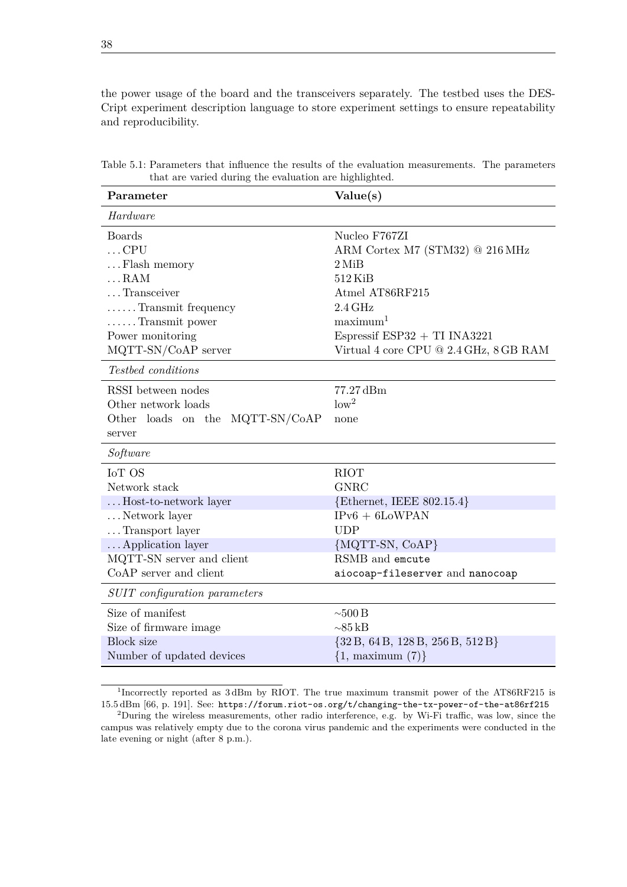the power usage of the board and the transceivers separately. The testbed uses the DES-Cript experiment description language to store experiment settings to ensure repeatability and reproducibility.

| Parameter                       | Value(s)                               |
|---------------------------------|----------------------------------------|
| Hardware                        |                                        |
| <b>Boards</b>                   | Nucleo F767ZI                          |
| $\ldots$ CPU                    | ARM Cortex M7 (STM32) @ 216 MHz        |
| Flash memory                    | $2$ MiB                                |
| $\ldots$ RAM                    | $512$ KiB                              |
| Transceiver                     | Atmel AT86RF215                        |
| Transmit frequency              | $2.4\,\mathrm{GHz}$                    |
| $\ldots$ Transmit power         | maximum <sup>1</sup>                   |
| Power monitoring                | Espressif $ESP32 + TI$ INA3221         |
| MQTT-SN/CoAP server             | Virtual 4 core CPU @ 2.4 GHz, 8 GB RAM |
| Testbed conditions              |                                        |
| RSSI between nodes              | 77.27 dBm                              |
| Other network loads             | low <sup>2</sup>                       |
| Other loads on the MQTT-SN/CoAP | none                                   |
| server                          |                                        |
| $\it Software$                  |                                        |
| IoT OS                          | <b>RIOT</b>                            |
| Network stack                   | <b>GNRC</b>                            |
| Host-to-network layer           | $\{Ethernet, IEEE 802.15.4\}$          |
| Network layer                   | $IPv6 + 6$ LoWPAN                      |
| Transport layer                 | <b>UDP</b>                             |
| Application layer               | ${MQTT-SN, CoAP}$                      |
| MQTT-SN server and client       | RSMB and emcute                        |
| CoAP server and client          | aiocoap-fileserver and nanocoap        |
| SUIT configuration parameters   |                                        |
| Size of manifest                | $\sim\!\!500\,\mathrm{B}$              |
| Size of firmware image          | $\sim$ 85 kB                           |
| Block size                      | $\{32B, 64B, 128B, 256B, 512B\}$       |
| Number of updated devices       | $\{1,$ maximum $(7)\}$                 |

<span id="page-51-0"></span>Table 5.1: Parameters that influence the results of the evaluation measurements. The parameters that are varied during the evaluation are highlighted.

<sup>&</sup>lt;sup>1</sup>Incorrectly reported as 3dBm by RIOT. The true maximum transmit power of the AT86RF215 is 15*.*5 dBm [\[66,](#page-69-3) p. 191]. See: <https://forum.riot-os.org/t/changing-the-tx-power-of-the-at86rf215>

<sup>&</sup>lt;sup>2</sup>During the wireless measurements, other radio interference, e.g. by Wi-Fi traffic, was low, since the campus was relatively empty due to the corona virus pandemic and the experiments were conducted in the late evening or night (after 8 p.m.).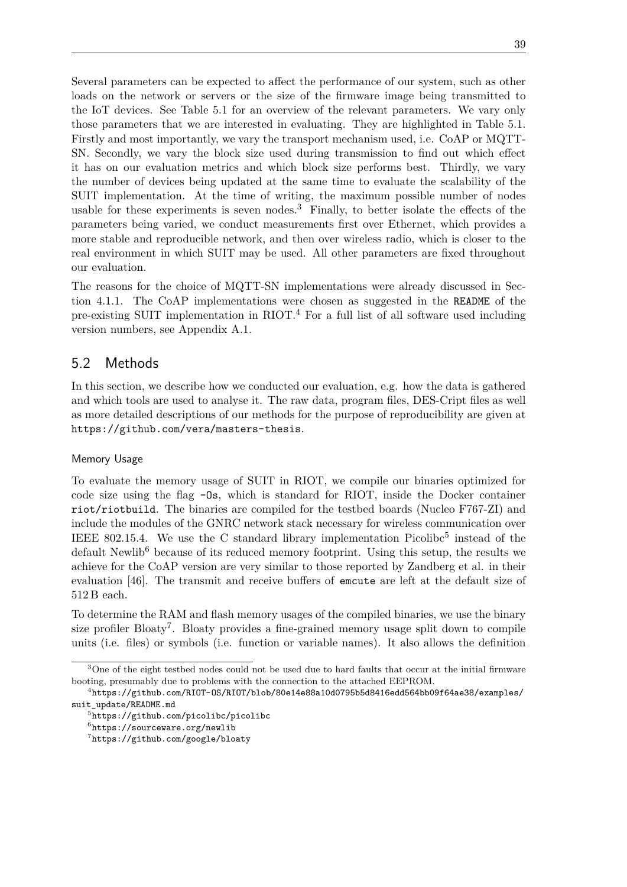Several parameters can be expected to affect the performance of our system, such as other loads on the network or servers or the size of the firmware image being transmitted to the [IoT](#page-12-0) devices. See [Table 5.1](#page-51-0) for an overview of the relevant parameters. We vary only those parameters that we are interested in evaluating. They are highlighted in [Table 5.1.](#page-51-0) Firstly and most importantly, we vary the transport mechanism used, i.e. [CoAP](#page-12-4) or [MQTT-](#page-13-5)[SN.](#page-13-5) Secondly, we vary the block size used during transmission to find out which effect it has on our evaluation metrics and which block size performs best. Thirdly, we vary the number of devices being updated at the same time to evaluate the scalability of the [SUIT](#page-13-1) implementation. At the time of writing, the maximum possible number of nodes usable for these experiments is seven nodes.<sup>[3](#page-0-0)</sup> Finally, to better isolate the effects of the parameters being varied, we conduct measurements first over Ethernet, which provides a more stable and reproducible network, and then over wireless radio, which is closer to the real environment in which [SUIT](#page-13-1) may be used. All other parameters are fixed throughout our evaluation.

The reasons for the choice of [MQTT-SN](#page-13-5) implementations were already discussed in [Sec](#page-42-0)[tion 4.1.1.](#page-42-0) The [CoAP](#page-12-4) implementations were chosen as suggested in the README of the pre-existing [SUIT](#page-13-1) implementation in RIOT.[4](#page-0-0) For a full list of all software used including version numbers, see [Appendix A.1.](#page-72-0)

# 5.2 Methods

In this section, we describe how we conducted our evaluation, e.g. how the data is gathered and which tools are used to analyse it. The raw data, program files, DES-Cript files as well as more detailed descriptions of our methods for the purpose of reproducibility are given at <https://github.com/vera/masters-thesis>.

#### Memory Usage

To evaluate the memory usage of [SUIT](#page-13-1) in RIOT, we compile our binaries optimized for code size using the flag -Os, which is standard for RIOT, inside the Docker container riot/riotbuild. The binaries are compiled for the testbed boards (Nucleo F767-ZI) and include the modules of the GNRC network stack necessary for wireless communication over IEEE 802.1[5](#page-0-0).4. We use the C standard library implementation  $Picolibe<sup>5</sup>$  instead of the default Newlib<sup>[6](#page-0-0)</sup> because of its reduced memory footprint. Using this setup, the results we achieve for the [CoAP](#page-12-4) version are very similar to those reported by Zandberg et al. in their evaluation [\[46\]](#page-68-2). The transmit and receive buffers of emcute are left at the default size of 512 B each.

To determine the [RAM](#page-13-4) and flash memory usages of the compiled binaries, we use the binary size profiler Bloaty<sup>[7](#page-0-0)</sup>. Bloaty provides a fine-grained memory usage split down to compile units (i.e. files) or symbols (i.e. function or variable names). It also allows the definition

<sup>&</sup>lt;sup>3</sup>One of the eight testbed nodes could not be used due to hard faults that occur at the initial firmware booting, presumably due to problems with the connection to the attached EEPROM.

 $^4$ [https://github.com/RIOT-OS/RIOT/blob/80e14e88a10d0795b5d8416edd564bb09f64ae38/examples/](https://github.com/RIOT-OS/RIOT/blob/80e14e88a10d0795b5d8416edd564bb09f64ae38/examples/suit_update/README.md) [suit\\_update/README.md](https://github.com/RIOT-OS/RIOT/blob/80e14e88a10d0795b5d8416edd564bb09f64ae38/examples/suit_update/README.md)

<sup>5</sup> <https://github.com/picolibc/picolibc>

 $^6$ <https://sourceware.org/newlib>

<sup>7</sup> <https://github.com/google/bloaty>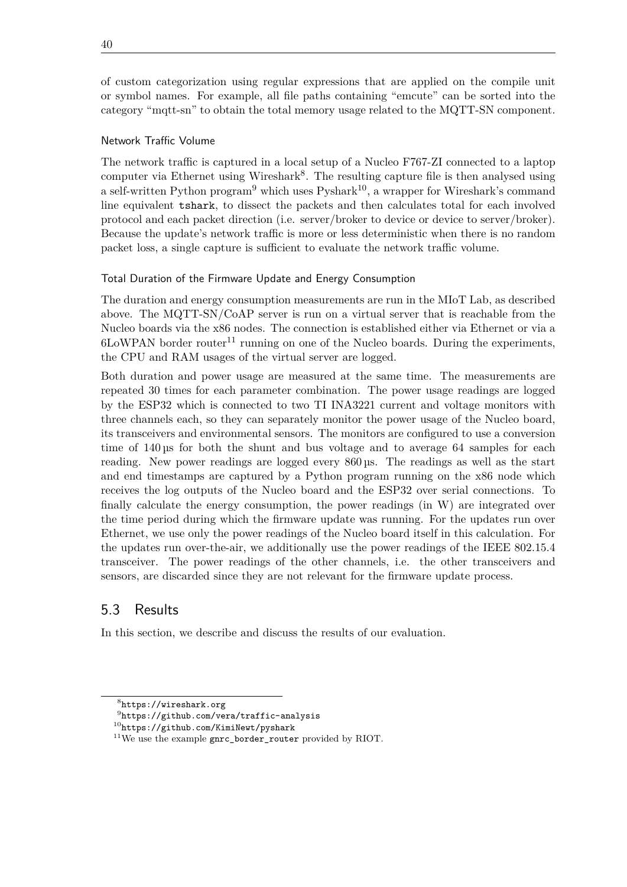of custom categorization using regular expressions that are applied on the compile unit or symbol names. For example, all file paths containing "emcute" can be sorted into the category "mqtt-sn" to obtain the total memory usage related to the [MQTT-SN](#page-13-5) component.

### Network Traffic Volume

The network traffic is captured in a local setup of a Nucleo F767-ZI connected to a laptop computer via Ethernet using Wireshark<sup>[8](#page-0-0)</sup>. The resulting capture file is then analysed using a self-written Python program<sup>[9](#page-0-0)</sup> which uses Pyshark<sup>[10](#page-0-0)</sup>, a wrapper for Wireshark's command line equivalent tshark, to dissect the packets and then calculates total for each involved protocol and each packet direction (i.e. server/broker to device or device to server/broker). Because the update's network traffic is more or less deterministic when there is no random packet loss, a single capture is sufficient to evaluate the network traffic volume.

#### Total Duration of the Firmware Update and Energy Consumption

The duration and energy consumption measurements are run in the [MIoT Lab,](#page-12-11) as described above. The [MQTT-SN/](#page-13-5)[CoAP](#page-12-4) server is run on a virtual server that is reachable from the Nucleo boards via the x86 nodes. The connection is established either via Ethernet or via a  $6$ LoWPAN border router<sup>[11](#page-0-0)</sup> running on one of the Nucleo boards. During the experiments, the CPU and [RAM](#page-13-4) usages of the virtual server are logged.

Both duration and power usage are measured at the same time. The measurements are repeated 30 times for each parameter combination. The power usage readings are logged by the ESP32 which is connected to two TI INA3221 current and voltage monitors with three channels each, so they can separately monitor the power usage of the Nucleo board, its transceivers and environmental sensors. The monitors are configured to use a conversion time of 140 µs for both the shunt and bus voltage and to average 64 samples for each reading. New power readings are logged every 860 µs. The readings as well as the start and end timestamps are captured by a Python program running on the x86 node which receives the log outputs of the Nucleo board and the ESP32 over serial connections. To finally calculate the energy consumption, the power readings (in W) are integrated over the time period during which the firmware update was running. For the updates run over Ethernet, we use only the power readings of the Nucleo board itself in this calculation. For the updates run over-the-air, we additionally use the power readings of the IEEE 802.15.4 transceiver. The power readings of the other channels, i.e. the other transceivers and sensors, are discarded since they are not relevant for the firmware update process.

# 5.3 Results

In this section, we describe and discuss the results of our evaluation.

<sup>8</sup> <https://wireshark.org>

 $^{9}$ <https://github.com/vera/traffic-analysis>

<sup>10</sup><https://github.com/KimiNewt/pyshark>

<sup>11</sup>We use the example gnrc\_border\_router provided by RIOT.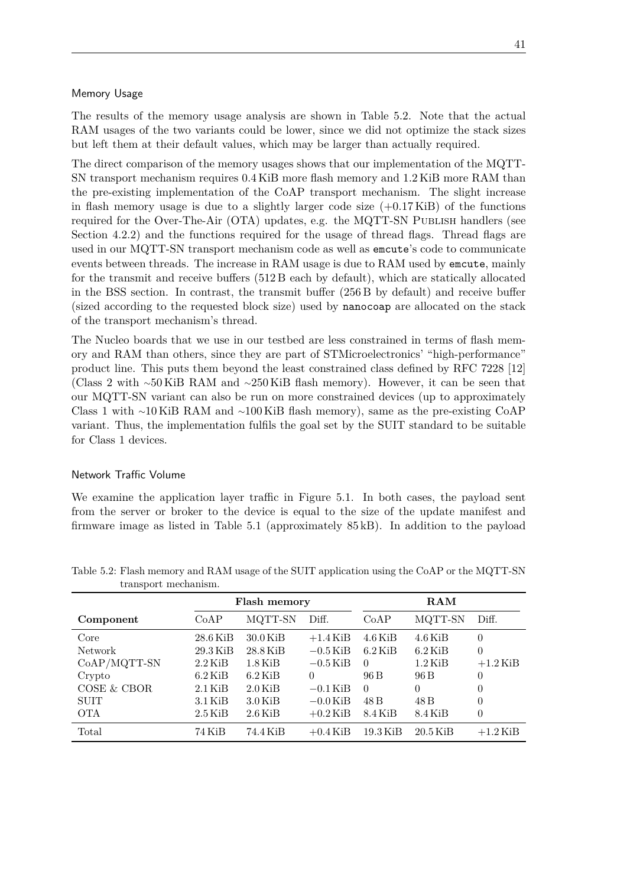#### Memory Usage

The results of the memory usage analysis are shown in [Table 5.2.](#page-54-0) Note that the actual [RAM](#page-13-4) usages of the two variants could be lower, since we did not optimize the stack sizes but left them at their default values, which may be larger than actually required.

The direct comparison of the memory usages shows that our implementation of the [MQTT-](#page-13-5)[SN](#page-13-5) transport mechanism requires 0*.*4 KiB more flash memory and 1*.*2 KiB more [RAM](#page-13-4) than the pre-existing implementation of the [CoAP](#page-12-4) transport mechanism. The slight increase in flash memory usage is due to a slightly larger code size  $(+0.17 \text{ KiB})$  of the functions required for the [Over-The-Air \(OTA\)](#page-13-10) updates, e.g. the [MQTT-SN](#page-13-5) PUBLISH handlers (see [Section 4.2.2\)](#page-46-0) and the functions required for the usage of thread flags. Thread flags are used in our [MQTT-SN](#page-13-5) transport mechanism code as well as emcute's code to communicate events between threads. The increase in [RAM](#page-13-4) usage is due to [RAM](#page-13-4) used by emcute, mainly for the transmit and receive buffers (512 B each by default), which are statically allocated in the BSS section. In contrast, the transmit buffer (256 B by default) and receive buffer (sized according to the requested block size) used by nanocoap are allocated on the stack of the transport mechanism's thread.

The Nucleo boards that we use in our testbed are less constrained in terms of flash memory and [RAM](#page-13-4) than others, since they are part of STMicroelectronics' "high-performance" product line. This puts them beyond the least constrained class defined by RFC 7228 [\[12\]](#page-65-2) (Class 2 with ∼50 KiB [RAM](#page-13-4) and ∼250 KiB flash memory). However, it can be seen that our [MQTT-SN](#page-13-5) variant can also be run on more constrained devices (up to approximately Class 1 with ∼10 KiB [RAM](#page-13-4) and ∼100 KiB flash memory), same as the pre-existing [CoAP](#page-12-4) variant. Thus, the implementation fulfils the goal set by the [SUIT](#page-13-1) standard to be suitable for Class 1 devices.

#### Network Traffic Volume

We examine the application layer traffic in [Figure 5.1.](#page-55-0) In both cases, the payload sent from the server or broker to the device is equal to the size of the update manifest and firmware image as listed in [Table 5.1](#page-51-0) (approximately 85 kB). In addition to the payload

|                | Flash memory |                     |            | RAM                 |            |                |
|----------------|--------------|---------------------|------------|---------------------|------------|----------------|
| Component      | CoAP         | MQTT-SN             | Diff.      | CoAP                | MQTT-SN    | Diff.          |
| Core           | $28.6$ KiB   | $30.0$ KiB          | $+1.4$ KiB | $4.6\,\mathrm{KiB}$ | $4.6$ KiB  | $\theta$       |
| Network        | $29.3$ KiB   | $28.8$ KiB          | $-0.5$ KiB | $6.2$ KiB           | $6.2$ KiB  | $\overline{0}$ |
| $CoAP/MQTT-SN$ | $2.2$ KiB    | $1.8\,\mathrm{KiB}$ | $-0.5$ KiB | $\Omega$            | $1.2$ KiB  | $+1.2$ KiB     |
| Crypto         | $6.2$ KiB    | $6.2$ KiB           | $\Omega$   | 96 B                | 96 B       | 0              |
| COSE & CBOR    | $2.1$ KiB    | $2.0$ KiB           | $-0.1$ KiB | $\Omega$            | $\Omega$   | 0              |
| <b>SUIT</b>    | $3.1$ KiB    | $3.0$ KiB           | $-0.0$ KiB | 48 B                | 48 B       | 0              |
| <b>OTA</b>     | $2.5$ KiB    | $2.6$ KiB           | $+0.2$ KiB | 8.4 KiB             | 8.4 KiB    | $\theta$       |
| Total          | 74 KiB       | 74.4 KiB            | $+0.4$ KiB | 19.3 KiB            | $20.5$ KiB | $+1.2$ KiB     |

<span id="page-54-0"></span>Table 5.2: Flash memory and [RAM](#page-13-4) usage of the [SUIT](#page-13-1) application using the [CoAP](#page-12-4) or the [MQTT-SN](#page-13-5) transport mechanism.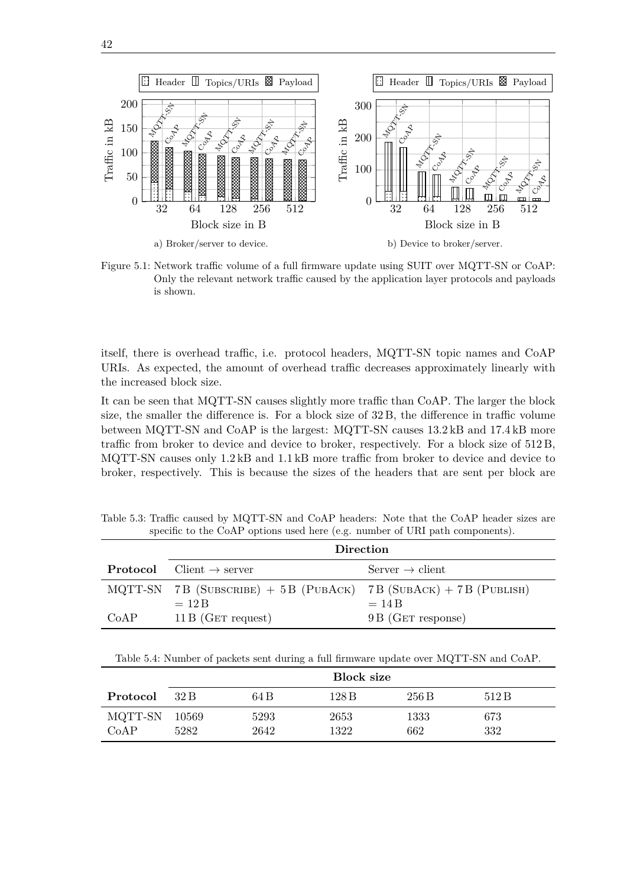

<span id="page-55-0"></span>

Figure 5.1: Network traffic volume of a full firmware update using [SUIT](#page-13-1) over [MQTT-SN](#page-13-5) or [CoAP:](#page-12-4) Only the relevant network traffic caused by the application layer protocols and payloads is shown.

itself, there is overhead traffic, i.e. protocol headers, [MQTT-SN](#page-13-5) topic names and [CoAP](#page-12-4) [URIs.](#page-13-8) As expected, the amount of overhead traffic decreases approximately linearly with the increased block size.

It can be seen that [MQTT-SN](#page-13-5) causes slightly more traffic than [CoAP.](#page-12-4) The larger the block size, the smaller the difference is. For a block size of 32 B, the difference in traffic volume between [MQTT-SN](#page-13-5) and [CoAP](#page-12-4) is the largest: [MQTT-SN](#page-13-5) causes 13*.*2 kB and 17*.*4 kB more traffic from broker to device and device to broker, respectively. For a block size of 512 B, [MQTT-SN](#page-13-5) causes only 1*.*2 kB and 1*.*1 kB more traffic from broker to device and device to broker, respectively. This is because the sizes of the headers that are sent per block are

<span id="page-55-1"></span>Table 5.3: Traffic caused by [MQTT-SN](#page-13-5) and [CoAP](#page-12-4) headers: Note that the [CoAP](#page-12-4) header sizes are specific to the [CoAP](#page-12-4) options used here (e.g. number of [URI](#page-13-8) path components).

|      | Direction                                                       |                             |  |  |
|------|-----------------------------------------------------------------|-----------------------------|--|--|
|      | <b>Protocol</b> Client $\rightarrow$ server                     | Server $\rightarrow$ client |  |  |
|      | MQTT-SN 7B (SUBSCRIBE) + 5B (PUBACK) 7B (SUBACK) + 7B (PUBLISH) |                             |  |  |
|      | $=12B$                                                          | $=14B$                      |  |  |
| CoAP | $11B$ (GET request)                                             | 9 B (GET response)          |  |  |

Table 5.4: Number of packets sent during a full firmware update over [MQTT-SN](#page-13-5) and [CoAP.](#page-12-4)

|                 | Block size    |              |              |             |            |
|-----------------|---------------|--------------|--------------|-------------|------------|
| Protocol        | 32 B          | 64 B         | 128 B        | 256B        | 512B       |
| MQTT-SN<br>CoAP | 10569<br>5282 | 5293<br>2642 | 2653<br>1322 | 1333<br>662 | 673<br>332 |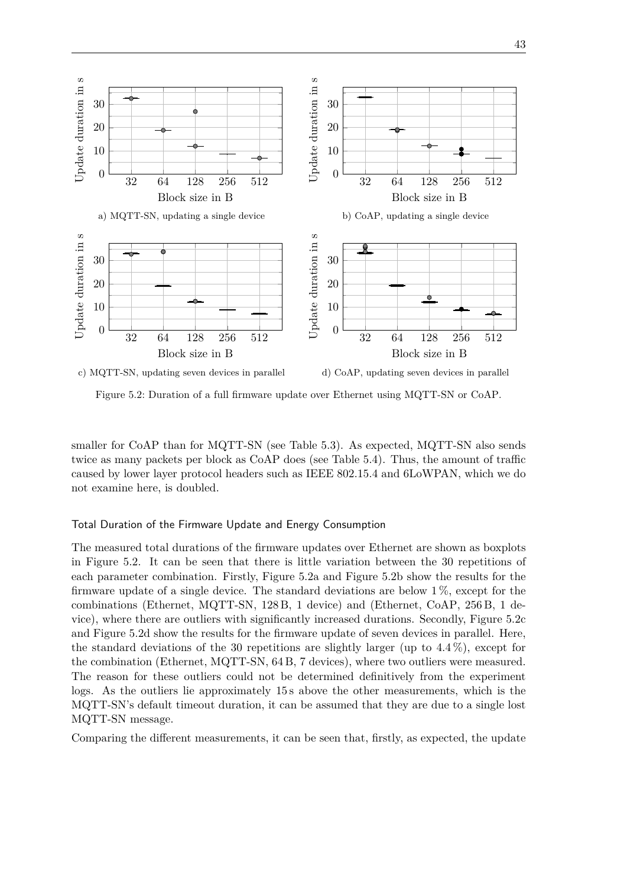<span id="page-56-0"></span>

Figure 5.2: Duration of a full firmware update over Ethernet using [MQTT-SN](#page-13-5) or [CoAP.](#page-12-4)

smaller for [CoAP](#page-12-4) than for [MQTT-SN](#page-13-5) (see [Table 5.3\)](#page-55-1). As expected, [MQTT-SN](#page-13-5) also sends twice as many packets per block as [CoAP](#page-12-4) does (see [Table 5.4\)](#page-55-1). Thus, the amount of traffic caused by lower layer protocol headers such as IEEE 802.15.4 and [6LoWPAN,](#page-12-6) which we do not examine here, is doubled.

#### Total Duration of the Firmware Update and Energy Consumption

The measured total durations of the firmware updates over Ethernet are shown as boxplots in [Figure 5.2.](#page-56-0) It can be seen that there is little variation between the 30 repetitions of each parameter combination. Firstly, [Figure 5.2a](#page-56-0) and [Figure 5.2b](#page-56-0) show the results for the firmware update of a single device. The standard deviations are below 1 %, except for the combinations (Ethernet, [MQTT-SN,](#page-13-5) 128 B, 1 device) and (Ethernet, [CoAP,](#page-12-4) 256 B, 1 device), where there are outliers with significantly increased durations. Secondly, [Figure 5.2c](#page-56-0) and [Figure 5.2d](#page-56-0) show the results for the firmware update of seven devices in parallel. Here, the standard deviations of the 30 repetitions are slightly larger (up to 4*.*4 %), except for the combination (Ethernet, [MQTT-SN,](#page-13-5) 64 B, 7 devices), where two outliers were measured. The reason for these outliers could not be determined definitively from the experiment logs. As the outliers lie approximately 15 s above the other measurements, which is the [MQTT-SN'](#page-13-5)s default timeout duration, it can be assumed that they are due to a single lost [MQTT-SN](#page-13-5) message.

Comparing the different measurements, it can be seen that, firstly, as expected, the update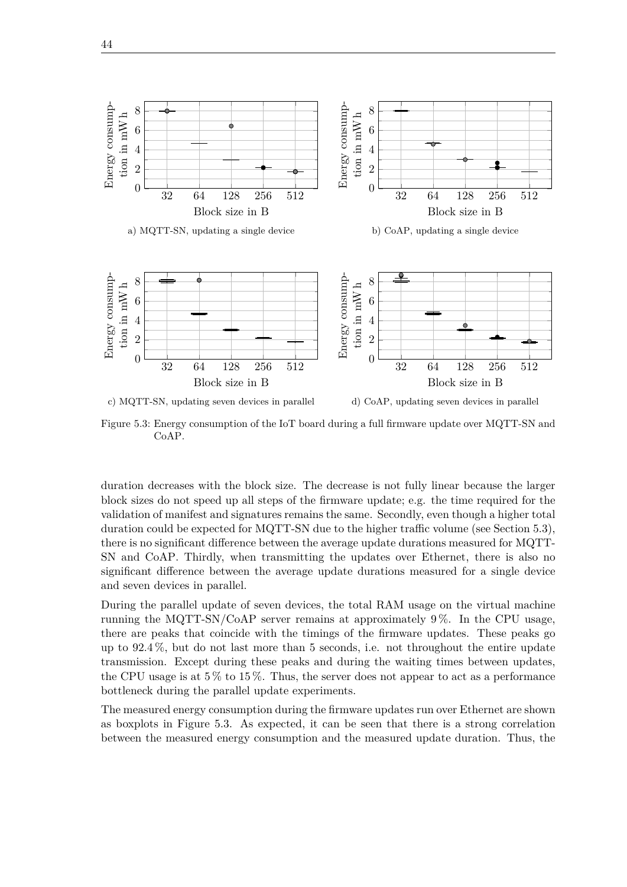<span id="page-57-0"></span>

Figure 5.3: Energy consumption of the [IoT](#page-12-0) board during a full firmware update over [MQTT-SN](#page-13-5) and [CoAP.](#page-12-4)

duration decreases with the block size. The decrease is not fully linear because the larger block sizes do not speed up all steps of the firmware update; e.g. the time required for the validation of manifest and signatures remains the same. Secondly, even though a higher total duration could be expected for [MQTT-SN](#page-13-5) due to the higher traffic volume (see [Section 5.3\)](#page-54-0), there is no significant difference between the average update durations measured for [MQTT-](#page-13-5)[SN](#page-13-5) and [CoAP.](#page-12-4) Thirdly, when transmitting the updates over Ethernet, there is also no significant difference between the average update durations measured for a single device and seven devices in parallel.

During the parallel update of seven devices, the total [RAM](#page-13-4) usage on the virtual machine running the [MQTT-SN/](#page-13-5)[CoAP](#page-12-4) server remains at approximately 9 %. In the CPU usage, there are peaks that coincide with the timings of the firmware updates. These peaks go up to 92*.*4 %, but do not last more than 5 seconds, i.e. not throughout the entire update transmission. Except during these peaks and during the waiting times between updates, the CPU usage is at  $5\%$  to  $15\%$ . Thus, the server does not appear to act as a performance bottleneck during the parallel update experiments.

The measured energy consumption during the firmware updates run over Ethernet are shown as boxplots in [Figure 5.3.](#page-57-0) As expected, it can be seen that there is a strong correlation between the measured energy consumption and the measured update duration. Thus, the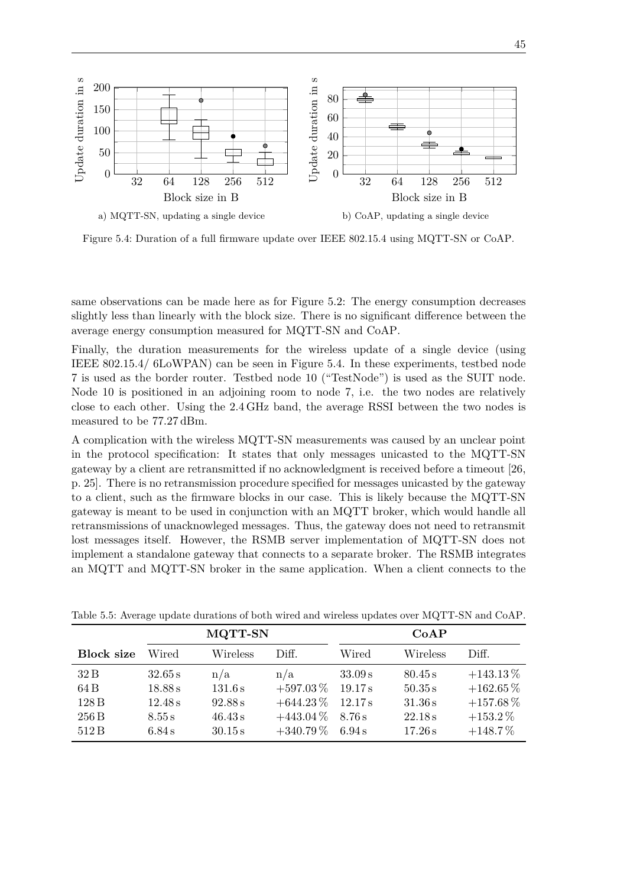<span id="page-58-0"></span>

Figure 5.4: Duration of a full firmware update over IEEE 802.15.4 using [MQTT-SN](#page-13-5) or [CoAP.](#page-12-4)

same observations can be made here as for [Figure 5.2:](#page-56-0) The energy consumption decreases slightly less than linearly with the block size. There is no significant difference between the average energy consumption measured for [MQTT-SN](#page-13-5) and [CoAP.](#page-12-4)

Finally, the duration measurements for the wireless update of a single device (using IEEE 802.15.4/ [6LoWPAN\)](#page-12-6) can be seen in [Figure 5.4.](#page-58-0) In these experiments, testbed node 7 is used as the border router. Testbed node 10 ("TestNode") is used as the [SUIT](#page-13-1) node. Node 10 is positioned in an adjoining room to node 7, i.e. the two nodes are relatively close to each other. Using the 2*.*4 GHz band, the average [RSSI](#page-13-9) between the two nodes is measured to be 77*.*27 dBm.

A complication with the wireless [MQTT-SN](#page-13-5) measurements was caused by an unclear point in the protocol specification: It states that only messages unicasted to the [MQTT-SN](#page-13-5) gateway by a client are retransmitted if no acknowledgment is received before a timeout [\[26,](#page-66-1) p. 25]. There is no retransmission procedure specified for messages unicasted by the gateway to a client, such as the firmware blocks in our case. This is likely because the [MQTT-SN](#page-13-5) gateway is meant to be used in conjunction with an [MQTT](#page-12-1) broker, which would handle all retransmissions of unacknowleged messages. Thus, the gateway does not need to retransmit lost messages itself. However, the [RSMB](#page-13-7) server implementation of [MQTT-SN](#page-13-5) does not implement a standalone gateway that connects to a separate broker. The [RSMB](#page-13-7) integrates an [MQTT](#page-12-1) and [MQTT-SN](#page-13-5) broker in the same application. When a client connects to the

|                   | MQTT-SN |          |               | CoAP    |          |               |
|-------------------|---------|----------|---------------|---------|----------|---------------|
| <b>Block size</b> | Wired   | Wireless | Diff.         | Wired   | Wireless | Diff.         |
| 32B               | 32.65 s | n/a      | n/a           | 33.09 s | 80.45 s  | $+143.13\%$   |
| 64 B              | 18.88 s | 131.6s   | $+597.03\,\%$ | 19.17 s | 50.35 s  | $+162.65\,\%$ |
| 128 <sub>B</sub>  | 12.48 s | 92.88s   | $+644.23\%$   | 12.17 s | 31.36 s  | $+157.68\,\%$ |
| 256 B             | 8.55 s  | 46.43 s  | $+443.04\%$   | 8.76s   | 22.18 s  | $+153.2\%$    |
| 512B              | 6.84 s  | 30.15 s  | $+340.79\%$   | 6.94 s  | 17.26 s  | $+148.7\%$    |

<span id="page-58-1"></span>Table 5.5: Average update durations of both wired and wireless updates over [MQTT-SN](#page-13-5) and [CoAP.](#page-12-4)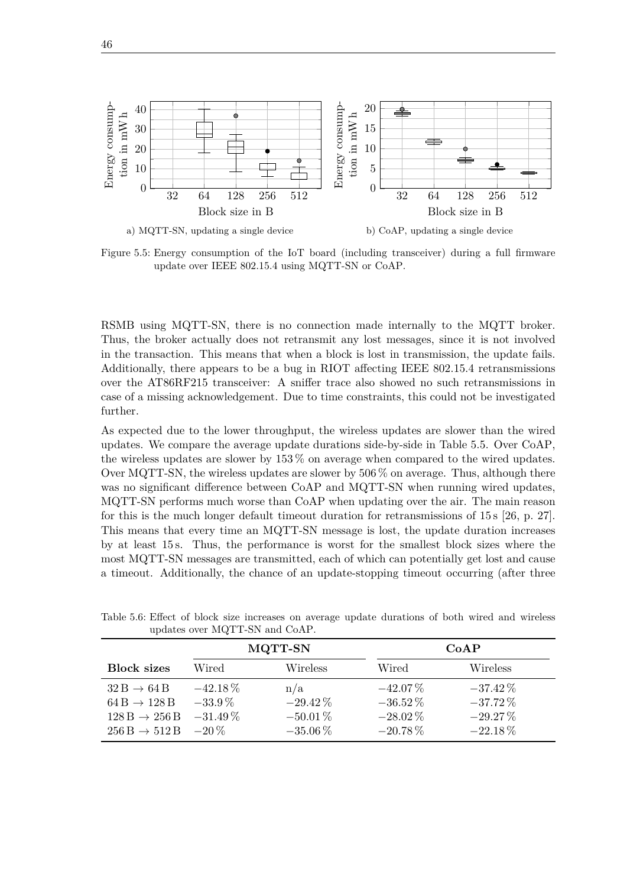<span id="page-59-1"></span>

Figure 5.5: Energy consumption of the [IoT](#page-12-0) board (including transceiver) during a full firmware update over IEEE 802.15.4 using [MQTT-SN](#page-13-5) or [CoAP.](#page-12-4)

[RSMB](#page-13-7) using [MQTT-SN,](#page-13-5) there is no connection made internally to the [MQTT](#page-12-1) broker. Thus, the broker actually does not retransmit any lost messages, since it is not involved in the transaction. This means that when a block is lost in transmission, the update fails. Additionally, there appears to be a bug in RIOT affecting IEEE 802.15.4 retransmissions over the AT86RF215 transceiver: A sniffer trace also showed no such retransmissions in case of a missing acknowledgement. Due to time constraints, this could not be investigated further.

As expected due to the lower throughput, the wireless updates are slower than the wired updates. We compare the average update durations side-by-side in [Table 5.5.](#page-58-1) Over [CoAP,](#page-12-4) the wireless updates are slower by 153 % on average when compared to the wired updates. Over [MQTT-SN,](#page-13-5) the wireless updates are slower by 506 % on average. Thus, although there was no significant difference between [CoAP](#page-12-4) and [MQTT-SN](#page-13-5) when running wired updates, [MQTT-SN](#page-13-5) performs much worse than [CoAP](#page-12-4) when updating over the air. The main reason for this is the much longer default timeout duration for retransmissions of 15 s [\[26,](#page-66-1) p. 27]. This means that every time an [MQTT-SN](#page-13-5) message is lost, the update duration increases by at least 15 s. Thus, the performance is worst for the smallest block sizes where the most [MQTT-SN](#page-13-5) messages are transmitted, each of which can potentially get lost and cause a timeout. Additionally, the chance of an update-stopping timeout occurring (after three

|                                                                                                                      | <b>MQTT-SN</b>                        |                                                 | CoAP                                                   |                                                      |  |
|----------------------------------------------------------------------------------------------------------------------|---------------------------------------|-------------------------------------------------|--------------------------------------------------------|------------------------------------------------------|--|
| <b>Block sizes</b>                                                                                                   | Wired                                 | Wireless                                        | Wired                                                  | Wireless                                             |  |
| $32 B \rightarrow 64 B$<br>$64B \rightarrow 128B$<br>$128 B \rightarrow 256 B$<br>$256 B \rightarrow 512 B$ $-20 \%$ | $-42.18\%$<br>$-33.9\%$<br>$-31.49\%$ | n/a<br>$-29.42\%$<br>$-50.01\%$<br>$-35.06\,\%$ | $-42.07\%$<br>$-36.52\,\%$<br>$-28.02\%$<br>$-20.78\%$ | $-37.42\%$<br>$-37.72\%$<br>$-29.27\%$<br>$-22.18\%$ |  |

<span id="page-59-0"></span>Table 5.6: Effect of block size increases on average update durations of both wired and wireless updates over [MQTT-SN](#page-13-5) and [CoAP.](#page-12-4)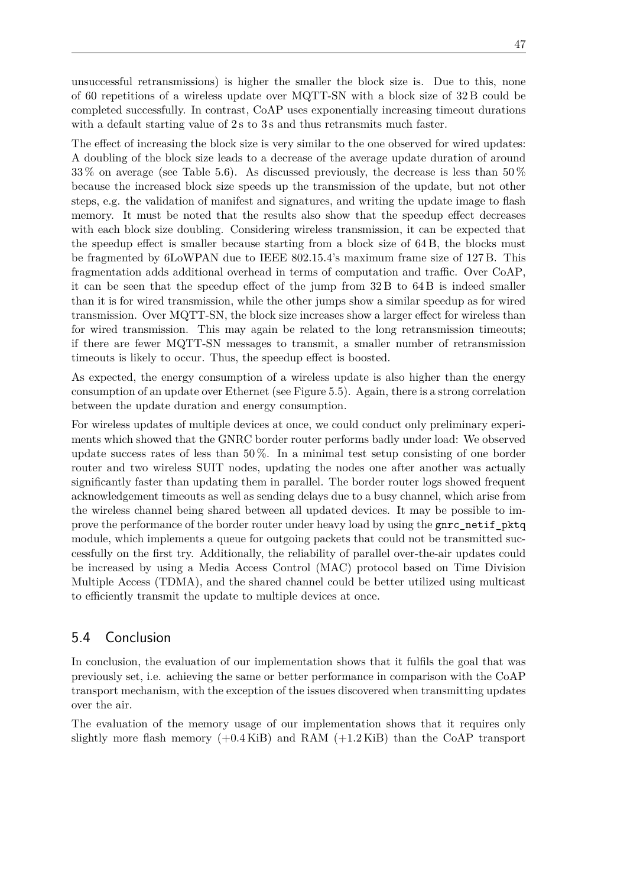unsuccessful retransmissions) is higher the smaller the block size is. Due to this, none of 60 repetitions of a wireless update over [MQTT-SN](#page-13-5) with a block size of 32 B could be completed successfully. In contrast, [CoAP](#page-12-4) uses exponentially increasing timeout durations with a default starting value of 2s to 3s and thus retransmits much faster.

The effect of increasing the block size is very similar to the one observed for wired updates: A doubling of the block size leads to a decrease of the average update duration of around 33 % on average (see [Table 5.6\)](#page-59-0). As discussed previously, the decrease is less than 50 % because the increased block size speeds up the transmission of the update, but not other steps, e.g. the validation of manifest and signatures, and writing the update image to flash memory. It must be noted that the results also show that the speedup effect decreases with each block size doubling. Considering wireless transmission, it can be expected that the speedup effect is smaller because starting from a block size of 64 B, the blocks must be fragmented by [6LoWPAN](#page-12-6) due to IEEE 802.15.4's maximum frame size of 127 B. This fragmentation adds additional overhead in terms of computation and traffic. Over [CoAP,](#page-12-4) it can be seen that the speedup effect of the jump from 32 B to 64 B is indeed smaller than it is for wired transmission, while the other jumps show a similar speedup as for wired transmission. Over [MQTT-SN,](#page-13-5) the block size increases show a larger effect for wireless than for wired transmission. This may again be related to the long retransmission timeouts; if there are fewer [MQTT-SN](#page-13-5) messages to transmit, a smaller number of retransmission timeouts is likely to occur. Thus, the speedup effect is boosted.

As expected, the energy consumption of a wireless update is also higher than the energy consumption of an update over Ethernet (see [Figure 5.5\)](#page-59-1). Again, there is a strong correlation between the update duration and energy consumption.

For wireless updates of multiple devices at once, we could conduct only preliminary experiments which showed that the GNRC border router performs badly under load: We observed update success rates of less than 50 %. In a minimal test setup consisting of one border router and two wireless [SUIT](#page-13-1) nodes, updating the nodes one after another was actually significantly faster than updating them in parallel. The border router logs showed frequent acknowledgement timeouts as well as sending delays due to a busy channel, which arise from the wireless channel being shared between all updated devices. It may be possible to improve the performance of the border router under heavy load by using the gnrc netif pktq module, which implements a queue for outgoing packets that could not be transmitted successfully on the first try. Additionally, the reliability of parallel over-the-air updates could be increased by using a [Media Access Control \(MAC\)](#page-12-13) protocol based on [Time Division](#page-13-11) [Multiple Access \(TDMA\),](#page-13-11) and the shared channel could be better utilized using multicast to efficiently transmit the update to multiple devices at once.

# 5.4 Conclusion

In conclusion, the evaluation of our implementation shows that it fulfils the goal that was previously set, i.e. achieving the same or better performance in comparison with the [CoAP](#page-12-4) transport mechanism, with the exception of the issues discovered when transmitting updates over the air.

The evaluation of the memory usage of our implementation shows that it requires only slightly more flash memory (+0*.*4 KiB) and [RAM](#page-13-4) (+1*.*2 KiB) than the [CoAP](#page-12-4) transport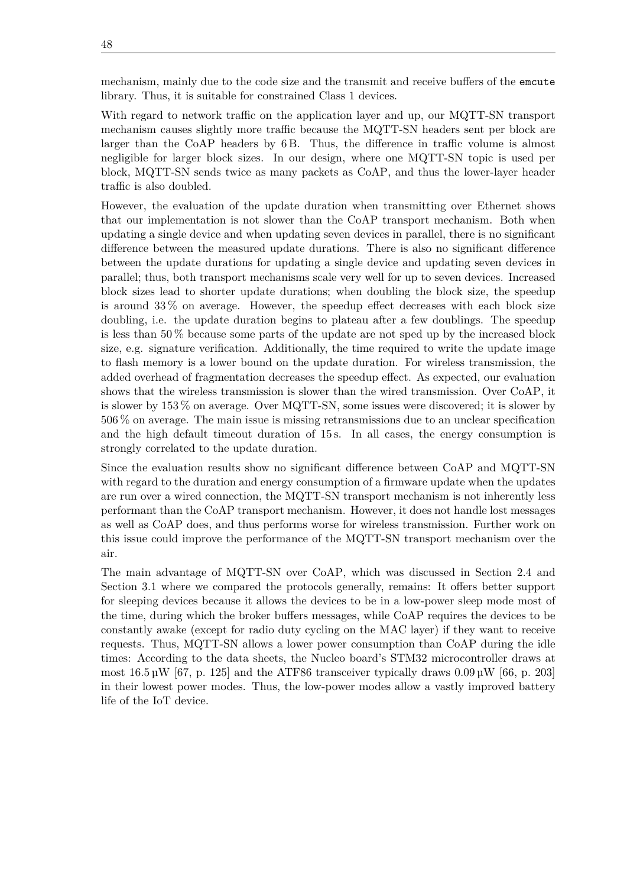mechanism, mainly due to the code size and the transmit and receive buffers of the emcute library. Thus, it is suitable for constrained Class 1 devices.

With regard to network traffic on the application layer and up, our [MQTT-SN](#page-13-5) transport mechanism causes slightly more traffic because the [MQTT-SN](#page-13-5) headers sent per block are larger than the [CoAP](#page-12-4) headers by 6 B. Thus, the difference in traffic volume is almost negligible for larger block sizes. In our design, where one [MQTT-SN](#page-13-5) topic is used per block, [MQTT-SN](#page-13-5) sends twice as many packets as [CoAP,](#page-12-4) and thus the lower-layer header traffic is also doubled.

However, the evaluation of the update duration when transmitting over Ethernet shows that our implementation is not slower than the [CoAP](#page-12-4) transport mechanism. Both when updating a single device and when updating seven devices in parallel, there is no significant difference between the measured update durations. There is also no significant difference between the update durations for updating a single device and updating seven devices in parallel; thus, both transport mechanisms scale very well for up to seven devices. Increased block sizes lead to shorter update durations; when doubling the block size, the speedup is around 33 % on average. However, the speedup effect decreases with each block size doubling, i.e. the update duration begins to plateau after a few doublings. The speedup is less than  $50\%$  because some parts of the update are not sped up by the increased block size, e.g. signature verification. Additionally, the time required to write the update image to flash memory is a lower bound on the update duration. For wireless transmission, the added overhead of fragmentation decreases the speedup effect. As expected, our evaluation shows that the wireless transmission is slower than the wired transmission. Over [CoAP,](#page-12-4) it is slower by 153 % on average. Over [MQTT-SN,](#page-13-5) some issues were discovered; it is slower by 506 % on average. The main issue is missing retransmissions due to an unclear specification and the high default timeout duration of 15 s. In all cases, the energy consumption is strongly correlated to the update duration.

Since the evaluation results show no significant difference between [CoAP](#page-12-4) and [MQTT-SN](#page-13-5) with regard to the duration and energy consumption of a firmware update when the updates are run over a wired connection, the [MQTT-SN](#page-13-5) transport mechanism is not inherently less performant than the [CoAP](#page-12-4) transport mechanism. However, it does not handle lost messages as well as [CoAP](#page-12-4) does, and thus performs worse for wireless transmission. Further work on this issue could improve the performance of the [MQTT-SN](#page-13-5) transport mechanism over the air.

The main advantage of [MQTT-SN](#page-13-5) over [CoAP,](#page-12-4) which was discussed in [Section 2.4](#page-23-0) and [Section 3.1](#page-24-0) where we compared the protocols generally, remains: It offers better support for sleeping devices because it allows the devices to be in a low-power sleep mode most of the time, during which the broker buffers messages, while [CoAP](#page-12-4) requires the devices to be constantly awake (except for radio duty cycling on the [MAC](#page-12-13) layer) if they want to receive requests. Thus, [MQTT-SN](#page-13-5) allows a lower power consumption than [CoAP](#page-12-4) during the idle times: According to the data sheets, the Nucleo board's STM32 microcontroller draws at most  $16.5 \,\mathrm{\mu W}$  [\[67,](#page-69-4) p. 125] and the ATF86 transceiver typically draws  $0.09 \,\mathrm{\mu W}$  [\[66,](#page-69-3) p. 203] in their lowest power modes. Thus, the low-power modes allow a vastly improved battery life of the [IoT](#page-12-0) device.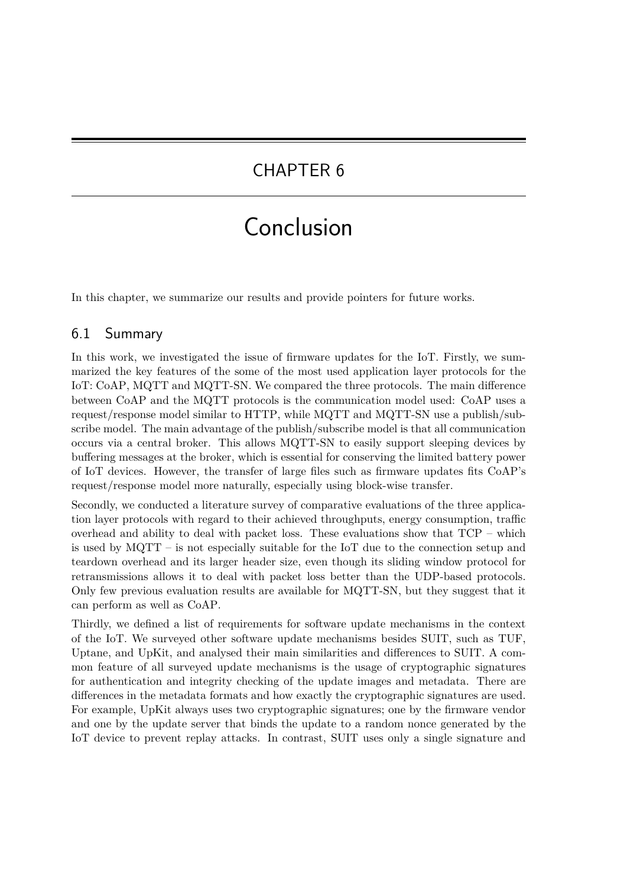# CHAPTER 6

# Conclusion

In this chapter, we summarize our results and provide pointers for future works.

# 6.1 Summary

In this work, we investigated the issue of firmware updates for the [IoT.](#page-12-0) Firstly, we summarized the key features of the some of the most used application layer protocols for the [IoT:](#page-12-0) [CoAP,](#page-12-4) [MQTT](#page-12-1) and [MQTT-SN.](#page-13-5) We compared the three protocols. The main difference between [CoAP](#page-12-4) and the [MQTT](#page-12-1) protocols is the communication model used: [CoAP](#page-12-4) uses a request/response model similar to [HTTP,](#page-12-2) while [MQTT](#page-12-1) and [MQTT-SN](#page-13-5) use a publish/subscribe model. The main advantage of the publish/subscribe model is that all communication occurs via a central broker. This allows [MQTT-SN](#page-13-5) to easily support sleeping devices by buffering messages at the broker, which is essential for conserving the limited battery power of [IoT](#page-12-0) devices. However, the transfer of large files such as firmware updates fits [CoAP'](#page-12-4)s request/response model more naturally, especially using block-wise transfer.

Secondly, we conducted a literature survey of comparative evaluations of the three application layer protocols with regard to their achieved throughputs, energy consumption, traffic overhead and ability to deal with packet loss. These evaluations show that  $TCP - which$ is used by [MQTT](#page-12-1) – is not especially suitable for the [IoT](#page-12-0) due to the connection setup and teardown overhead and its larger header size, even though its sliding window protocol for retransmissions allows it to deal with packet loss better than the [UDP-](#page-13-2)based protocols. Only few previous evaluation results are available for [MQTT-SN,](#page-13-5) but they suggest that it can perform as well as [CoAP.](#page-12-4)

Thirdly, we defined a list of requirements for software update mechanisms in the context of the [IoT.](#page-12-0) We surveyed other software update mechanisms besides [SUIT,](#page-13-1) such as [TUF,](#page-13-3) Uptane, and UpKit, and analysed their main similarities and differences to [SUIT.](#page-13-1) A common feature of all surveyed update mechanisms is the usage of cryptographic signatures for authentication and integrity checking of the update images and metadata. There are differences in the metadata formats and how exactly the cryptographic signatures are used. For example, UpKit always uses two cryptographic signatures; one by the firmware vendor and one by the update server that binds the update to a random nonce generated by the [IoT](#page-12-0) device to prevent replay attacks. In contrast, [SUIT](#page-13-1) uses only a single signature and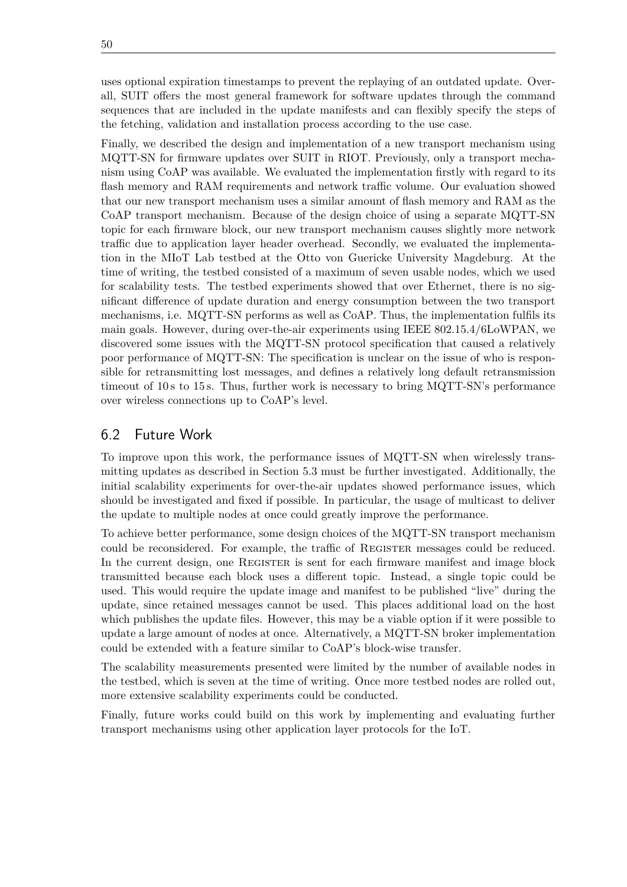uses optional expiration timestamps to prevent the replaying of an outdated update. Overall, [SUIT](#page-13-1) offers the most general framework for software updates through the command sequences that are included in the update manifests and can flexibly specify the steps of the fetching, validation and installation process according to the use case.

Finally, we described the design and implementation of a new transport mechanism using [MQTT-SN](#page-13-5) for firmware updates over [SUIT](#page-13-1) in RIOT. Previously, only a transport mechanism using [CoAP](#page-12-4) was available. We evaluated the implementation firstly with regard to its flash memory and [RAM](#page-13-4) requirements and network traffic volume. Our evaluation showed that our new transport mechanism uses a similar amount of flash memory and [RAM](#page-13-4) as the [CoAP](#page-12-4) transport mechanism. Because of the design choice of using a separate [MQTT-SN](#page-13-5) topic for each firmware block, our new transport mechanism causes slightly more network traffic due to application layer header overhead. Secondly, we evaluated the implementation in the [MIoT Lab](#page-12-11) testbed at the Otto von Guericke University Magdeburg. At the time of writing, the testbed consisted of a maximum of seven usable nodes, which we used for scalability tests. The testbed experiments showed that over Ethernet, there is no significant difference of update duration and energy consumption between the two transport mechanisms, i.e. [MQTT-SN](#page-13-5) performs as well as [CoAP.](#page-12-4) Thus, the implementation fulfils its main goals. However, during over-the-air experiments using IEEE 802.15.4[/6LoWPAN,](#page-12-6) we discovered some issues with the [MQTT-SN](#page-13-5) protocol specification that caused a relatively poor performance of [MQTT-SN:](#page-13-5) The specification is unclear on the issue of who is responsible for retransmitting lost messages, and defines a relatively long default retransmission timeout of 10s to 15s. Thus, further work is necessary to bring [MQTT-SN'](#page-13-5)s performance over wireless connections up to [CoAP'](#page-12-4)s level.

# 6.2 Future Work

To improve upon this work, the performance issues of [MQTT-SN](#page-13-5) when wirelessly transmitting updates as described in [Section 5.3](#page-55-1) must be further investigated. Additionally, the initial scalability experiments for over-the-air updates showed performance issues, which should be investigated and fixed if possible. In particular, the usage of multicast to deliver the update to multiple nodes at once could greatly improve the performance.

To achieve better performance, some design choices of the [MQTT-SN](#page-13-5) transport mechanism could be reconsidered. For example, the traffic of Register messages could be reduced. In the current design, one REGISTER is sent for each firmware manifest and image block transmitted because each block uses a different topic. Instead, a single topic could be used. This would require the update image and manifest to be published "live" during the update, since retained messages cannot be used. This places additional load on the host which publishes the update files. However, this may be a viable option if it were possible to update a large amount of nodes at once. Alternatively, a [MQTT-SN](#page-13-5) broker implementation could be extended with a feature similar to [CoAP'](#page-12-4)s block-wise transfer.

The scalability measurements presented were limited by the number of available nodes in the testbed, which is seven at the time of writing. Once more testbed nodes are rolled out, more extensive scalability experiments could be conducted.

Finally, future works could build on this work by implementing and evaluating further transport mechanisms using other application layer protocols for the [IoT.](#page-12-0)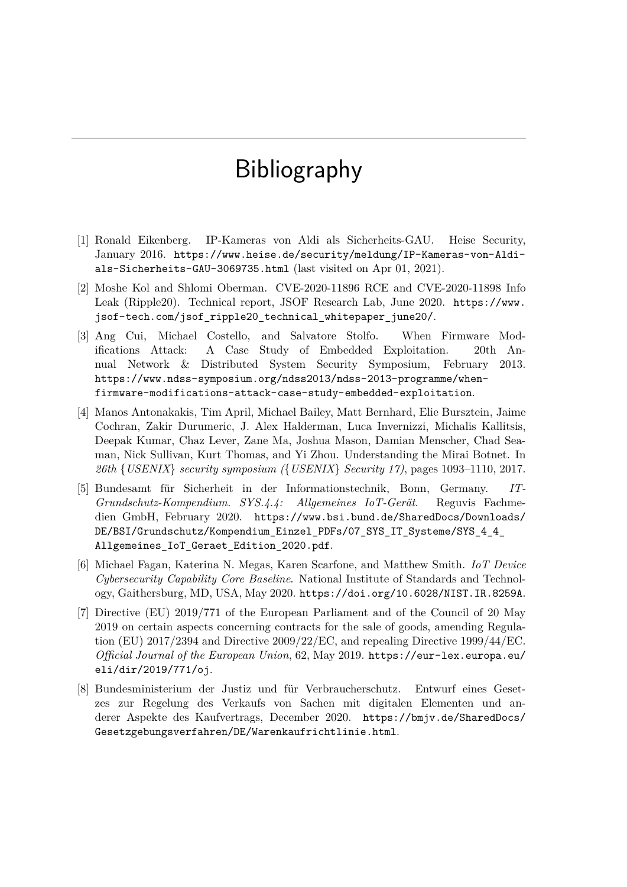# Bibliography

- [1] Ronald Eikenberg. IP-Kameras von Aldi als Sicherheits-GAU. Heise Security, January 2016. [https://www.heise.de/security/meldung/IP-Kameras-von-Aldi](https://www.heise.de/security/meldung/IP-Kameras-von-Aldi-als-Sicherheits-GAU-3069735.html)[als-Sicherheits-GAU-3069735.html](https://www.heise.de/security/meldung/IP-Kameras-von-Aldi-als-Sicherheits-GAU-3069735.html) (last visited on Apr 01, 2021).
- [2] Moshe Kol and Shlomi Oberman. CVE-2020-11896 RCE and CVE-2020-11898 Info Leak (Ripple20). Technical report, JSOF Research Lab, June 2020. [https://www.](https://www.jsof-tech.com/jsof_ripple20_technical_whitepaper_june20/) [jsof-tech.com/jsof\\_ripple20\\_technical\\_whitepaper\\_june20/](https://www.jsof-tech.com/jsof_ripple20_technical_whitepaper_june20/).
- [3] Ang Cui, Michael Costello, and Salvatore Stolfo. When Firmware Modifications Attack: A Case Study of Embedded Exploitation. 20th Annual Network & Distributed System Security Symposium, February 2013. [https://www.ndss-symposium.org/ndss2013/ndss-2013-programme/when](https://www.ndss-symposium.org/ndss2013/ndss-2013-programme/when-firmware-modifications-attack-case-study-embedded-exploitation)[firmware-modifications-attack-case-study-embedded-exploitation](https://www.ndss-symposium.org/ndss2013/ndss-2013-programme/when-firmware-modifications-attack-case-study-embedded-exploitation).
- [4] Manos Antonakakis, Tim April, Michael Bailey, Matt Bernhard, Elie Bursztein, Jaime Cochran, Zakir Durumeric, J. Alex Halderman, Luca Invernizzi, Michalis Kallitsis, Deepak Kumar, Chaz Lever, Zane Ma, Joshua Mason, Damian Menscher, Chad Seaman, Nick Sullivan, Kurt Thomas, and Yi Zhou. Understanding the Mirai Botnet. In *26th* {*USENIX*} *security symposium (*{*USENIX*} *Security 17)*, pages 1093–1110, 2017.
- [5] Bundesamt für Sicherheit in der Informationstechnik, Bonn, Germany. *IT-Grundschutz-Kompendium. SYS.4.4: Allgemeines IoT-Gerät*. Reguvis Fachmedien GmbH, February 2020. [https://www.bsi.bund.de/SharedDocs/Downloads/](https://www.bsi.bund.de/SharedDocs/Downloads/DE/BSI/Grundschutz/Kompendium_Einzel_PDFs/07_SYS_IT_Systeme/SYS_4_4_Allgemeines_IoT_Geraet_Edition_2020.pdf) [DE/BSI/Grundschutz/Kompendium\\_Einzel\\_PDFs/07\\_SYS\\_IT\\_Systeme/SYS\\_4\\_4\\_](https://www.bsi.bund.de/SharedDocs/Downloads/DE/BSI/Grundschutz/Kompendium_Einzel_PDFs/07_SYS_IT_Systeme/SYS_4_4_Allgemeines_IoT_Geraet_Edition_2020.pdf) [Allgemeines\\_IoT\\_Geraet\\_Edition\\_2020.pdf](https://www.bsi.bund.de/SharedDocs/Downloads/DE/BSI/Grundschutz/Kompendium_Einzel_PDFs/07_SYS_IT_Systeme/SYS_4_4_Allgemeines_IoT_Geraet_Edition_2020.pdf).
- [6] Michael Fagan, Katerina N. Megas, Karen Scarfone, and Matthew Smith. *IoT Device Cybersecurity Capability Core Baseline*. National Institute of Standards and Technology, Gaithersburg, MD, USA, May 2020. <https://doi.org/10.6028/NIST.IR.8259A>.
- [7] Directive (EU) 2019/771 of the European Parliament and of the Council of 20 May 2019 on certain aspects concerning contracts for the sale of goods, amending Regulation (EU) 2017/2394 and Directive 2009/22/EC, and repealing Directive 1999/44/EC. *Official Journal of the European Union*, 62, May 2019. [https://eur-lex.europa.eu/](https://eur-lex.europa.eu/eli/dir/2019/771/oj) [eli/dir/2019/771/oj](https://eur-lex.europa.eu/eli/dir/2019/771/oj).
- [8] Bundesministerium der Justiz und für Verbraucherschutz. Entwurf eines Gesetzes zur Regelung des Verkaufs von Sachen mit digitalen Elementen und anderer Aspekte des Kaufvertrags, December 2020. [https://bmjv.de/SharedDocs/](https://bmjv.de/SharedDocs/Gesetzgebungsverfahren/DE/Warenkaufrichtlinie.html) [Gesetzgebungsverfahren/DE/Warenkaufrichtlinie.html](https://bmjv.de/SharedDocs/Gesetzgebungsverfahren/DE/Warenkaufrichtlinie.html).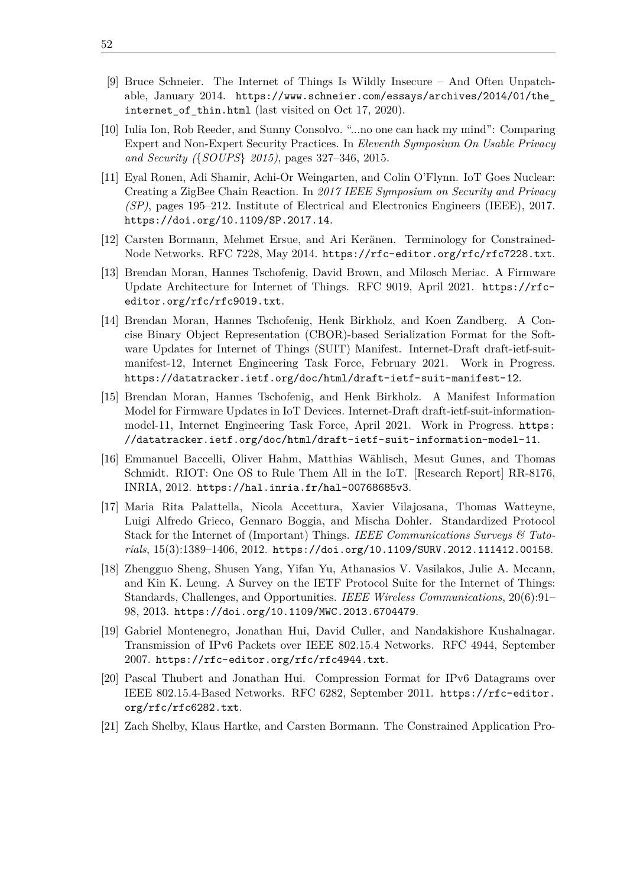- [9] Bruce Schneier. The Internet of Things Is Wildly Insecure And Often Unpatchable, January 2014. [https://www.schneier.com/essays/archives/2014/01/the\\_](https://www.schneier.com/essays/archives/2014/01/the_internet_of_thin.html) internet of thin.html (last visited on Oct 17, 2020).
- [10] Iulia Ion, Rob Reeder, and Sunny Consolvo. "...no one can hack my mind": Comparing Expert and Non-Expert Security Practices. In *Eleventh Symposium On Usable Privacy and Security (*{*SOUPS*} *2015)*, pages 327–346, 2015.
- [11] Eyal Ronen, Adi Shamir, Achi-Or Weingarten, and Colin O'Flynn. IoT Goes Nuclear: Creating a ZigBee Chain Reaction. In *2017 IEEE Symposium on Security and Privacy (SP)*, pages 195–212. Institute of Electrical and Electronics Engineers (IEEE), 2017. <https://doi.org/10.1109/SP.2017.14>.
- <span id="page-65-2"></span>[12] Carsten Bormann, Mehmet Ersue, and Ari Keränen. Terminology for Constrained-Node Networks. RFC 7228, May 2014. <https://rfc-editor.org/rfc/rfc7228.txt>.
- [13] Brendan Moran, Hannes Tschofenig, David Brown, and Milosch Meriac. A Firmware Update Architecture for Internet of Things. RFC 9019, April 2021. [https://rfc](https://rfc-editor.org/rfc/rfc9019.txt)[editor.org/rfc/rfc9019.txt](https://rfc-editor.org/rfc/rfc9019.txt).
- <span id="page-65-1"></span>[14] Brendan Moran, Hannes Tschofenig, Henk Birkholz, and Koen Zandberg. A Concise Binary Object Representation (CBOR)-based Serialization Format for the Software Updates for Internet of Things (SUIT) Manifest. Internet-Draft draft-ietf-suitmanifest-12, Internet Engineering Task Force, February 2021. Work in Progress. <https://datatracker.ietf.org/doc/html/draft-ietf-suit-manifest-12>.
- <span id="page-65-0"></span>[15] Brendan Moran, Hannes Tschofenig, and Henk Birkholz. A Manifest Information Model for Firmware Updates in IoT Devices. Internet-Draft draft-ietf-suit-informationmodel-11, Internet Engineering Task Force, April 2021. Work in Progress. [https:](https://datatracker.ietf.org/doc/html/draft-ietf-suit-information-model-11) [//datatracker.ietf.org/doc/html/draft-ietf-suit-information-model-11](https://datatracker.ietf.org/doc/html/draft-ietf-suit-information-model-11).
- [16] Emmanuel Baccelli, Oliver Hahm, Matthias Wählisch, Mesut Gunes, and Thomas Schmidt. RIOT: One OS to Rule Them All in the IoT. [Research Report] RR-8176, INRIA, 2012. <https://hal.inria.fr/hal-00768685v3>.
- [17] Maria Rita Palattella, Nicola Accettura, Xavier Vilajosana, Thomas Watteyne, Luigi Alfredo Grieco, Gennaro Boggia, and Mischa Dohler. Standardized Protocol Stack for the Internet of (Important) Things. *IEEE Communications Surveys & Tutorials*, 15(3):1389–1406, 2012. <https://doi.org/10.1109/SURV.2012.111412.00158>.
- [18] Zhengguo Sheng, Shusen Yang, Yifan Yu, Athanasios V. Vasilakos, Julie A. Mccann, and Kin K. Leung. A Survey on the IETF Protocol Suite for the Internet of Things: Standards, Challenges, and Opportunities. *IEEE Wireless Communications*, 20(6):91– 98, 2013. <https://doi.org/10.1109/MWC.2013.6704479>.
- [19] Gabriel Montenegro, Jonathan Hui, David Culler, and Nandakishore Kushalnagar. Transmission of IPv6 Packets over IEEE 802.15.4 Networks. RFC 4944, September 2007. <https://rfc-editor.org/rfc/rfc4944.txt>.
- [20] Pascal Thubert and Jonathan Hui. Compression Format for IPv6 Datagrams over IEEE 802.15.4-Based Networks. RFC 6282, September 2011. [https://rfc-editor.](https://rfc-editor.org/rfc/rfc6282.txt) [org/rfc/rfc6282.txt](https://rfc-editor.org/rfc/rfc6282.txt).
- [21] Zach Shelby, Klaus Hartke, and Carsten Bormann. The Constrained Application Pro-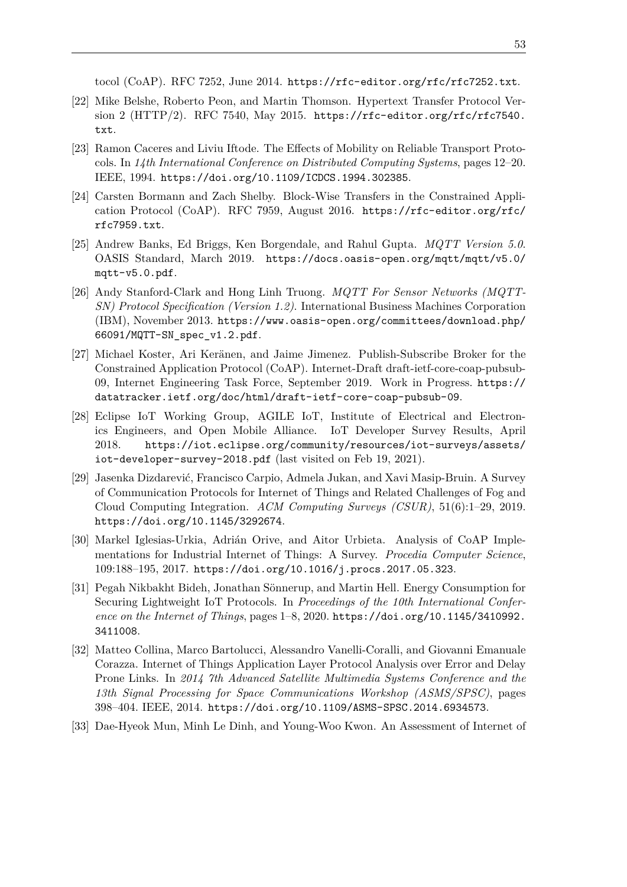tocol (CoAP). RFC 7252, June 2014. <https://rfc-editor.org/rfc/rfc7252.txt>.

- [22] Mike Belshe, Roberto Peon, and Martin Thomson. Hypertext Transfer Protocol Version 2 (HTTP/2). RFC 7540, May 2015. [https://rfc-editor.org/rfc/rfc7540.](https://rfc-editor.org/rfc/rfc7540.txt) [txt](https://rfc-editor.org/rfc/rfc7540.txt).
- [23] Ramon Caceres and Liviu Iftode. The Effects of Mobility on Reliable Transport Protocols. In *14th International Conference on Distributed Computing Systems*, pages 12–20. IEEE, 1994. <https://doi.org/10.1109/ICDCS.1994.302385>.
- [24] Carsten Bormann and Zach Shelby. Block-Wise Transfers in the Constrained Application Protocol (CoAP). RFC 7959, August 2016. [https://rfc-editor.org/rfc/](https://rfc-editor.org/rfc/rfc7959.txt) [rfc7959.txt](https://rfc-editor.org/rfc/rfc7959.txt).
- <span id="page-66-0"></span>[25] Andrew Banks, Ed Briggs, Ken Borgendale, and Rahul Gupta. *MQTT Version 5.0*. OASIS Standard, March 2019. [https://docs.oasis-open.org/mqtt/mqtt/v5.0/](https://docs.oasis-open.org/mqtt/mqtt/v5.0/mqtt-v5.0.pdf) [mqtt-v5.0.pdf](https://docs.oasis-open.org/mqtt/mqtt/v5.0/mqtt-v5.0.pdf).
- <span id="page-66-1"></span>[26] Andy Stanford-Clark and Hong Linh Truong. *MQTT For Sensor Networks (MQTT-SN) Protocol Specification (Version 1.2)*. International Business Machines Corporation (IBM), November 2013. [https://www.oasis-open.org/committees/download.php/](https://www.oasis-open.org/committees/download.php/66091/MQTT-SN_spec_v1.2.pdf) [66091/MQTT-SN\\_spec\\_v1.2.pdf](https://www.oasis-open.org/committees/download.php/66091/MQTT-SN_spec_v1.2.pdf).
- [27] Michael Koster, Ari Keränen, and Jaime Jimenez. Publish-Subscribe Broker for the Constrained Application Protocol (CoAP). Internet-Draft draft-ietf-core-coap-pubsub-09, Internet Engineering Task Force, September 2019. Work in Progress. [https://](https://datatracker.ietf.org/doc/html/draft-ietf-core-coap-pubsub-09) [datatracker.ietf.org/doc/html/draft-ietf-core-coap-pubsub-09](https://datatracker.ietf.org/doc/html/draft-ietf-core-coap-pubsub-09).
- [28] Eclipse IoT Working Group, AGILE IoT, Institute of Electrical and Electronics Engineers, and Open Mobile Alliance. IoT Developer Survey Results, April 2018. [https://iot.eclipse.org/community/resources/iot-surveys/assets/](https://iot.eclipse.org/community/resources/iot-surveys/assets/iot-developer-survey-2018.pdf) [iot-developer-survey-2018.pdf](https://iot.eclipse.org/community/resources/iot-surveys/assets/iot-developer-survey-2018.pdf) (last visited on Feb 19, 2021).
- [29] Jasenka Dizdarević, Francisco Carpio, Admela Jukan, and Xavi Masip-Bruin. A Survey of Communication Protocols for Internet of Things and Related Challenges of Fog and Cloud Computing Integration. *ACM Computing Surveys (CSUR)*, 51(6):1–29, 2019. <https://doi.org/10.1145/3292674>.
- [30] Markel Iglesias-Urkia, Adrián Orive, and Aitor Urbieta. Analysis of CoAP Implementations for Industrial Internet of Things: A Survey. *Procedia Computer Science*, 109:188–195, 2017. <https://doi.org/10.1016/j.procs.2017.05.323>.
- [31] Pegah Nikbakht Bideh, Jonathan Sönnerup, and Martin Hell. Energy Consumption for Securing Lightweight IoT Protocols. In *Proceedings of the 10th International Conference on the Internet of Things*, pages 1–8, 2020. [https://doi.org/10.1145/3410992.](https://doi.org/10.1145/3410992.3411008) [3411008](https://doi.org/10.1145/3410992.3411008).
- [32] Matteo Collina, Marco Bartolucci, Alessandro Vanelli-Coralli, and Giovanni Emanuale Corazza. Internet of Things Application Layer Protocol Analysis over Error and Delay Prone Links. In *2014 7th Advanced Satellite Multimedia Systems Conference and the 13th Signal Processing for Space Communications Workshop (ASMS/SPSC)*, pages 398–404. IEEE, 2014. <https://doi.org/10.1109/ASMS-SPSC.2014.6934573>.
- [33] Dae-Hyeok Mun, Minh Le Dinh, and Young-Woo Kwon. An Assessment of Internet of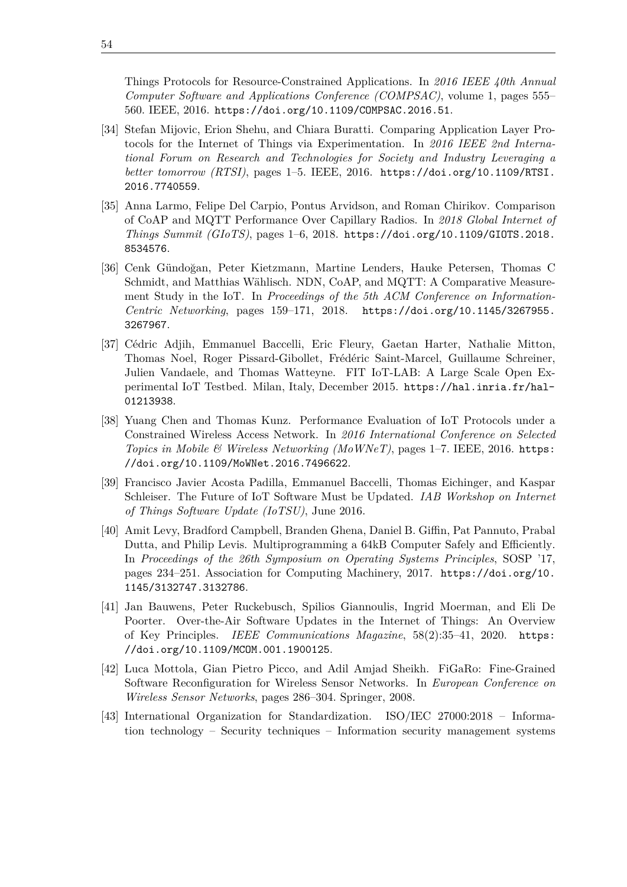Things Protocols for Resource-Constrained Applications. In *2016 IEEE 40th Annual Computer Software and Applications Conference (COMPSAC)*, volume 1, pages 555– 560. IEEE, 2016. <https://doi.org/10.1109/COMPSAC.2016.51>.

- [34] Stefan Mijovic, Erion Shehu, and Chiara Buratti. Comparing Application Layer Protocols for the Internet of Things via Experimentation. In *2016 IEEE 2nd International Forum on Research and Technologies for Society and Industry Leveraging a better tomorrow (RTSI)*, pages 1–5. IEEE, 2016. [https://doi.org/10.1109/RTSI.](https://doi.org/10.1109/RTSI.2016.7740559) [2016.7740559](https://doi.org/10.1109/RTSI.2016.7740559).
- [35] Anna Larmo, Felipe Del Carpio, Pontus Arvidson, and Roman Chirikov. Comparison of CoAP and MQTT Performance Over Capillary Radios. In *2018 Global Internet of Things Summit (GIoTS)*, pages 1–6, 2018. [https://doi.org/10.1109/GIOTS.2018.](https://doi.org/10.1109/GIOTS.2018.8534576) [8534576](https://doi.org/10.1109/GIOTS.2018.8534576).
- [36] Cenk Gündoğan, Peter Kietzmann, Martine Lenders, Hauke Petersen, Thomas C Schmidt, and Matthias Wählisch. NDN, CoAP, and MQTT: A Comparative Measurement Study in the IoT. In *Proceedings of the 5th ACM Conference on Information-Centric Networking*, pages 159–171, 2018. [https://doi.org/10.1145/3267955.](https://doi.org/10.1145/3267955.3267967) [3267967](https://doi.org/10.1145/3267955.3267967).
- [37] Cédric Adjih, Emmanuel Baccelli, Eric Fleury, Gaetan Harter, Nathalie Mitton, Thomas Noel, Roger Pissard-Gibollet, Frédéric Saint-Marcel, Guillaume Schreiner, Julien Vandaele, and Thomas Watteyne. FIT IoT-LAB: A Large Scale Open Experimental IoT Testbed. Milan, Italy, December 2015. [https://hal.inria.fr/hal-](https://hal.inria.fr/hal-01213938)[01213938](https://hal.inria.fr/hal-01213938).
- [38] Yuang Chen and Thomas Kunz. Performance Evaluation of IoT Protocols under a Constrained Wireless Access Network. In *2016 International Conference on Selected Topics in Mobile & Wireless Networking (MoWNeT)*, pages 1–7. IEEE, 2016. [https:](https://doi.org/10.1109/MoWNet.2016.7496622) [//doi.org/10.1109/MoWNet.2016.7496622](https://doi.org/10.1109/MoWNet.2016.7496622).
- [39] Francisco Javier Acosta Padilla, Emmanuel Baccelli, Thomas Eichinger, and Kaspar Schleiser. The Future of IoT Software Must be Updated. *IAB Workshop on Internet of Things Software Update (IoTSU)*, June 2016.
- [40] Amit Levy, Bradford Campbell, Branden Ghena, Daniel B. Giffin, Pat Pannuto, Prabal Dutta, and Philip Levis. Multiprogramming a 64kB Computer Safely and Efficiently. In *Proceedings of the 26th Symposium on Operating Systems Principles*, SOSP '17, pages 234–251. Association for Computing Machinery, 2017. [https://doi.org/10.](https://doi.org/10.1145/3132747.3132786) [1145/3132747.3132786](https://doi.org/10.1145/3132747.3132786).
- [41] Jan Bauwens, Peter Ruckebusch, Spilios Giannoulis, Ingrid Moerman, and Eli De Poorter. Over-the-Air Software Updates in the Internet of Things: An Overview of Key Principles. *IEEE Communications Magazine*, 58(2):35–41, 2020. [https:](https://doi.org/10.1109/MCOM.001.1900125) [//doi.org/10.1109/MCOM.001.1900125](https://doi.org/10.1109/MCOM.001.1900125).
- <span id="page-67-0"></span>[42] Luca Mottola, Gian Pietro Picco, and Adil Amjad Sheikh. FiGaRo: Fine-Grained Software Reconfiguration for Wireless Sensor Networks. In *European Conference on Wireless Sensor Networks*, pages 286–304. Springer, 2008.
- [43] International Organization for Standardization. ISO/IEC 27000:2018 Information technology – Security techniques – Information security management systems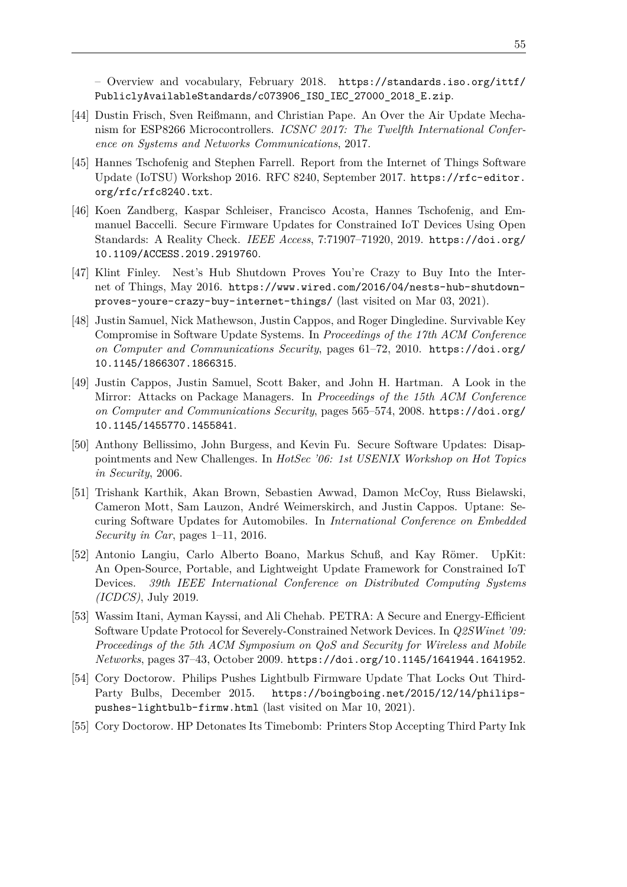– Overview and vocabulary, February 2018. [https://standards.iso.org/ittf/](https://standards.iso.org/ittf/PubliclyAvailableStandards/c073906_ISO_IEC_27000_2018_E.zip) [PubliclyAvailableStandards/c073906\\_ISO\\_IEC\\_27000\\_2018\\_E.zip](https://standards.iso.org/ittf/PubliclyAvailableStandards/c073906_ISO_IEC_27000_2018_E.zip).

- <span id="page-68-0"></span>[44] Dustin Frisch, Sven Reißmann, and Christian Pape. An Over the Air Update Mechanism for ESP8266 Microcontrollers. *ICSNC 2017: The Twelfth International Conference on Systems and Networks Communications*, 2017.
- [45] Hannes Tschofenig and Stephen Farrell. Report from the Internet of Things Software Update (IoTSU) Workshop 2016. RFC 8240, September 2017. [https://rfc-editor.](https://rfc-editor.org/rfc/rfc8240.txt) [org/rfc/rfc8240.txt](https://rfc-editor.org/rfc/rfc8240.txt).
- <span id="page-68-2"></span>[46] Koen Zandberg, Kaspar Schleiser, Francisco Acosta, Hannes Tschofenig, and Emmanuel Baccelli. Secure Firmware Updates for Constrained IoT Devices Using Open Standards: A Reality Check. *IEEE Access*, 7:71907–71920, 2019. [https://doi.org/](https://doi.org/10.1109/ACCESS.2019.2919760) [10.1109/ACCESS.2019.2919760](https://doi.org/10.1109/ACCESS.2019.2919760).
- [47] Klint Finley. Nest's Hub Shutdown Proves You're Crazy to Buy Into the Internet of Things, May 2016. [https://www.wired.com/2016/04/nests-hub-shutdown](https://www.wired.com/2016/04/nests-hub-shutdown-proves-youre-crazy-buy-internet-things/)[proves-youre-crazy-buy-internet-things/](https://www.wired.com/2016/04/nests-hub-shutdown-proves-youre-crazy-buy-internet-things/) (last visited on Mar 03, 2021).
- [48] Justin Samuel, Nick Mathewson, Justin Cappos, and Roger Dingledine. Survivable Key Compromise in Software Update Systems. In *Proceedings of the 17th ACM Conference on Computer and Communications Security*, pages 61–72, 2010. [https://doi.org/](https://doi.org/10.1145/1866307.1866315) [10.1145/1866307.1866315](https://doi.org/10.1145/1866307.1866315).
- <span id="page-68-1"></span>[49] Justin Cappos, Justin Samuel, Scott Baker, and John H. Hartman. A Look in the Mirror: Attacks on Package Managers. In *Proceedings of the 15th ACM Conference on Computer and Communications Security*, pages 565–574, 2008. [https://doi.org/](https://doi.org/10.1145/1455770.1455841) [10.1145/1455770.1455841](https://doi.org/10.1145/1455770.1455841).
- [50] Anthony Bellissimo, John Burgess, and Kevin Fu. Secure Software Updates: Disappointments and New Challenges. In *HotSec '06: 1st USENIX Workshop on Hot Topics in Security*, 2006.
- [51] Trishank Karthik, Akan Brown, Sebastien Awwad, Damon McCoy, Russ Bielawski, Cameron Mott, Sam Lauzon, André Weimerskirch, and Justin Cappos. Uptane: Securing Software Updates for Automobiles. In *International Conference on Embedded Security in Car*, pages 1–11, 2016.
- [52] Antonio Langiu, Carlo Alberto Boano, Markus Schuß, and Kay Römer. UpKit: An Open-Source, Portable, and Lightweight Update Framework for Constrained IoT Devices. *39th IEEE International Conference on Distributed Computing Systems (ICDCS)*, July 2019.
- [53] Wassim Itani, Ayman Kayssi, and Ali Chehab. PETRA: A Secure and Energy-Efficient Software Update Protocol for Severely-Constrained Network Devices. In *Q2SWinet '09: Proceedings of the 5th ACM Symposium on QoS and Security for Wireless and Mobile Networks*, pages 37–43, October 2009. <https://doi.org/10.1145/1641944.1641952>.
- [54] Cory Doctorow. Philips Pushes Lightbulb Firmware Update That Locks Out Third-Party Bulbs, December 2015. [https://boingboing.net/2015/12/14/philips](https://boingboing.net/2015/12/14/philips-pushes-lightbulb-firmw.html)[pushes-lightbulb-firmw.html](https://boingboing.net/2015/12/14/philips-pushes-lightbulb-firmw.html) (last visited on Mar 10, 2021).
- [55] Cory Doctorow. HP Detonates Its Timebomb: Printers Stop Accepting Third Party Ink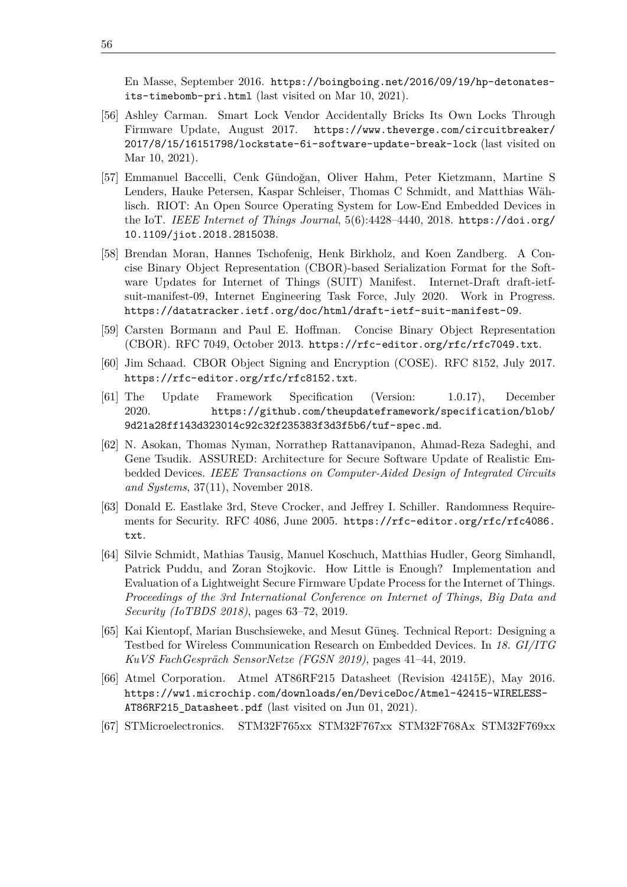En Masse, September 2016. [https://boingboing.net/2016/09/19/hp-detonates](https://boingboing.net/2016/09/19/hp-detonates-its-timebomb-pri.html)[its-timebomb-pri.html](https://boingboing.net/2016/09/19/hp-detonates-its-timebomb-pri.html) (last visited on Mar 10, 2021).

- [56] Ashley Carman. Smart Lock Vendor Accidentally Bricks Its Own Locks Through Firmware Update, August 2017. [https://www.theverge.com/circuitbreaker/](https://www.theverge.com/circuitbreaker/2017/8/15/16151798/lockstate-6i-software-update-break-lock) [2017/8/15/16151798/lockstate-6i-software-update-break-lock](https://www.theverge.com/circuitbreaker/2017/8/15/16151798/lockstate-6i-software-update-break-lock) (last visited on Mar 10, 2021).
- [57] Emmanuel Baccelli, Cenk Gündoğan, Oliver Hahm, Peter Kietzmann, Martine S Lenders, Hauke Petersen, Kaspar Schleiser, Thomas C Schmidt, and Matthias Wählisch. RIOT: An Open Source Operating System for Low-End Embedded Devices in the IoT. *IEEE Internet of Things Journal*, 5(6):4428–4440, 2018. [https://doi.org/](https://doi.org/10.1109/jiot.2018.2815038) [10.1109/jiot.2018.2815038](https://doi.org/10.1109/jiot.2018.2815038).
- [58] Brendan Moran, Hannes Tschofenig, Henk Birkholz, and Koen Zandberg. A Concise Binary Object Representation (CBOR)-based Serialization Format for the Software Updates for Internet of Things (SUIT) Manifest. Internet-Draft draft-ietfsuit-manifest-09, Internet Engineering Task Force, July 2020. Work in Progress. <https://datatracker.ietf.org/doc/html/draft-ietf-suit-manifest-09>.
- [59] Carsten Bormann and Paul E. Hoffman. Concise Binary Object Representation (CBOR). RFC 7049, October 2013. <https://rfc-editor.org/rfc/rfc7049.txt>.
- [60] Jim Schaad. CBOR Object Signing and Encryption (COSE). RFC 8152, July 2017. <https://rfc-editor.org/rfc/rfc8152.txt>.
- [61] The Update Framework Specification (Version: 1.0.17), December 2020. [https://github.com/theupdateframework/specification/blob/](https://github.com/theupdateframework/specification/blob/9d21a28ff143d323014c92c32f235383f3d3f5b6/tuf-spec.md) [9d21a28ff143d323014c92c32f235383f3d3f5b6/tuf-spec.md](https://github.com/theupdateframework/specification/blob/9d21a28ff143d323014c92c32f235383f3d3f5b6/tuf-spec.md).
- [62] N. Asokan, Thomas Nyman, Norrathep Rattanavipanon, Ahmad-Reza Sadeghi, and Gene Tsudik. ASSURED: Architecture for Secure Software Update of Realistic Embedded Devices. *IEEE Transactions on Computer-Aided Design of Integrated Circuits and Systems*, 37(11), November 2018.
- <span id="page-69-1"></span>[63] Donald E. Eastlake 3rd, Steve Crocker, and Jeffrey I. Schiller. Randomness Requirements for Security. RFC 4086, June 2005. [https://rfc-editor.org/rfc/rfc4086.](https://rfc-editor.org/rfc/rfc4086.txt) [txt](https://rfc-editor.org/rfc/rfc4086.txt).
- <span id="page-69-0"></span>[64] Silvie Schmidt, Mathias Tausig, Manuel Koschuch, Matthias Hudler, Georg Simhandl, Patrick Puddu, and Zoran Stojkovic. How Little is Enough? Implementation and Evaluation of a Lightweight Secure Firmware Update Process for the Internet of Things. *Proceedings of the 3rd International Conference on Internet of Things, Big Data and Security (IoTBDS 2018)*, pages 63–72, 2019.
- <span id="page-69-2"></span>[65] Kai Kientopf, Marian Buschsieweke, and Mesut Güneş. Technical Report: Designing a Testbed for Wireless Communication Research on Embedded Devices. In *18. GI/ITG KuVS FachGespräch SensorNetze (FGSN 2019)*, pages 41–44, 2019.
- <span id="page-69-3"></span>[66] Atmel Corporation. Atmel AT86RF215 Datasheet (Revision 42415E), May 2016. [https://ww1.microchip.com/downloads/en/DeviceDoc/Atmel-42415-WIRELESS-](https://ww1.microchip.com/downloads/en/DeviceDoc/Atmel-42415-WIRELESS-AT86RF215_Datasheet.pdf)[AT86RF215\\_Datasheet.pdf](https://ww1.microchip.com/downloads/en/DeviceDoc/Atmel-42415-WIRELESS-AT86RF215_Datasheet.pdf) (last visited on Jun 01, 2021).
- <span id="page-69-4"></span>[67] STMicroelectronics. STM32F765xx STM32F767xx STM32F768Ax STM32F769xx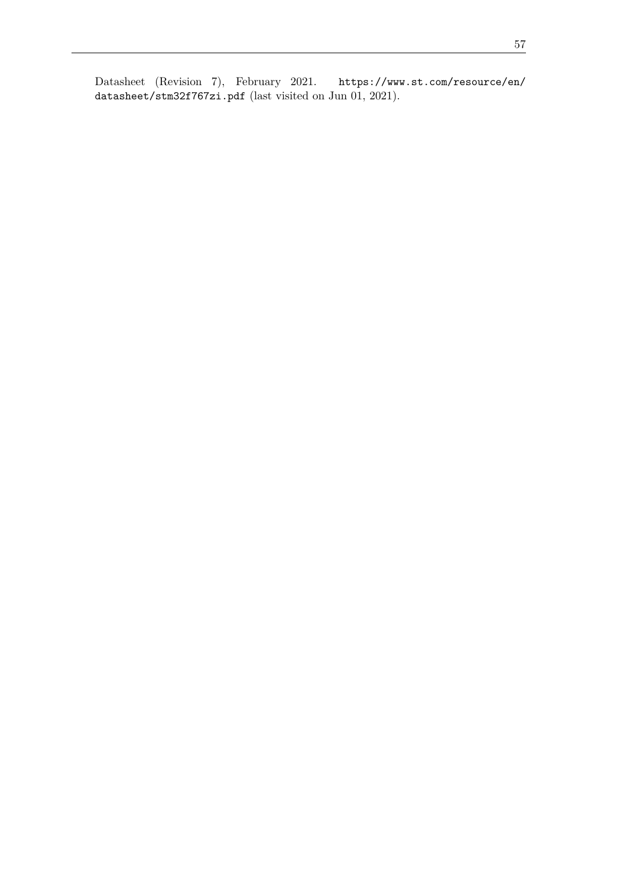Datasheet (Revision 7), February 2021. [https://www.st.com/resource/en/](https://www.st.com/resource/en/datasheet/stm32f767zi.pdf) [datasheet/stm32f767zi.pdf](https://www.st.com/resource/en/datasheet/stm32f767zi.pdf) (last visited on Jun 01, 2021).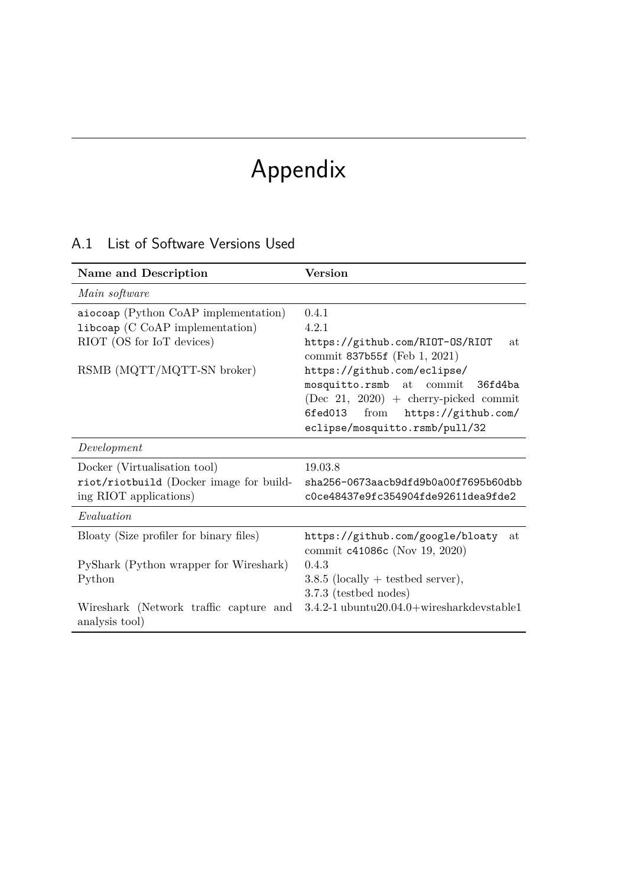# Appendix

### A.1 List of Software Versions Used

| Name and Description                                     | Version                                                                 |  |
|----------------------------------------------------------|-------------------------------------------------------------------------|--|
| Main software                                            |                                                                         |  |
| aiocoap (Python CoAP implementation)                     | 0.4.1                                                                   |  |
| libcoap (C CoAP implementation)                          | 4.2.1                                                                   |  |
| RIOT (OS for IoT devices)                                | https://github.com/RIOT-OS/RIOT<br>at<br>commit 837b55f (Feb 1, 2021)   |  |
| RSMB (MQTT/MQTT-SN broker)                               | https://github.com/eclipse/                                             |  |
|                                                          | mosquitto.rsmb at commit 36fd4ba                                        |  |
|                                                          | $(Dec 21, 2020) + cherry-picked commit$                                 |  |
|                                                          | from<br>https://github.com/<br>6fed013                                  |  |
|                                                          | eclipse/mosquitto.rsmb/pull/32                                          |  |
| Development                                              |                                                                         |  |
| Docker (Virtualisation tool)                             | 19.03.8                                                                 |  |
| riot/riotbuild (Docker image for build-                  | sha256-0673aacb9dfd9b0a00f7695b60dbb                                    |  |
| ing RIOT applications)                                   | c0ce48437e9fc354904fde92611dea9fde2                                     |  |
| Evaluation                                               |                                                                         |  |
| Bloaty (Size profiler for binary files)                  | https://github.com/google/bloaty<br>at<br>commit c41086c (Nov 19, 2020) |  |
| PyShark (Python wrapper for Wireshark)                   | 0.4.3                                                                   |  |
| Python                                                   | $3.8.5$ (locally + testbed server),                                     |  |
|                                                          | 3.7.3 (testbed nodes)                                                   |  |
| Wireshark (Network traffic capture and<br>analysis tool) | $3.4.2 - 1$ ubuntu $20.04.0 +$ wiresharkdevstable1                      |  |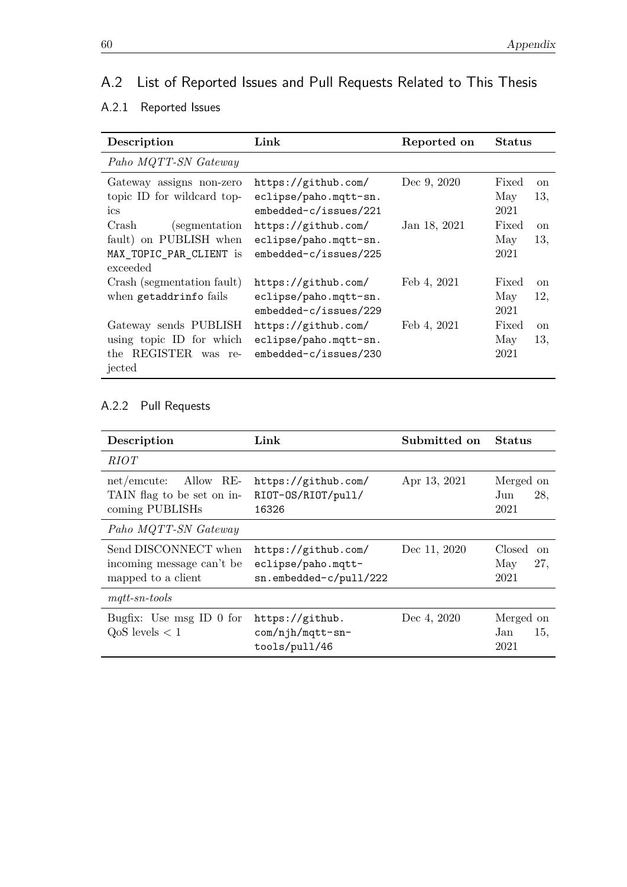## A.2 List of Reported Issues and Pull Requests Related to This Thesis

#### A.2.1 Reported Issues

| Description                                                                               | Link                                                                                           | Reported on                 | <b>Status</b>                                                          |
|-------------------------------------------------------------------------------------------|------------------------------------------------------------------------------------------------|-----------------------------|------------------------------------------------------------------------|
| Paho MQTT-SN Gateway                                                                      |                                                                                                |                             |                                                                        |
| Gateway assigns non-zero<br>topic ID for wildcard top-<br>ics<br>Crash<br>(segmentation)  | https://github.com/<br>eclipse/paho.mqtt-sn.<br>$embedded-c/issues/221$<br>https://github.com/ | Dec 9, 2020<br>Jan 18, 2021 | Fixed<br><sub>on</sub><br>13,<br>May<br>2021<br>Fixed<br><sub>on</sub> |
| fault) on PUBLISH when<br>MAX_TOPIC_PAR_CLIENT is<br>exceeded                             | eclipse/paho.mqtt-sn.<br>embedded-c/issues/225                                                 |                             | May<br>13,<br>2021                                                     |
| Crash (segmentation fault)<br>when getaddrinfo fails                                      | https://github.com/<br>eclipse/paho.mqtt-sn.<br>$embedded-c/issues/229$                        | Feb 4, 2021                 | Fixed<br><sub>on</sub><br>May<br>12,<br>2021                           |
| Gateway sends PUBLISH<br>using topic ID for which<br>REGISTER<br>the<br>was re-<br>jected | https://github.com/<br>eclipse/paho.mqtt-sn.<br>embedded-c/issues/230                          | Feb 4, 2021                 | Fixed<br><sub>on</sub><br>May<br>13,<br>2021                           |

#### A.2.2 Pull Requests

| Description                                                                  | Link                                                                | Submitted on | <b>Status</b>                                 |
|------------------------------------------------------------------------------|---------------------------------------------------------------------|--------------|-----------------------------------------------|
| RIOT                                                                         |                                                                     |              |                                               |
| Allow RE-<br>$net/$ emcute:<br>TAIN flag to be set on in-<br>coming PUBLISHs | https://github.com/<br>RIOT-OS/RIOT/pull/<br>16326                  | Apr 13, 2021 | Merged on<br>28,<br>Jun<br>2021               |
| Paho MQTT-SN Gateway                                                         |                                                                     |              |                                               |
| Send DISCONNECT when<br>incoming message can't be<br>mapped to a client      | https://github.com/<br>eclipse/paho.mqtt-<br>sn.embedded-c/pull/222 | Dec 11, 2020 | Closed<br><sub>on</sub><br>27,<br>May<br>2021 |
| $mqtt$ -sn-tools                                                             |                                                                     |              |                                               |
| Bugfix: Use msg ID $0$ for<br>$QoS$ levels $< 1$                             | https://github.<br>com/njh/mqtt-sn-<br>tools/pull/46                | Dec 4, 2020  | Merged on<br>15,<br>Jan<br>2021               |